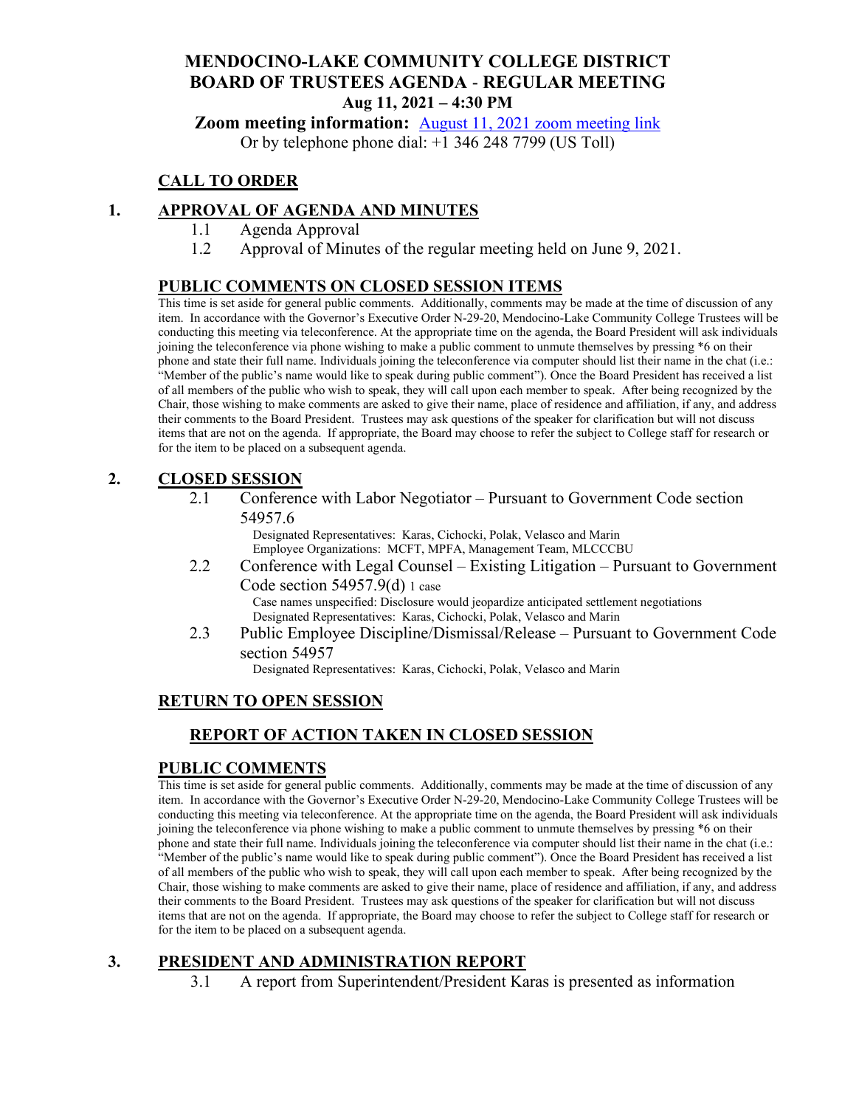# **MENDOCINO-LAKE COMMUNITY COLLEGE DISTRICT BOARD OF TRUSTEES AGENDA** - **REGULAR MEETING Aug 11, 2021 – 4:30 PM**

**Zoom meeting information:** August 11, 2021 [zoom meeting link](https://cccconfer.zoom.us/s/96125795633)

Or by telephone phone dial: +1 346 248 7799 (US Toll)

# **CALL TO ORDER**

# **1. APPROVAL OF AGENDA AND MINUTES**

- 1.1 Agenda Approval
- 1.2 Approval of Minutes of the regular meeting held on June 9, 2021.

# **PUBLIC COMMENTS ON CLOSED SESSION ITEMS**

This time is set aside for general public comments. Additionally, comments may be made at the time of discussion of any item. In accordance with the Governor's Executive Order N-29-20, Mendocino-Lake Community College Trustees will be conducting this meeting via teleconference. At the appropriate time on the agenda, the Board President will ask individuals joining the teleconference via phone wishing to make a public comment to unmute themselves by pressing \*6 on their phone and state their full name. Individuals joining the teleconference via computer should list their name in the chat (i.e.: "Member of the public's name would like to speak during public comment"). Once the Board President has received a list of all members of the public who wish to speak, they will call upon each member to speak. After being recognized by the Chair, those wishing to make comments are asked to give their name, place of residence and affiliation, if any, and address their comments to the Board President. Trustees may ask questions of the speaker for clarification but will not discuss items that are not on the agenda. If appropriate, the Board may choose to refer the subject to College staff for research or for the item to be placed on a subsequent agenda.

# **2. CLOSED SESSION**

2.1 Conference with Labor Negotiator – Pursuant to Government Code section 54957.6

Designated Representatives: Karas, Cichocki, Polak, Velasco and Marin Employee Organizations: MCFT, MPFA, Management Team, MLCCCBU

2.2 Conference with Legal Counsel – Existing Litigation – Pursuant to Government Code section 54957.9(d) 1 case Case names unspecified: Disclosure would jeopardize anticipated settlement negotiations

Designated Representatives: Karas, Cichocki, Polak, Velasco and Marin

2.3 Public Employee Discipline/Dismissal/Release – Pursuant to Government Code section 54957

Designated Representatives: Karas, Cichocki, Polak, Velasco and Marin

# **RETURN TO OPEN SESSION**

# **REPORT OF ACTION TAKEN IN CLOSED SESSION**

# **PUBLIC COMMENTS**

This time is set aside for general public comments. Additionally, comments may be made at the time of discussion of any item. In accordance with the Governor's Executive Order N-29-20, Mendocino-Lake Community College Trustees will be conducting this meeting via teleconference. At the appropriate time on the agenda, the Board President will ask individuals joining the teleconference via phone wishing to make a public comment to unmute themselves by pressing \*6 on their phone and state their full name. Individuals joining the teleconference via computer should list their name in the chat (i.e.: "Member of the public's name would like to speak during public comment"). Once the Board President has received a list of all members of the public who wish to speak, they will call upon each member to speak. After being recognized by the Chair, those wishing to make comments are asked to give their name, place of residence and affiliation, if any, and address their comments to the Board President. Trustees may ask questions of the speaker for clarification but will not discuss items that are not on the agenda. If appropriate, the Board may choose to refer the subject to College staff for research or for the item to be placed on a subsequent agenda.

# **3. PRESIDENT AND ADMINISTRATION REPORT**

3.1 A report from Superintendent/President Karas is presented as information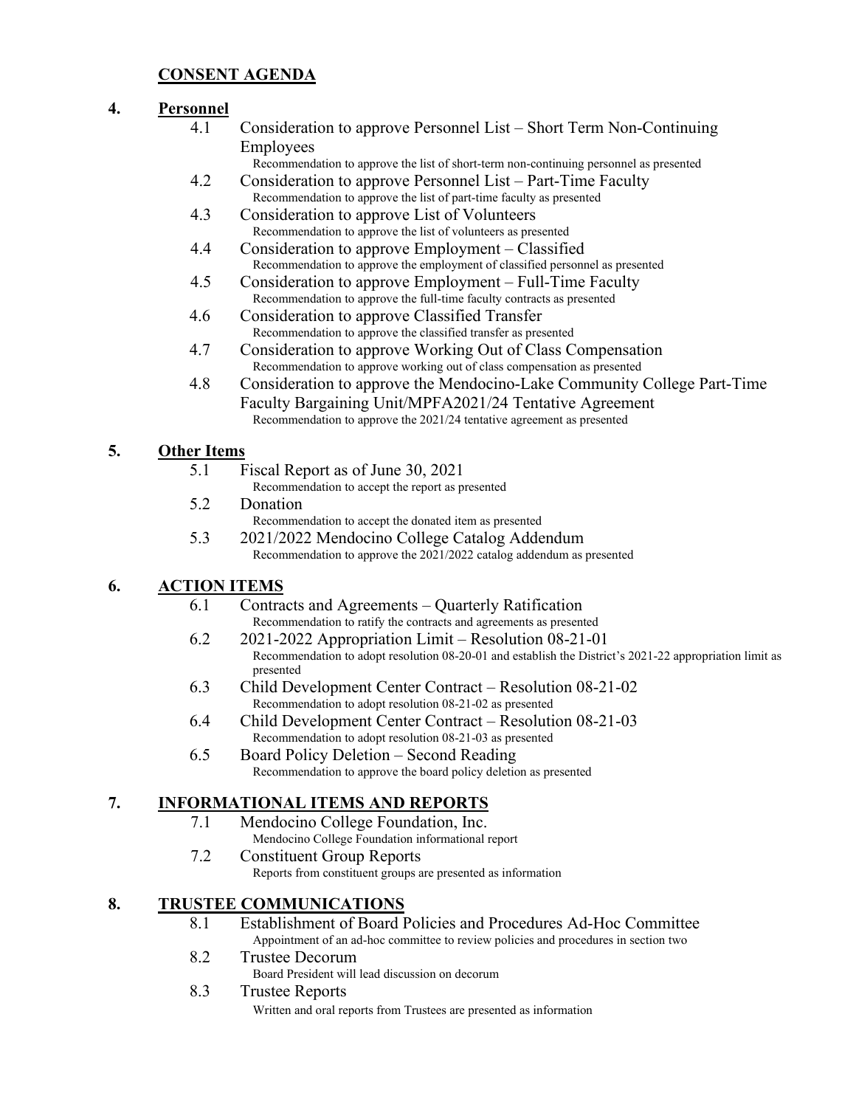# **CONSENT AGENDA**

# **4. Personnel**

- 4.1 Consideration to approve Personnel List Short Term Non-Continuing Employees
	- Recommendation to approve the list of short-term non-continuing personnel as presented
- 4.2 Consideration to approve Personnel List Part-Time Faculty Recommendation to approve the list of part-time faculty as presented
- 4.3 Consideration to approve List of Volunteers Recommendation to approve the list of volunteers as presented
- 4.4 Consideration to approve Employment Classified Recommendation to approve the employment of classified personnel as presented
- 4.5 Consideration to approve Employment Full-Time Faculty Recommendation to approve the full-time faculty contracts as presented
- 4.6 Consideration to approve Classified Transfer Recommendation to approve the classified transfer as presented
- 4.7 Consideration to approve Working Out of Class Compensation Recommendation to approve working out of class compensation as presented
- 4.8 Consideration to approve the Mendocino-Lake Community College Part-Time Faculty Bargaining Unit/MPFA2021/24 Tentative Agreement Recommendation to approve the 2021/24 tentative agreement as presented

# **5. Other Items**

- 5.1 Fiscal Report as of June 30, 2021
	- Recommendation to accept the report as presented
- 5.2 Donation Recommendation to accept the donated item as presented
- 5.3 2021/2022 Mendocino College Catalog Addendum Recommendation to approve the 2021/2022 catalog addendum as presented

# **6. ACTION ITEMS**

- 6.1 Contracts and Agreements Quarterly Ratification Recommendation to ratify the contracts and agreements as presented
- 6.2 2021-2022 Appropriation Limit Resolution 08-21-01 Recommendation to adopt resolution 08-20-01 and establish the District's 2021-22 appropriation limit as presented
- 6.3 Child Development Center Contract Resolution 08-21-02 Recommendation to adopt resolution 08-21-02 as presented
- 6.4 Child Development Center Contract Resolution 08-21-03 Recommendation to adopt resolution 08-21-03 as presented
- 6.5 Board Policy Deletion Second Reading Recommendation to approve the board policy deletion as presented

# **7. INFORMATIONAL ITEMS AND REPORTS**

- 7.1 Mendocino College Foundation, Inc. Mendocino College Foundation informational report
- 7.2 Constituent Group Reports Reports from constituent groups are presented as information

# **8. TRUSTEE COMMUNICATIONS**

- 8.1 Establishment of Board Policies and Procedures Ad-Hoc Committee Appointment of an ad-hoc committee to review policies and procedures in section two
- 8.2 Trustee Decorum
	- Board President will lead discussion on decorum
- 8.3 Trustee Reports

Written and oral reports from Trustees are presented as information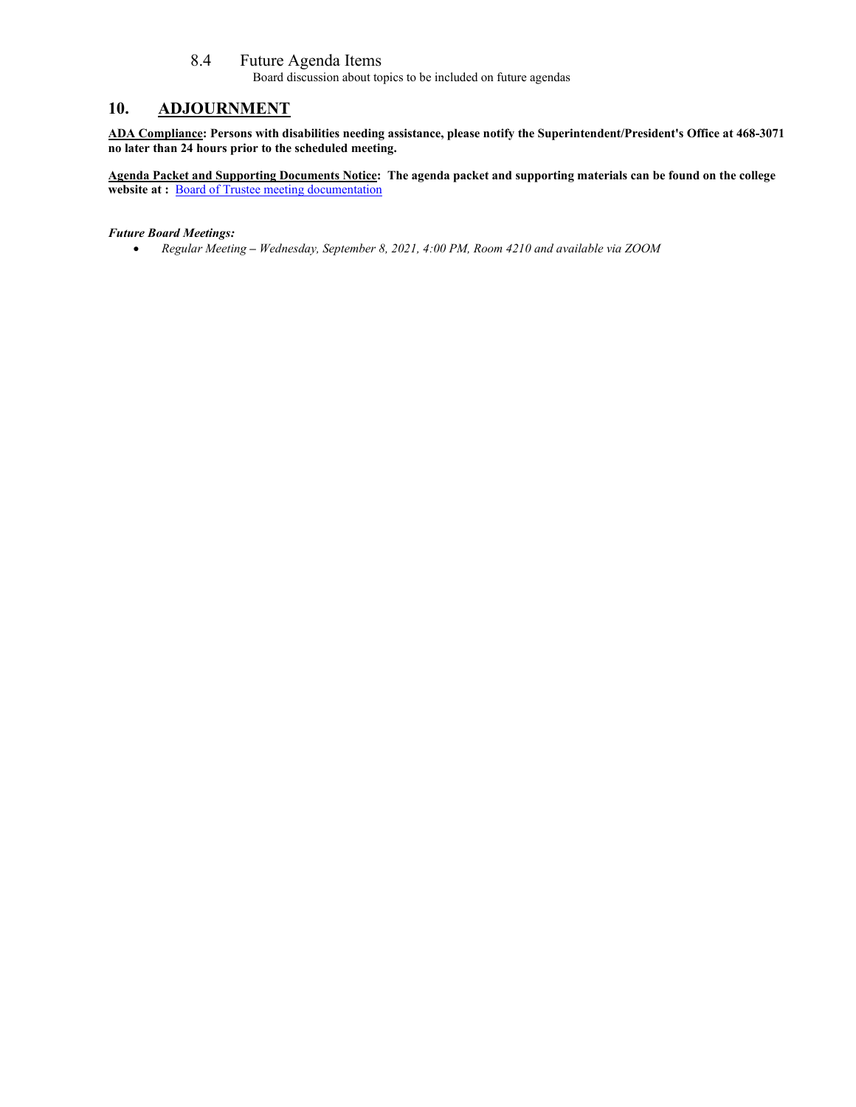#### 8.4 Future Agenda Items

Board discussion about topics to be included on future agendas

# **10. ADJOURNMENT**

**ADA Compliance: Persons with disabilities needing assistance, please notify the Superintendent/President's Office at 468-3071 no later than 24 hours prior to the scheduled meeting.** 

**Agenda Packet and Supporting Documents Notice: The agenda packet and supporting materials can be found on the college**  website at : **[Board of Trustee meeting documentation](https://www.mendocino.edu/botagendas)** 

#### *Future Board Meetings:*

• *Regular Meeting – Wednesday, September 8, 2021, 4:00 PM, Room 4210 and available via ZOOM*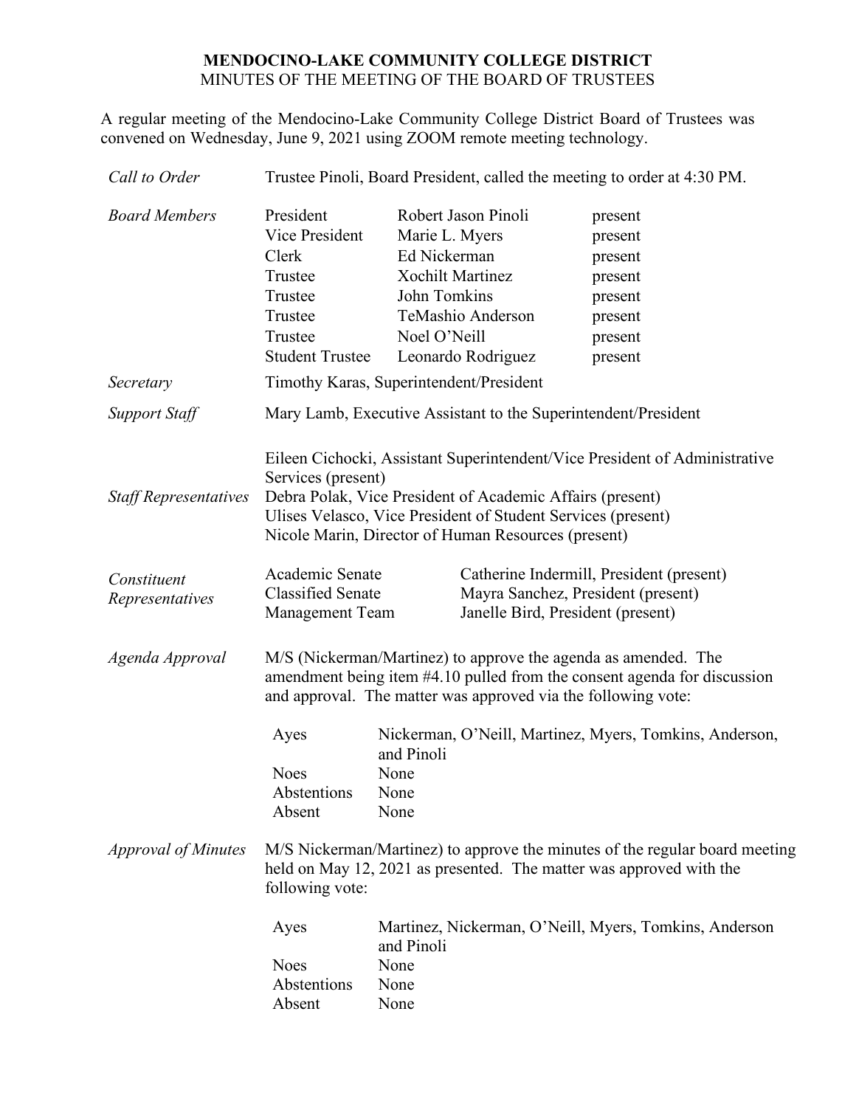# **MENDOCINO-LAKE COMMUNITY COLLEGE DISTRICT** MINUTES OF THE MEETING OF THE BOARD OF TRUSTEES

A regular meeting of the Mendocino-Lake Community College District Board of Trustees was convened on Wednesday, June 9, 2021 using ZOOM remote meeting technology.

| Call to Order                  | Trustee Pinoli, Board President, called the meeting to order at 4:30 PM.                                                                                                                                    |                                                                                                                                                                                                                                                                                                                                                     |  |                                                                                      |
|--------------------------------|-------------------------------------------------------------------------------------------------------------------------------------------------------------------------------------------------------------|-----------------------------------------------------------------------------------------------------------------------------------------------------------------------------------------------------------------------------------------------------------------------------------------------------------------------------------------------------|--|--------------------------------------------------------------------------------------|
| <b>Board Members</b>           | President<br>Vice President<br>Clerk<br>Trustee<br>Trustee<br>Trustee<br>Trustee<br><b>Student Trustee</b>                                                                                                  | Robert Jason Pinoli<br>Marie L. Myers<br>Ed Nickerman<br><b>Xochilt Martinez</b><br>John Tomkins<br>TeMashio Anderson<br>Noel O'Neill<br>Leonardo Rodriguez                                                                                                                                                                                         |  | present<br>present<br>present<br>present<br>present<br>present<br>present<br>present |
| Secretary                      | Timothy Karas, Superintendent/President                                                                                                                                                                     |                                                                                                                                                                                                                                                                                                                                                     |  |                                                                                      |
| <b>Support Staff</b>           |                                                                                                                                                                                                             |                                                                                                                                                                                                                                                                                                                                                     |  | Mary Lamb, Executive Assistant to the Superintendent/President                       |
| <b>Staff Representatives</b>   | Services (present)<br>Debra Polak, Vice President of Academic Affairs (present)<br>Ulises Velasco, Vice President of Student Services (present)<br>Nicole Marin, Director of Human Resources (present)      |                                                                                                                                                                                                                                                                                                                                                     |  | Eileen Cichocki, Assistant Superintendent/Vice President of Administrative           |
| Constituent<br>Representatives | Academic Senate<br>Catherine Indermill, President (present)<br><b>Classified Senate</b><br>Mayra Sanchez, President (present)<br>Janelle Bird, President (present)<br><b>Management Team</b>                |                                                                                                                                                                                                                                                                                                                                                     |  |                                                                                      |
| Agenda Approval                | M/S (Nickerman/Martinez) to approve the agenda as amended. The<br>amendment being item #4.10 pulled from the consent agenda for discussion<br>and approval. The matter was approved via the following vote: |                                                                                                                                                                                                                                                                                                                                                     |  |                                                                                      |
| <b>Approval of Minutes</b>     | Ayes<br><b>Noes</b><br>Abstentions<br>Absent<br>following vote:<br>Ayes<br><b>Noes</b><br>Abstentions<br>Absent                                                                                             | Nickerman, O'Neill, Martinez, Myers, Tomkins, Anderson,<br>and Pinoli<br>None<br>None<br>None<br>M/S Nickerman/Martinez) to approve the minutes of the regular board meeting<br>held on May 12, 2021 as presented. The matter was approved with the<br>Martinez, Nickerman, O'Neill, Myers, Tomkins, Anderson<br>and Pinoli<br>None<br>None<br>None |  |                                                                                      |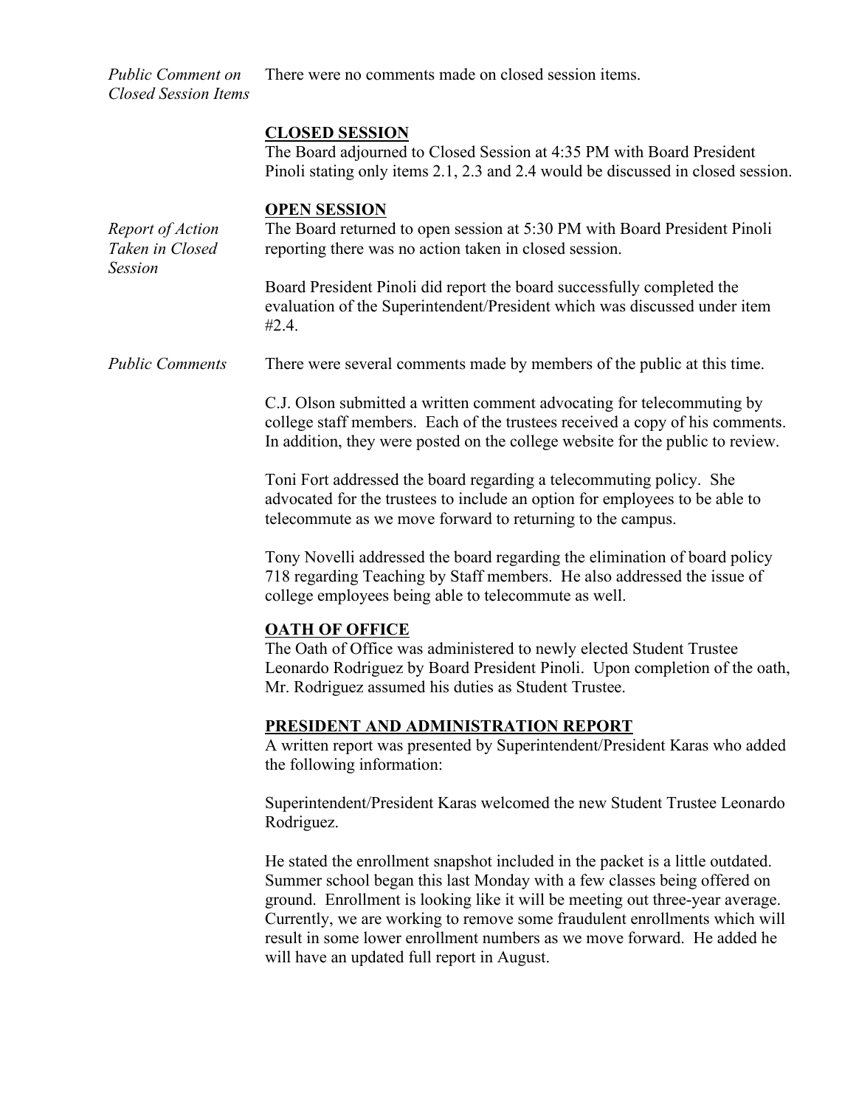*Public Comment on Closed Session Items* There were no comments made on closed session items.

#### **CLOSED SESSION**

The Board adjourned to Closed Session at 4:35 PM with Board President Pinoli stating only items 2.1, 2.3 and 2.4 would be discussed in closed session.

#### **OPEN SESSION**

*Report of Action Taken in Closed Session* The Board returned to open session at 5:30 PM with Board President Pinoli reporting there was no action taken in closed session. Board President Pinoli did report the board successfully completed the evaluation of the Superintendent/President which was discussed under item #2.4. *Public Comments* There were several comments made by members of the public at this time. C.J. Olson submitted a written comment advocating for telecommuting by college staff members. Each of the trustees received a copy of his comments. In addition, they were posted on the college website for the public to review. Toni Fort addressed the board regarding a telecommuting policy. She advocated for the trustees to include an option for employees to be able to telecommute as we move forward to returning to the campus. Tony Novelli addressed the board regarding the elimination of board policy 718 regarding Teaching by Staff members. He also addressed the issue of college employees being able to telecommute as well. **OATH OF OFFICE** The Oath of Office was administered to newly elected Student Trustee Leonardo Rodriguez by Board President Pinoli. Upon completion of the oath, Mr. Rodriguez assumed his duties as Student Trustee. **PRESIDENT AND ADMINISTRATION REPORT** A written report was presented by Superintendent/President Karas who added the following information: Superintendent/President Karas welcomed the new Student Trustee Leonardo Rodriguez. He stated the enrollment snapshot included in the packet is a little outdated. Summer school began this last Monday with a few classes being offered on ground. Enrollment is looking like it will be meeting out three-year average. Currently, we are working to remove some fraudulent enrollments which will result in some lower enrollment numbers as we move forward. He added he will have an updated full report in August.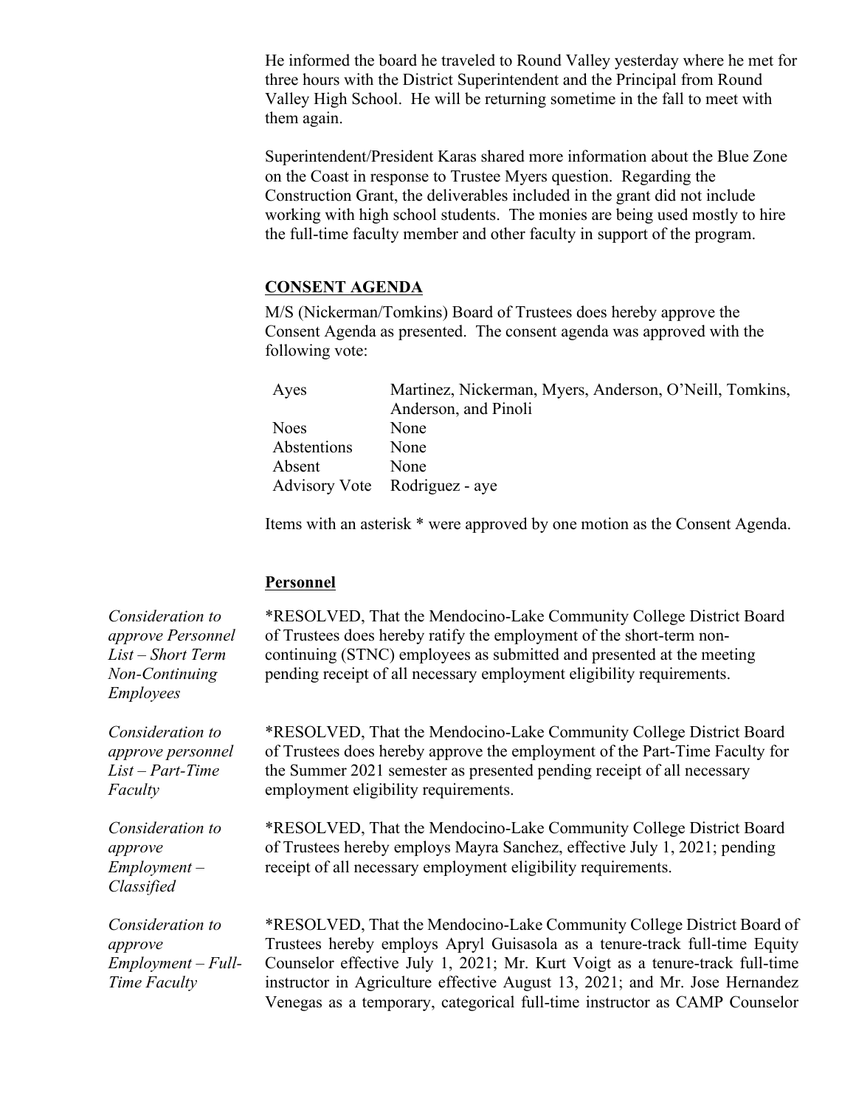He informed the board he traveled to Round Valley yesterday where he met for three hours with the District Superintendent and the Principal from Round Valley High School. He will be returning sometime in the fall to meet with them again.

Superintendent/President Karas shared more information about the Blue Zone on the Coast in response to Trustee Myers question. Regarding the Construction Grant, the deliverables included in the grant did not include working with high school students. The monies are being used mostly to hire the full-time faculty member and other faculty in support of the program.

#### **CONSENT AGENDA**

M/S (Nickerman/Tomkins) Board of Trustees does hereby approve the Consent Agenda as presented. The consent agenda was approved with the following vote:

| Martinez, Nickerman, Myers, Anderson, O'Neill, Tomkins, |
|---------------------------------------------------------|
|                                                         |
|                                                         |
|                                                         |
|                                                         |
|                                                         |
|                                                         |

Items with an asterisk \* were approved by one motion as the Consent Agenda.

#### **Personnel**

\*RESOLVED, That the Mendocino-Lake Community College District Board of Trustees does hereby ratify the employment of the short-term noncontinuing (STNC) employees as submitted and presented at the meeting pending receipt of all necessary employment eligibility requirements.

\*RESOLVED, That the Mendocino-Lake Community College District Board of Trustees does hereby approve the employment of the Part-Time Faculty for the Summer 2021 semester as presented pending receipt of all necessary employment eligibility requirements.

\*RESOLVED, That the Mendocino-Lake Community College District Board of Trustees hereby employs Mayra Sanchez, effective July 1, 2021; pending receipt of all necessary employment eligibility requirements.

\*RESOLVED, That the Mendocino-Lake Community College District Board of Trustees hereby employs Apryl Guisasola as a tenure-track full-time Equity Counselor effective July 1, 2021; Mr. Kurt Voigt as a tenure-track full-time instructor in Agriculture effective August 13, 2021; and Mr. Jose Hernandez Venegas as a temporary, categorical full-time instructor as CAMP Counselor

*Consideration to approve Personnel List – Short Term Non-Continuing Employees*

*Consideration to approve personnel List – Part-Time Faculty*

*Consideration to approve Employment – Classified*

*Consideration to approve Employment – Full-Time Faculty*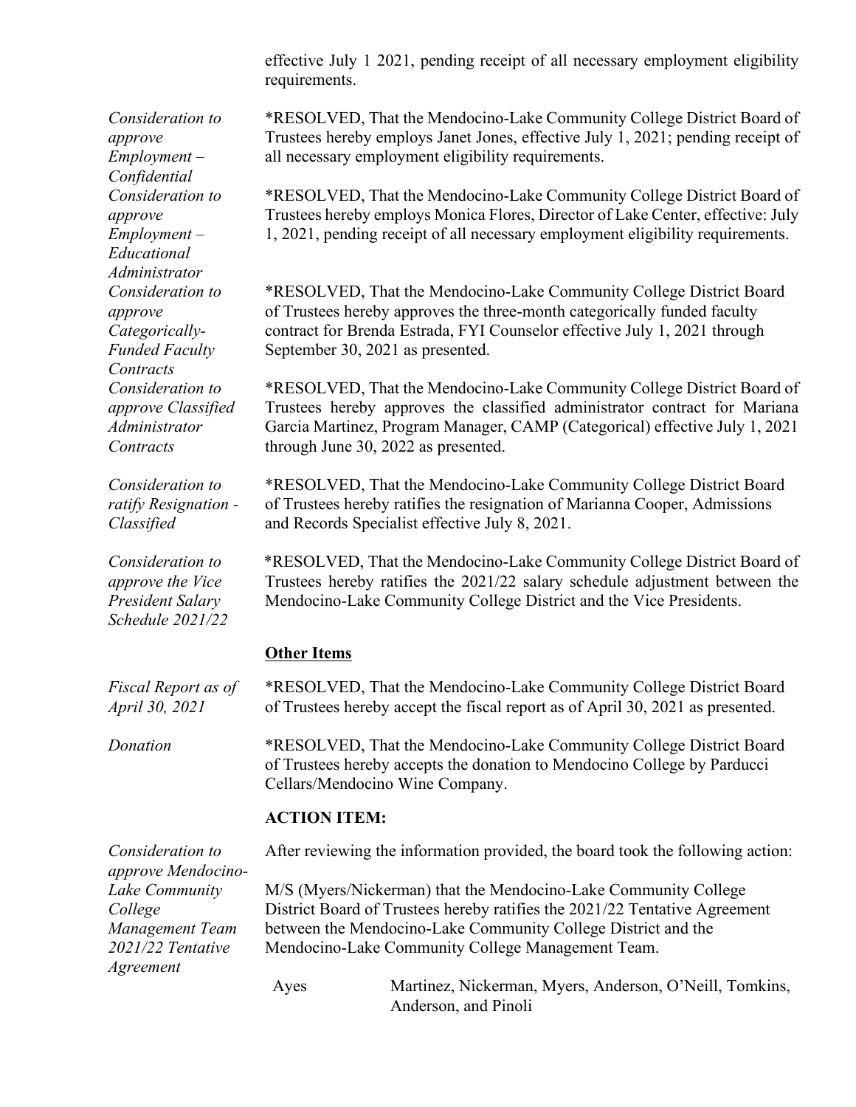effective July 1 2021, pending receipt of all necessary employment eligibility requirements.

\*RESOLVED, That the Mendocino-Lake Community College District Board of Trustees hereby employs Janet Jones, effective July 1, 2021; pending receipt of all necessary employment eligibility requirements.

\*RESOLVED, That the Mendocino-Lake Community College District Board of Trustees hereby employs Monica Flores, Director of Lake Center, effective: July 1, 2021, pending receipt of all necessary employment eligibility requirements.

\*RESOLVED, That the Mendocino-Lake Community College District Board of Trustees hereby approves the three-month categorically funded faculty contract for Brenda Estrada, FYI Counselor effective July 1, 2021 through September 30, 2021 as presented.

\*RESOLVED, That the Mendocino-Lake Community College District Board of Trustees hereby approves the classified administrator contract for Mariana Garcia Martinez, Program Manager, CAMP (Categorical) effective July 1, 2021 through June 30, 2022 as presented.

\*RESOLVED, That the Mendocino-Lake Community College District Board of Trustees hereby ratifies the resignation of Marianna Cooper, Admissions and Records Specialist effective July 8, 2021.

\*RESOLVED, That the Mendocino-Lake Community College District Board of Trustees hereby ratifies the 2021/22 salary schedule adjustment between the Mendocino-Lake Community College District and the Vice Presidents.

# **Other Items**

*Fiscal Report as of April 30, 2021* \*RESOLVED, That the Mendocino-Lake Community College District Board of Trustees hereby accept the fiscal report as of April 30, 2021 as presented.

*Donation* \*RESOLVED, That the Mendocino-Lake Community College District Board of Trustees hereby accepts the donation to Mendocino College by Parducci Cellars/Mendocino Wine Company.

#### **ACTION ITEM:**

*Consideration to approve Mendocino-Lake Community College Management Team 2021/22 Tentative Agreement* After reviewing the information provided, the board took the following action: M/S (Myers/Nickerman) that the Mendocino-Lake Community College District Board of Trustees hereby ratifies the 2021/22 Tentative Agreement between the Mendocino-Lake Community College District and the Mendocino-Lake Community College Management Team. Ayes Martinez, Nickerman, Myers, Anderson, O'Neill, Tomkins, Anderson, and Pinoli

*Consideration to approve Employment – Confidential Consideration to approve Employment – Educational Administrator Consideration to approve Categorically-Funded Faculty Contracts Consideration to approve Classified Administrator Contracts*

*Consideration to ratify Resignation - Classified*

*Consideration to approve the Vice President Salary Schedule 2021/22*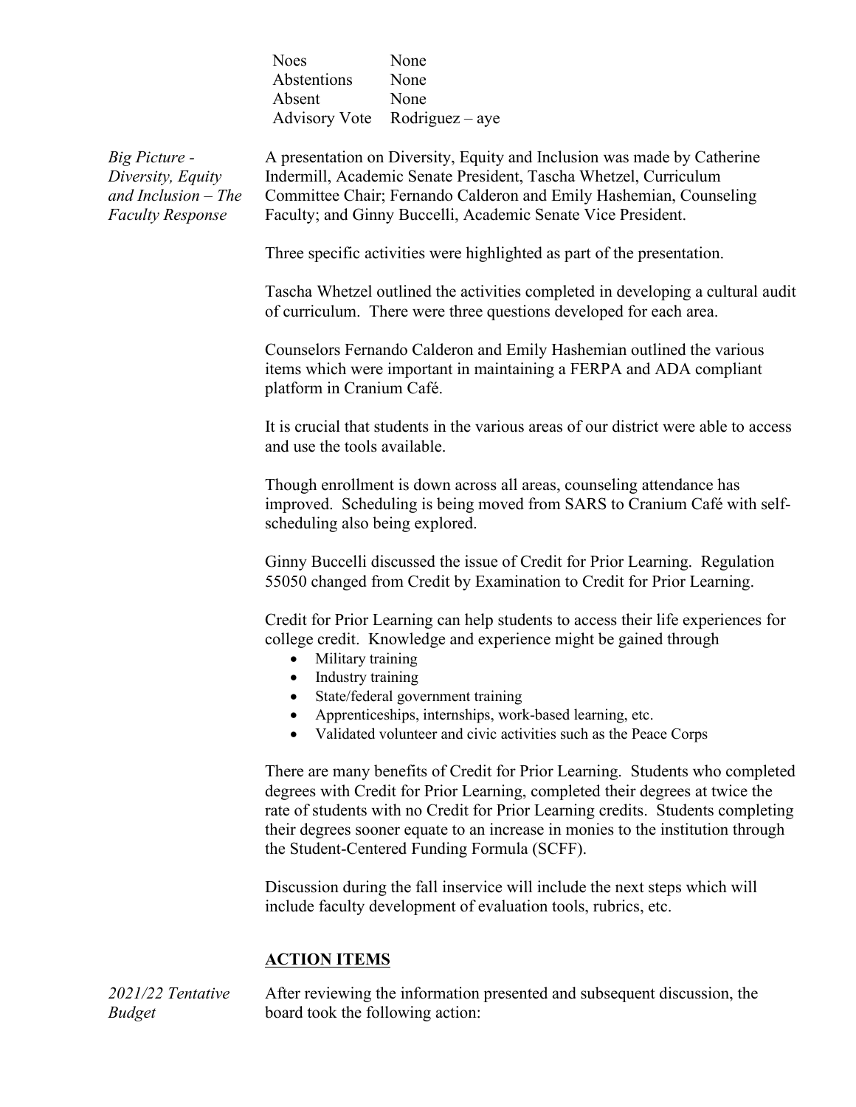| <b>Noes</b> | None                          |
|-------------|-------------------------------|
| Abstentions | None                          |
| Absent      | None                          |
|             | Advisory Vote Rodriguez – aye |

*Big Picture - Diversity, Equity and Inclusion – The Faculty Response*

A presentation on Diversity, Equity and Inclusion was made by Catherine Indermill, Academic Senate President, Tascha Whetzel, Curriculum Committee Chair; Fernando Calderon and Emily Hashemian, Counseling Faculty; and Ginny Buccelli, Academic Senate Vice President.

Three specific activities were highlighted as part of the presentation.

Tascha Whetzel outlined the activities completed in developing a cultural audit of curriculum. There were three questions developed for each area.

Counselors Fernando Calderon and Emily Hashemian outlined the various items which were important in maintaining a FERPA and ADA compliant platform in Cranium Café.

It is crucial that students in the various areas of our district were able to access and use the tools available.

Though enrollment is down across all areas, counseling attendance has improved. Scheduling is being moved from SARS to Cranium Café with selfscheduling also being explored.

Ginny Buccelli discussed the issue of Credit for Prior Learning. Regulation 55050 changed from Credit by Examination to Credit for Prior Learning.

Credit for Prior Learning can help students to access their life experiences for college credit. Knowledge and experience might be gained through

- Military training
- Industry training
- State/federal government training
- Apprenticeships, internships, work-based learning, etc.
- Validated volunteer and civic activities such as the Peace Corps

There are many benefits of Credit for Prior Learning. Students who completed degrees with Credit for Prior Learning, completed their degrees at twice the rate of students with no Credit for Prior Learning credits. Students completing their degrees sooner equate to an increase in monies to the institution through the Student-Centered Funding Formula (SCFF).

Discussion during the fall inservice will include the next steps which will include faculty development of evaluation tools, rubrics, etc.

# **ACTION ITEMS**

*2021/22 Tentative Budget* After reviewing the information presented and subsequent discussion, the board took the following action: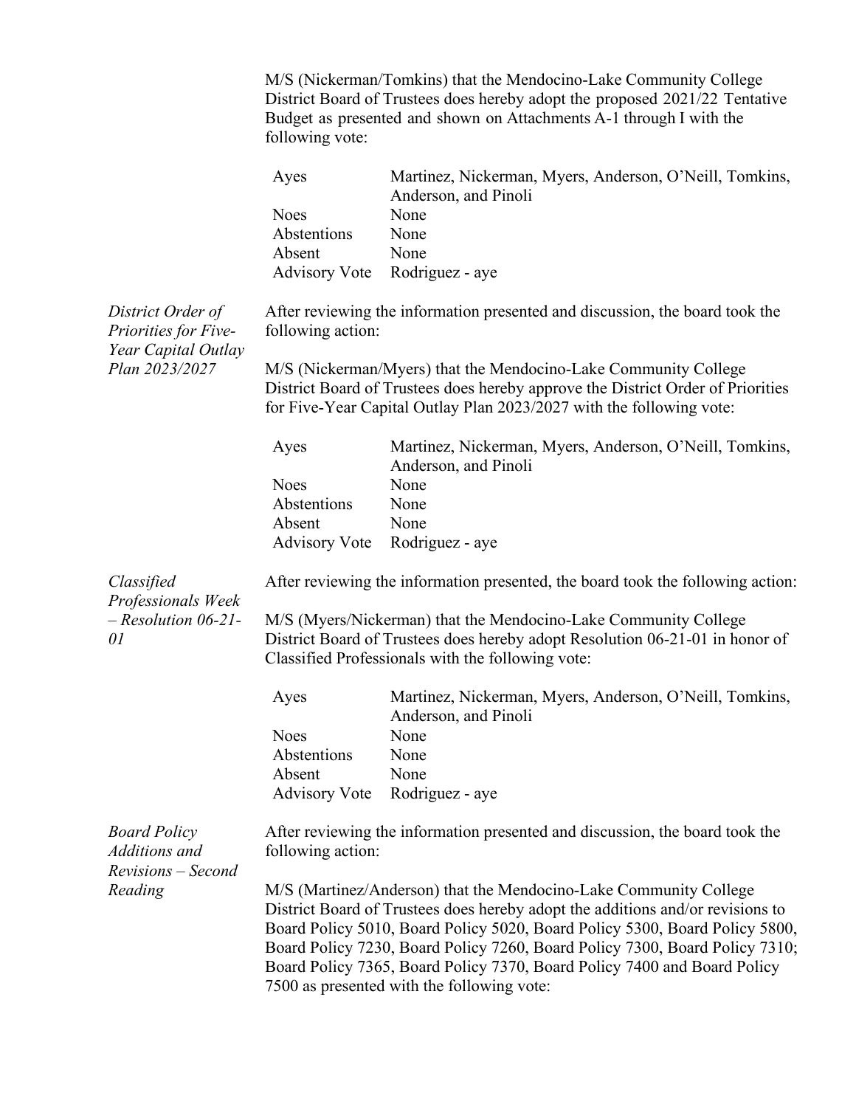M/S (Nickerman/Tomkins) that the Mendocino-Lake Community College District Board of Trustees does hereby adopt the proposed 2021/22 Tentative Budget as presented and shown on Attachments A-1 through I with the following vote:

|                                                                  | Ayes                 | Martinez, Nickerman, Myers, Anderson, O'Neill, Tomkins,<br>Anderson, and Pinoli                                                                                                                                                                                                                                                                                                               |
|------------------------------------------------------------------|----------------------|-----------------------------------------------------------------------------------------------------------------------------------------------------------------------------------------------------------------------------------------------------------------------------------------------------------------------------------------------------------------------------------------------|
|                                                                  | <b>Noes</b>          | None                                                                                                                                                                                                                                                                                                                                                                                          |
|                                                                  | Abstentions          | None                                                                                                                                                                                                                                                                                                                                                                                          |
|                                                                  | Absent               | None                                                                                                                                                                                                                                                                                                                                                                                          |
|                                                                  | <b>Advisory Vote</b> | Rodriguez - aye                                                                                                                                                                                                                                                                                                                                                                               |
| District Order of<br>Priorities for Five-<br>Year Capital Outlay | following action:    | After reviewing the information presented and discussion, the board took the                                                                                                                                                                                                                                                                                                                  |
| Plan 2023/2027                                                   |                      | M/S (Nickerman/Myers) that the Mendocino-Lake Community College                                                                                                                                                                                                                                                                                                                               |
|                                                                  |                      | District Board of Trustees does hereby approve the District Order of Priorities<br>for Five-Year Capital Outlay Plan 2023/2027 with the following vote:                                                                                                                                                                                                                                       |
|                                                                  | Ayes                 | Martinez, Nickerman, Myers, Anderson, O'Neill, Tomkins,<br>Anderson, and Pinoli                                                                                                                                                                                                                                                                                                               |
|                                                                  | <b>Noes</b>          | None                                                                                                                                                                                                                                                                                                                                                                                          |
|                                                                  | Abstentions          | None                                                                                                                                                                                                                                                                                                                                                                                          |
|                                                                  | Absent               | None                                                                                                                                                                                                                                                                                                                                                                                          |
|                                                                  | <b>Advisory Vote</b> | Rodriguez - aye                                                                                                                                                                                                                                                                                                                                                                               |
| Classified<br>Professionals Week                                 |                      | After reviewing the information presented, the board took the following action:                                                                                                                                                                                                                                                                                                               |
| $-$ Resolution 06-21-<br>01                                      |                      | M/S (Myers/Nickerman) that the Mendocino-Lake Community College<br>District Board of Trustees does hereby adopt Resolution 06-21-01 in honor of<br>Classified Professionals with the following vote:                                                                                                                                                                                          |
|                                                                  | Ayes                 | Martinez, Nickerman, Myers, Anderson, O'Neill, Tomkins,<br>Anderson, and Pinoli                                                                                                                                                                                                                                                                                                               |
|                                                                  | <b>Noes</b>          | None                                                                                                                                                                                                                                                                                                                                                                                          |
|                                                                  | Abstentions          | None                                                                                                                                                                                                                                                                                                                                                                                          |
|                                                                  | Absent               | None                                                                                                                                                                                                                                                                                                                                                                                          |
|                                                                  |                      | Advisory Vote Rodriguez - aye                                                                                                                                                                                                                                                                                                                                                                 |
| <b>Board Policy</b><br>Additions and<br>Revisions - Second       | following action:    | After reviewing the information presented and discussion, the board took the                                                                                                                                                                                                                                                                                                                  |
| Reading                                                          |                      | M/S (Martinez/Anderson) that the Mendocino-Lake Community College<br>District Board of Trustees does hereby adopt the additions and/or revisions to<br>Board Policy 5010, Board Policy 5020, Board Policy 5300, Board Policy 5800,<br>Board Policy 7230, Board Policy 7260, Board Policy 7300, Board Policy 7310;<br>Board Policy 7365, Board Policy 7370, Board Policy 7400 and Board Policy |
|                                                                  |                      | 7500 as presented with the following vote:                                                                                                                                                                                                                                                                                                                                                    |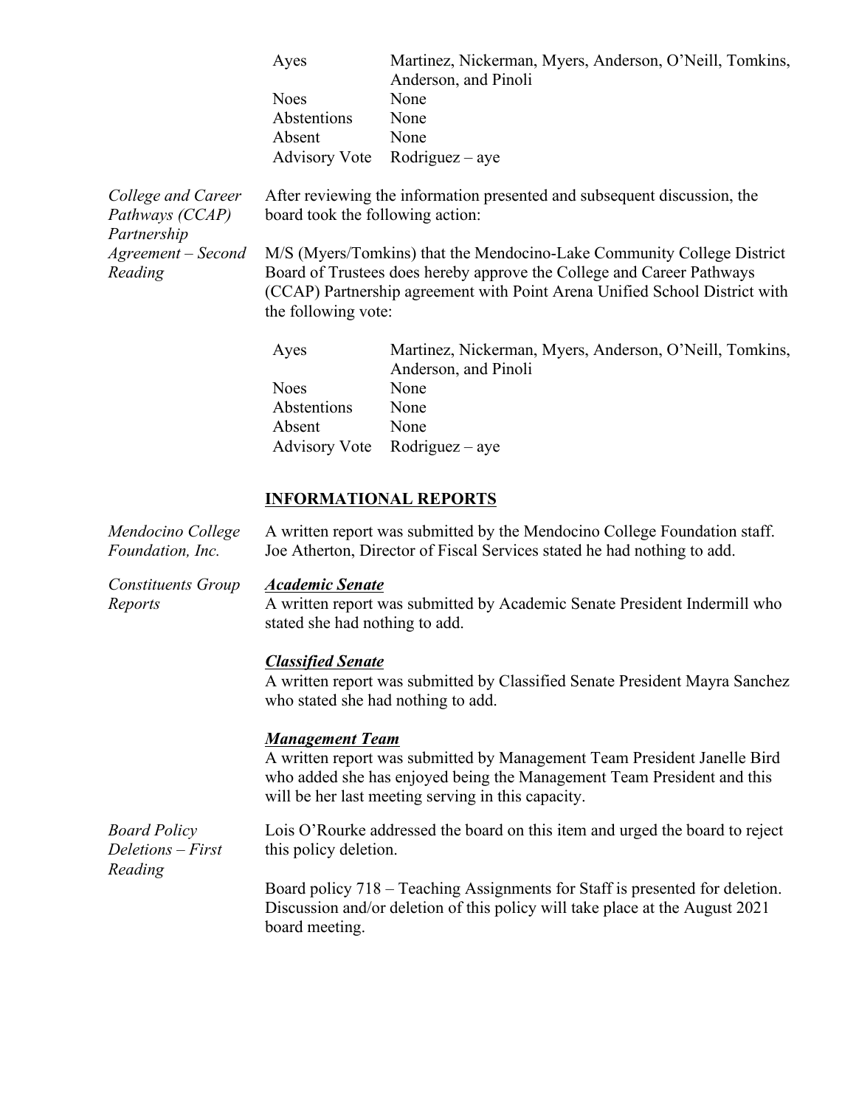| Ayes        | Martinez, Nickerman, Myers, Anderson, O'Neill, Tomkins, |
|-------------|---------------------------------------------------------|
|             | Anderson, and Pinoli                                    |
| <b>Noes</b> | None                                                    |
| Abstentions | None                                                    |
| Absent      | None                                                    |
|             | Advisory Vote Rodriguez – aye                           |

*College and Career Pathways (CCAP) Partnership Agreement – Second Reading*

After reviewing the information presented and subsequent discussion, the board took the following action:

M/S (Myers/Tomkins) that the Mendocino-Lake Community College District Board of Trustees does hereby approve the College and Career Pathways (CCAP) Partnership agreement with Point Arena Unified School District with the following vote:

| Ayes        | Martinez, Nickerman, Myers, Anderson, O'Neill, Tomkins, |
|-------------|---------------------------------------------------------|
|             | Anderson, and Pinoli                                    |
| <b>Noes</b> | None                                                    |
| Abstentions | None                                                    |
| Absent      | None                                                    |
|             | Advisory Vote Rodriguez – aye                           |

# **INFORMATIONAL REPORTS**

| Mendocino College | A written report was submitted by the Mendocino College Foundation staff. |
|-------------------|---------------------------------------------------------------------------|
| Foundation, Inc.  | Joe Atherton, Director of Fiscal Services stated he had nothing to add.   |

*Constituents Group Reports*

#### *Academic Senate*

A written report was submitted by Academic Senate President Indermill who stated she had nothing to add.

#### *Classified Senate*

A written report was submitted by Classified Senate President Mayra Sanchez who stated she had nothing to add.

#### *Management Team*

A written report was submitted by Management Team President Janelle Bird who added she has enjoyed being the Management Team President and this will be her last meeting serving in this capacity.

*Board Policy Deletions – First Reading*

Lois O'Rourke addressed the board on this item and urged the board to reject this policy deletion.

Board policy 718 – Teaching Assignments for Staff is presented for deletion. Discussion and/or deletion of this policy will take place at the August 2021 board meeting.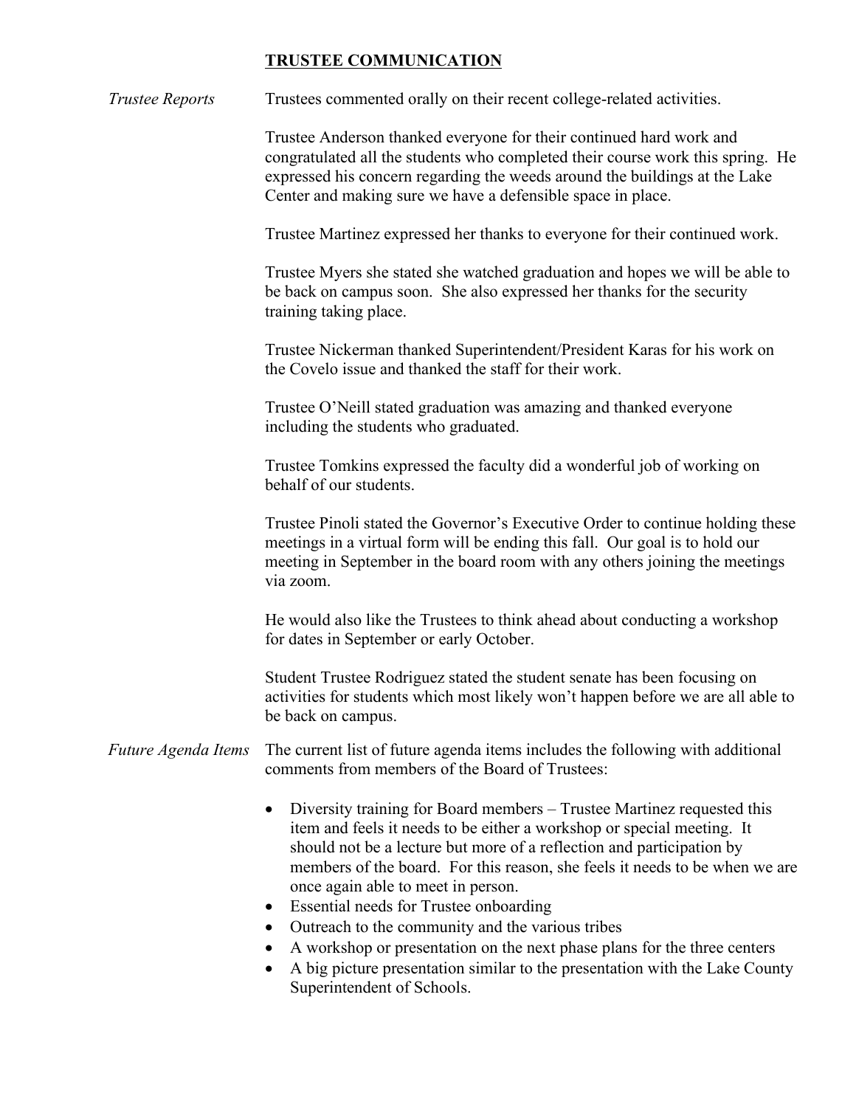# **TRUSTEE COMMUNICATION**

*Trustee Reports* Trustees commented orally on their recent college-related activities.

Trustee Anderson thanked everyone for their continued hard work and congratulated all the students who completed their course work this spring. He expressed his concern regarding the weeds around the buildings at the Lake Center and making sure we have a defensible space in place.

Trustee Martinez expressed her thanks to everyone for their continued work.

Trustee Myers she stated she watched graduation and hopes we will be able to be back on campus soon. She also expressed her thanks for the security training taking place.

Trustee Nickerman thanked Superintendent/President Karas for his work on the Covelo issue and thanked the staff for their work.

Trustee O'Neill stated graduation was amazing and thanked everyone including the students who graduated.

Trustee Tomkins expressed the faculty did a wonderful job of working on behalf of our students.

Trustee Pinoli stated the Governor's Executive Order to continue holding these meetings in a virtual form will be ending this fall. Our goal is to hold our meeting in September in the board room with any others joining the meetings via zoom.

He would also like the Trustees to think ahead about conducting a workshop for dates in September or early October.

Student Trustee Rodriguez stated the student senate has been focusing on activities for students which most likely won't happen before we are all able to be back on campus.

#### *Future Agenda Items* The current list of future agenda items includes the following with additional comments from members of the Board of Trustees:

- Diversity training for Board members Trustee Martinez requested this item and feels it needs to be either a workshop or special meeting. It should not be a lecture but more of a reflection and participation by members of the board. For this reason, she feels it needs to be when we are once again able to meet in person.
- Essential needs for Trustee onboarding
- Outreach to the community and the various tribes
- A workshop or presentation on the next phase plans for the three centers
- A big picture presentation similar to the presentation with the Lake County Superintendent of Schools.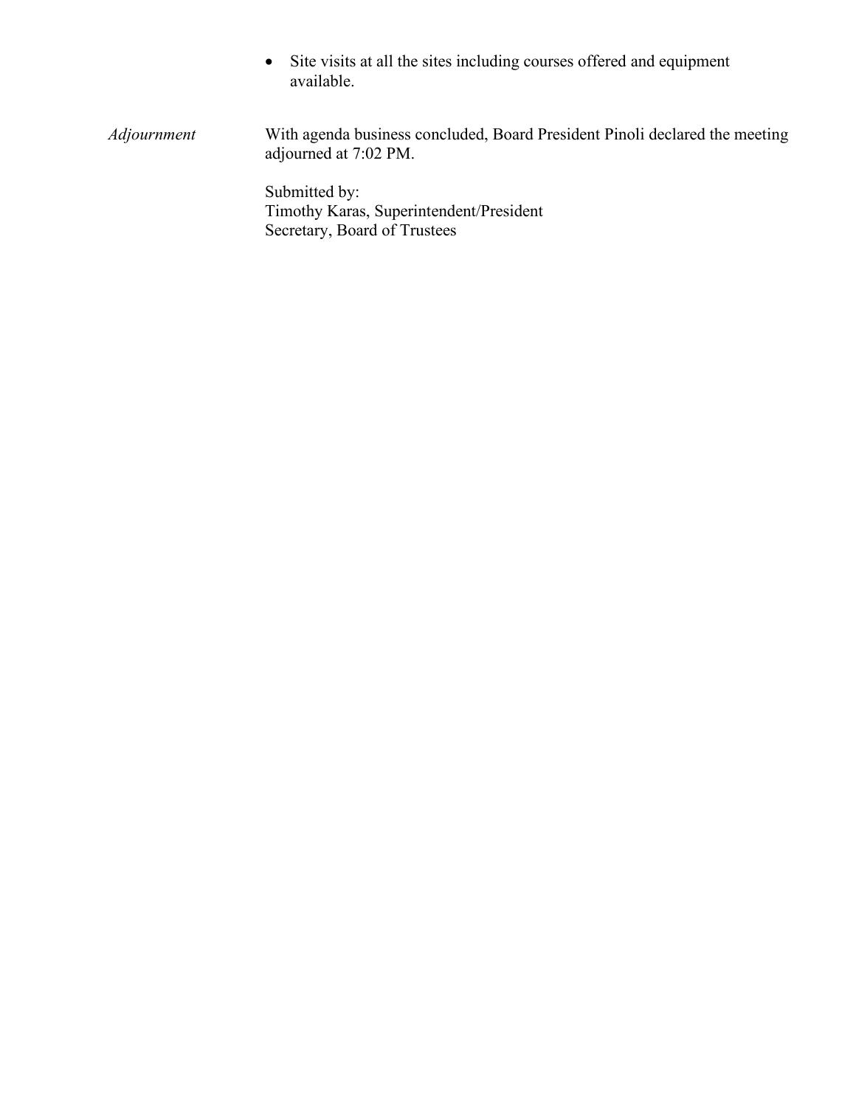• Site visits at all the sites including courses offered and equipment available.

*Adjournment* With agenda business concluded, Board President Pinoli declared the meeting adjourned at 7:02 PM.

> Submitted by: Timothy Karas, Superintendent/President Secretary, Board of Trustees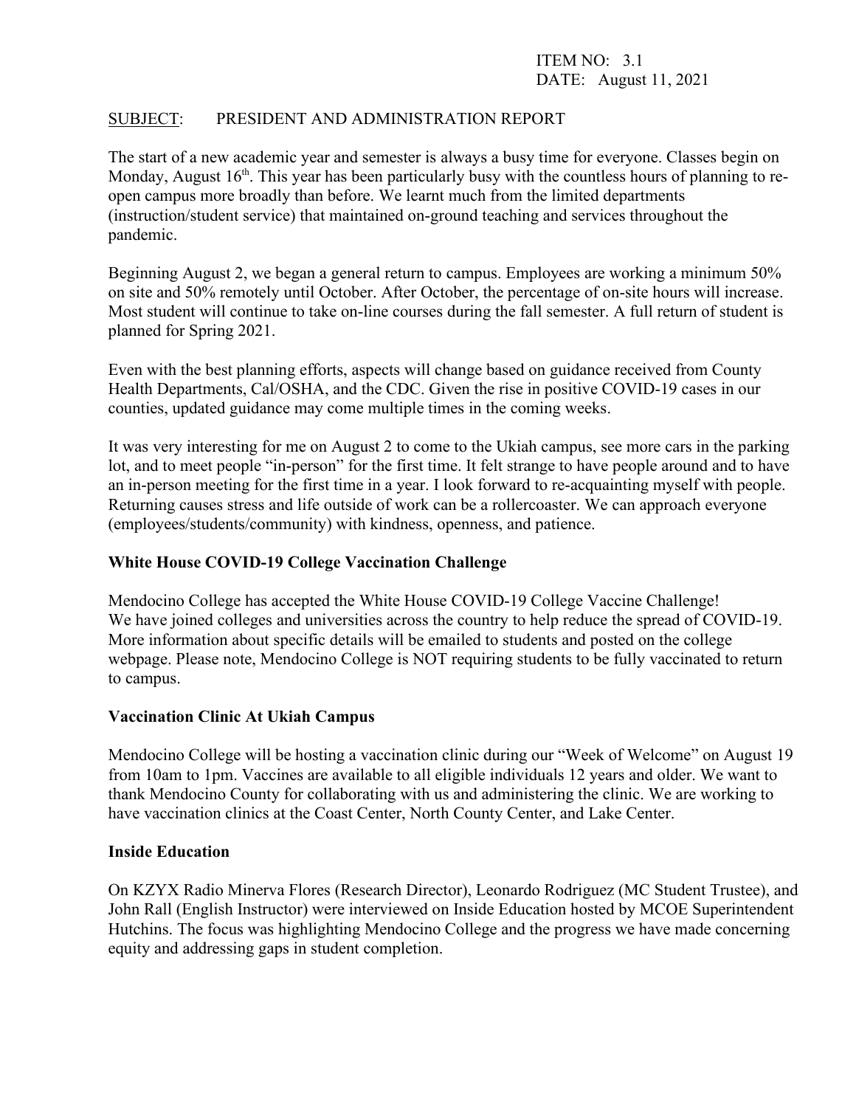# ITEM NO: 3.1 DATE: August 11, 2021

# SUBJECT: PRESIDENT AND ADMINISTRATION REPORT

The start of a new academic year and semester is always a busy time for everyone. Classes begin on Monday, August  $16<sup>th</sup>$ . This year has been particularly busy with the countless hours of planning to reopen campus more broadly than before. We learnt much from the limited departments (instruction/student service) that maintained on-ground teaching and services throughout the pandemic.

Beginning August 2, we began a general return to campus. Employees are working a minimum 50% on site and 50% remotely until October. After October, the percentage of on-site hours will increase. Most student will continue to take on-line courses during the fall semester. A full return of student is planned for Spring 2021.

Even with the best planning efforts, aspects will change based on guidance received from County Health Departments, Cal/OSHA, and the CDC. Given the rise in positive COVID-19 cases in our counties, updated guidance may come multiple times in the coming weeks.

It was very interesting for me on August 2 to come to the Ukiah campus, see more cars in the parking lot, and to meet people "in-person" for the first time. It felt strange to have people around and to have an in-person meeting for the first time in a year. I look forward to re-acquainting myself with people. Returning causes stress and life outside of work can be a rollercoaster. We can approach everyone (employees/students/community) with kindness, openness, and patience.

#### **White House COVID-19 College Vaccination Challenge**

Mendocino College has accepted the White House COVID-19 College Vaccine Challenge! We have joined colleges and universities across the country to help reduce the spread of COVID-19. More information about specific details will be emailed to students and posted on the college webpage. Please note, Mendocino College is NOT requiring students to be fully vaccinated to return to campus.

#### **Vaccination Clinic At Ukiah Campus**

Mendocino College will be hosting a vaccination clinic during our "Week of Welcome" on August 19 from 10am to 1pm. Vaccines are available to all eligible individuals 12 years and older. We want to thank Mendocino County for collaborating with us and administering the clinic. We are working to have vaccination clinics at the Coast Center, North County Center, and Lake Center.

#### **Inside Education**

On KZYX Radio Minerva Flores (Research Director), Leonardo Rodriguez (MC Student Trustee), and John Rall (English Instructor) were interviewed on Inside Education hosted by MCOE Superintendent Hutchins. The focus was highlighting Mendocino College and the progress we have made concerning equity and addressing gaps in student completion.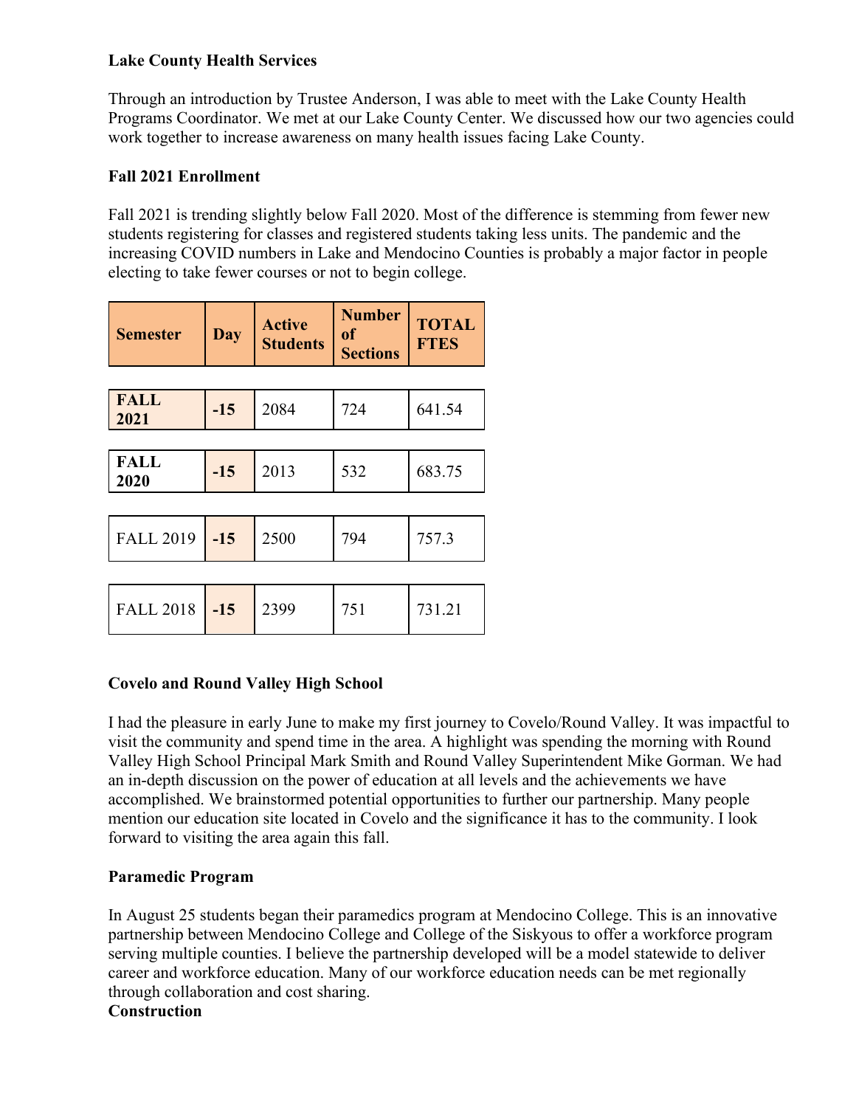# **Lake County Health Services**

Through an introduction by Trustee Anderson, I was able to meet with the Lake County Health Programs Coordinator. We met at our Lake County Center. We discussed how our two agencies could work together to increase awareness on many health issues facing Lake County.

# **Fall 2021 Enrollment**

Fall 2021 is trending slightly below Fall 2020. Most of the difference is stemming from fewer new students registering for classes and registered students taking less units. The pandemic and the increasing COVID numbers in Lake and Mendocino Counties is probably a major factor in people electing to take fewer courses or not to begin college.

| <b>Semester</b>     | Day   | <b>Active</b><br><b>Students</b> | <b>Number</b><br>of<br><b>Sections</b> | <b>TOTAL</b><br><b>FTES</b> |
|---------------------|-------|----------------------------------|----------------------------------------|-----------------------------|
|                     |       |                                  |                                        |                             |
| <b>FALL</b><br>2021 | $-15$ | 2084                             | 724                                    | 641.54                      |
|                     |       |                                  |                                        |                             |
| <b>FALL</b><br>2020 | $-15$ | 2013                             | 532                                    | 683.75                      |
|                     |       |                                  |                                        |                             |
| <b>FALL 2019</b>    | $-15$ | 2500                             | 794                                    | 757.3                       |
|                     |       |                                  |                                        |                             |
| <b>FALL 2018</b>    | $-15$ | 2399                             | 751                                    | 731.21                      |

# **Covelo and Round Valley High School**

I had the pleasure in early June to make my first journey to Covelo/Round Valley. It was impactful to visit the community and spend time in the area. A highlight was spending the morning with Round Valley High School Principal Mark Smith and Round Valley Superintendent Mike Gorman. We had an in-depth discussion on the power of education at all levels and the achievements we have accomplished. We brainstormed potential opportunities to further our partnership. Many people mention our education site located in Covelo and the significance it has to the community. I look forward to visiting the area again this fall.

# **Paramedic Program**

In August 25 students began their paramedics program at Mendocino College. This is an innovative partnership between Mendocino College and College of the Siskyous to offer a workforce program serving multiple counties. I believe the partnership developed will be a model statewide to deliver career and workforce education. Many of our workforce education needs can be met regionally through collaboration and cost sharing.

**Construction**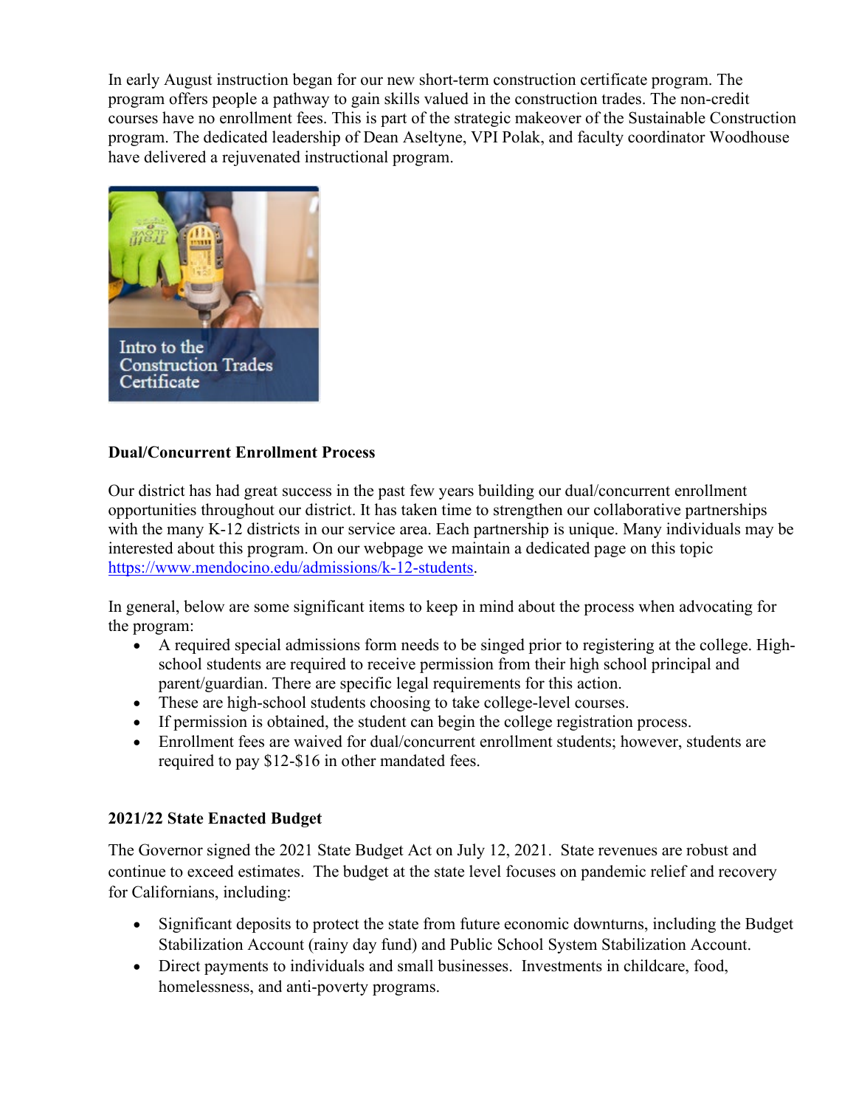In early August instruction began for our new short-term construction certificate program. The program offers people a pathway to gain skills valued in the construction trades. The non-credit courses have no enrollment fees. This is part of the strategic makeover of the Sustainable Construction program. The dedicated leadership of Dean Aseltyne, VPI Polak, and faculty coordinator Woodhouse have delivered a rejuvenated instructional program.



# **Dual/Concurrent Enrollment Process**

Our district has had great success in the past few years building our dual/concurrent enrollment opportunities throughout our district. It has taken time to strengthen our collaborative partnerships with the many K-12 districts in our service area. Each partnership is unique. Many individuals may be interested about this program. On our webpage we maintain a dedicated page on this topic [https://www.mendocino.edu/admissions/k-12-students.](https://www.mendocino.edu/admissions/k-12-students)

In general, below are some significant items to keep in mind about the process when advocating for the program:

- A required special admissions form needs to be singed prior to registering at the college. Highschool students are required to receive permission from their high school principal and parent/guardian. There are specific legal requirements for this action.
- These are high-school students choosing to take college-level courses.
- If permission is obtained, the student can begin the college registration process.
- Enrollment fees are waived for dual/concurrent enrollment students; however, students are required to pay \$12-\$16 in other mandated fees.

# **2021/22 State Enacted Budget**

The Governor signed the 2021 State Budget Act on July 12, 2021. State revenues are robust and continue to exceed estimates. The budget at the state level focuses on pandemic relief and recovery for Californians, including:

- Significant deposits to protect the state from future economic downturns, including the Budget Stabilization Account (rainy day fund) and Public School System Stabilization Account.
- Direct payments to individuals and small businesses. Investments in childcare, food, homelessness, and anti-poverty programs.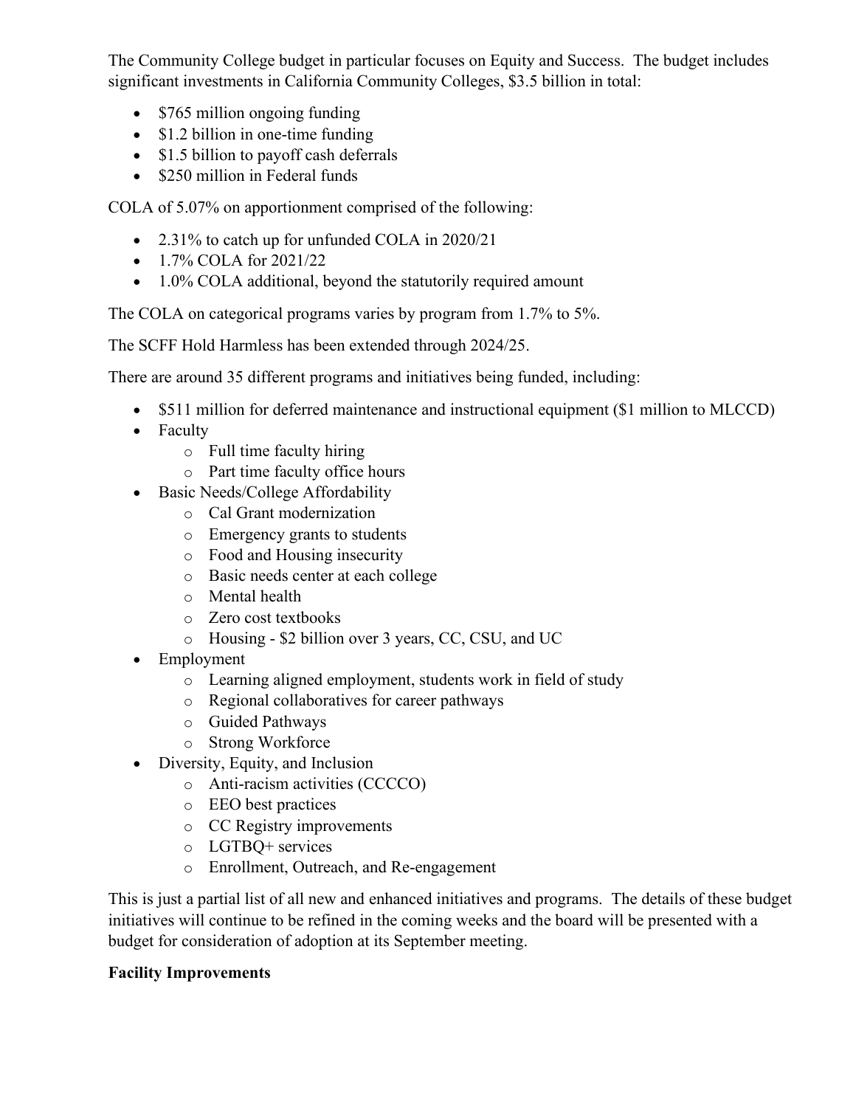The Community College budget in particular focuses on Equity and Success. The budget includes significant investments in California Community Colleges, \$3.5 billion in total:

- \$765 million ongoing funding
- \$1.2 billion in one-time funding
- \$1.5 billion to payoff cash deferrals
- \$250 million in Federal funds

COLA of 5.07% on apportionment comprised of the following:

- 2.31% to catch up for unfunded COLA in 2020/21
- 1.7% COLA for 2021/22
- 1.0% COLA additional, beyond the statutorily required amount

The COLA on categorical programs varies by program from 1.7% to 5%.

The SCFF Hold Harmless has been extended through 2024/25.

There are around 35 different programs and initiatives being funded, including:

- \$511 million for deferred maintenance and instructional equipment (\$1 million to MLCCD)
- Faculty
	- o Full time faculty hiring
	- o Part time faculty office hours
- Basic Needs/College Affordability
	- o Cal Grant modernization
	- o Emergency grants to students
	- o Food and Housing insecurity
	- o Basic needs center at each college
	- o Mental health
	- o Zero cost textbooks
	- o Housing \$2 billion over 3 years, CC, CSU, and UC
- Employment
	- o Learning aligned employment, students work in field of study
	- o Regional collaboratives for career pathways
	- o Guided Pathways
	- o Strong Workforce
- Diversity, Equity, and Inclusion
	- o Anti-racism activities (CCCCO)
	- o EEO best practices
	- o CC Registry improvements
	- o LGTBQ+ services
	- o Enrollment, Outreach, and Re-engagement

This is just a partial list of all new and enhanced initiatives and programs. The details of these budget initiatives will continue to be refined in the coming weeks and the board will be presented with a budget for consideration of adoption at its September meeting.

# **Facility Improvements**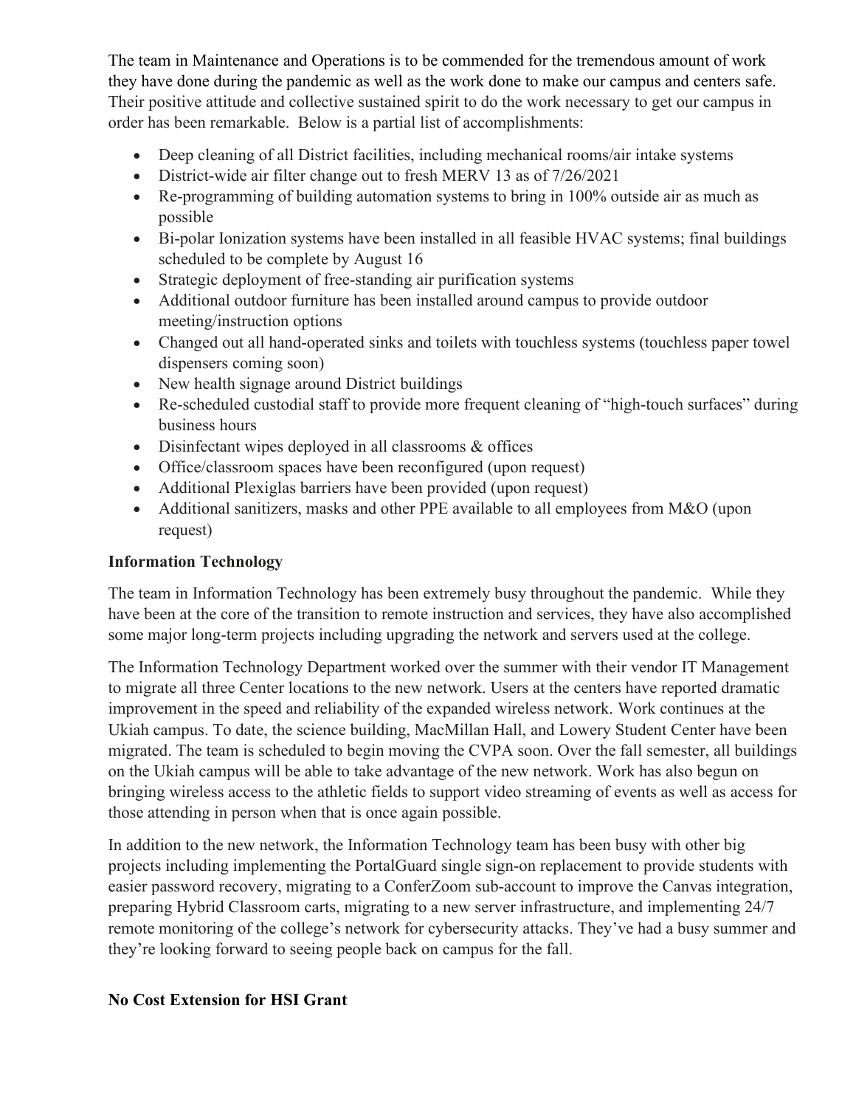The team in Maintenance and Operations is to be commended for the tremendous amount of work they have done during the pandemic as well as the work done to make our campus and centers safe. Their positive attitude and collective sustained spirit to do the work necessary to get our campus in order has been remarkable. Below is a partial list of accomplishments:

- Deep cleaning of all District facilities, including mechanical rooms/air intake systems
- District-wide air filter change out to fresh MERV 13 as of 7/26/2021
- Re-programming of building automation systems to bring in 100% outside air as much as possible
- Bi-polar Ionization systems have been installed in all feasible HVAC systems; final buildings scheduled to be complete by August 16
- Strategic deployment of free-standing air purification systems
- Additional outdoor furniture has been installed around campus to provide outdoor meeting/instruction options
- Changed out all hand-operated sinks and toilets with touchless systems (touchless paper towel dispensers coming soon)
- New health signage around District buildings
- Re-scheduled custodial staff to provide more frequent cleaning of "high-touch surfaces" during business hours
- Disinfectant wipes deployed in all classrooms & offices
- Office/classroom spaces have been reconfigured (upon request)
- Additional Plexiglas barriers have been provided (upon request)
- Additional sanitizers, masks and other PPE available to all employees from M&O (upon request)

# **Information Technology**

The team in Information Technology has been extremely busy throughout the pandemic. While they have been at the core of the transition to remote instruction and services, they have also accomplished some major long-term projects including upgrading the network and servers used at the college.

The Information Technology Department worked over the summer with their vendor IT Management to migrate all three Center locations to the new network. Users at the centers have reported dramatic improvement in the speed and reliability of the expanded wireless network. Work continues at the Ukiah campus. To date, the science building, MacMillan Hall, and Lowery Student Center have been migrated. The team is scheduled to begin moving the CVPA soon. Over the fall semester, all buildings on the Ukiah campus will be able to take advantage of the new network. Work has also begun on bringing wireless access to the athletic fields to support video streaming of events as well as access for those attending in person when that is once again possible.

In addition to the new network, the Information Technology team has been busy with other big projects including implementing the PortalGuard single sign-on replacement to provide students with easier password recovery, migrating to a ConferZoom sub-account to improve the Canvas integration, preparing Hybrid Classroom carts, migrating to a new server infrastructure, and implementing 24/7 remote monitoring of the college's network for cybersecurity attacks. They've had a busy summer and they're looking forward to seeing people back on campus for the fall.

# **No Cost Extension for HSI Grant**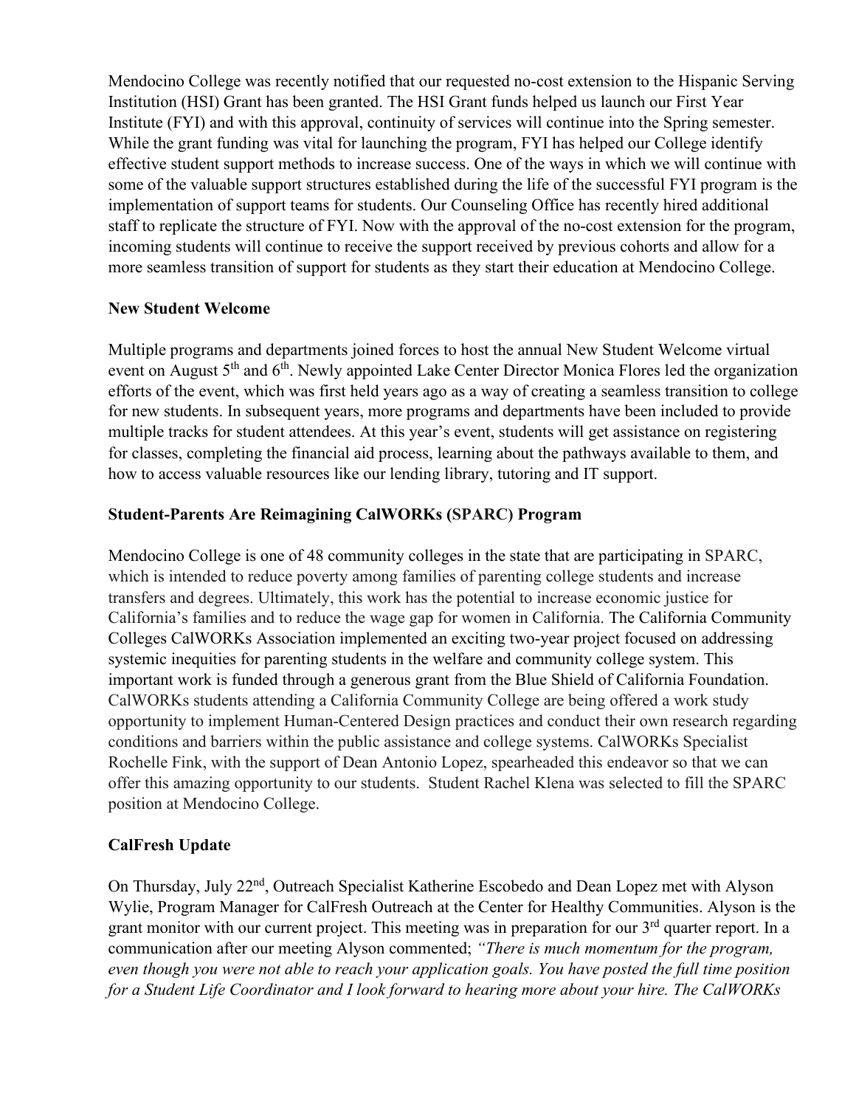Mendocino College was recently notified that our requested no-cost extension to the Hispanic Serving Institution (HSI) Grant has been granted. The HSI Grant funds helped us launch our First Year Institute (FYI) and with this approval, continuity of services will continue into the Spring semester. While the grant funding was vital for launching the program, FYI has helped our College identify effective student support methods to increase success. One of the ways in which we will continue with some of the valuable support structures established during the life of the successful FYI program is the implementation of support teams for students. Our Counseling Office has recently hired additional staff to replicate the structure of FYI. Now with the approval of the no-cost extension for the program, incoming students will continue to receive the support received by previous cohorts and allow for a more seamless transition of support for students as they start their education at Mendocino College.

# **New Student Welcome**

Multiple programs and departments joined forces to host the annual New Student Welcome virtual event on August 5<sup>th</sup> and 6<sup>th</sup>. Newly appointed Lake Center Director Monica Flores led the organization efforts of the event, which was first held years ago as a way of creating a seamless transition to college for new students. In subsequent years, more programs and departments have been included to provide multiple tracks for student attendees. At this year's event, students will get assistance on registering for classes, completing the financial aid process, learning about the pathways available to them, and how to access valuable resources like our lending library, tutoring and IT support.

# **Student-Parents Are Reimagining CalWORKs (SPARC) Program**

Mendocino College is one of 48 community colleges in the state that are participating in SPARC, which is intended to reduce poverty among families of parenting college students and increase transfers and degrees. Ultimately, this work has the potential to increase economic justice for California's families and to reduce the wage gap for women in California. The California Community Colleges CalWORKs Association implemented an exciting two-year project focused on addressing systemic inequities for parenting students in the welfare and community college system. This important work is funded through a generous grant from the Blue Shield of California Foundation. CalWORKs students attending a California Community College are being offered a work study opportunity to implement Human-Centered Design practices and conduct their own research regarding conditions and barriers within the public assistance and college systems. CalWORKs Specialist Rochelle Fink, with the support of Dean Antonio Lopez, spearheaded this endeavor so that we can offer this amazing opportunity to our students. Student Rachel Klena was selected to fill the SPARC position at Mendocino College.

# **CalFresh Update**

On Thursday, July 22<sup>nd</sup>, Outreach Specialist Katherine Escobedo and Dean Lopez met with Alyson Wylie, Program Manager for CalFresh Outreach at the Center for Healthy Communities. Alyson is the grant monitor with our current project. This meeting was in preparation for our 3<sup>rd</sup> quarter report. In a communication after our meeting Alyson commented; *"There is much momentum for the program, even though you were not able to reach your application goals. You have posted the full time position for a Student Life Coordinator and I look forward to hearing more about your hire. The CalWORKs*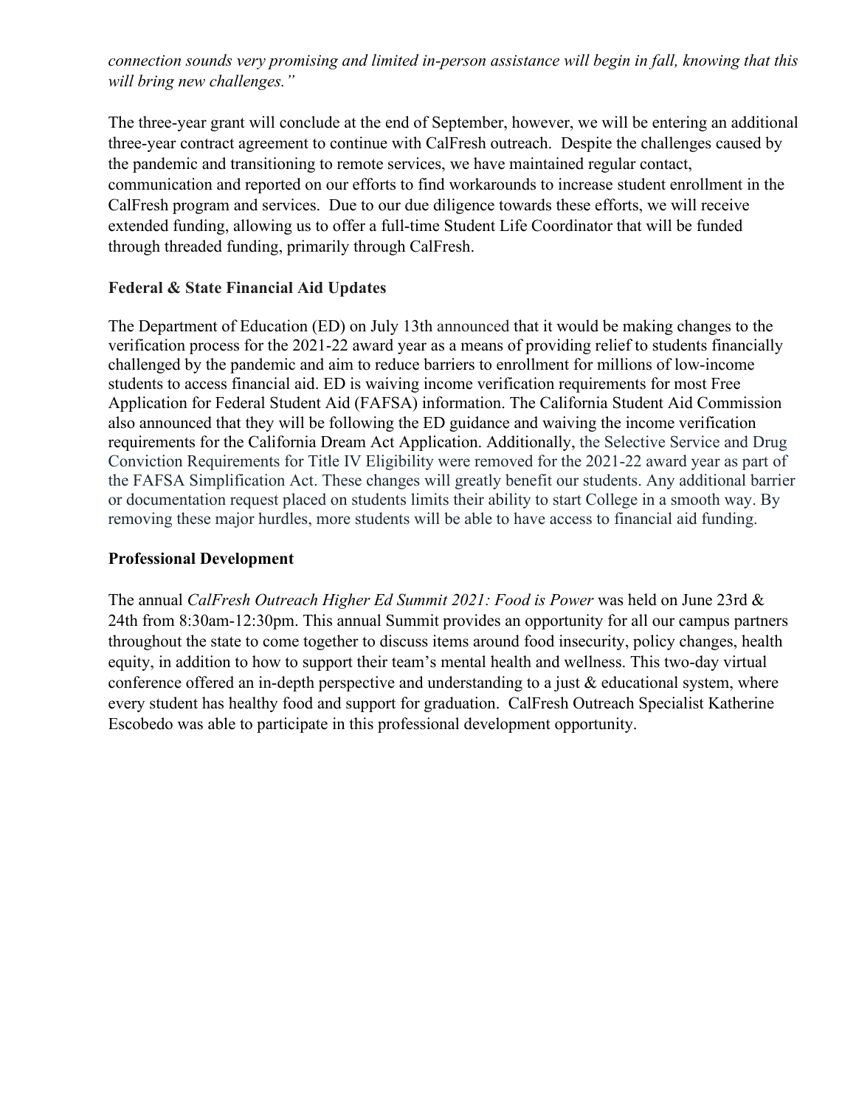*connection sounds very promising and limited in-person assistance will begin in fall, knowing that this will bring new challenges."*

The three-year grant will conclude at the end of September, however, we will be entering an additional three-year contract agreement to continue with CalFresh outreach. Despite the challenges caused by the pandemic and transitioning to remote services, we have maintained regular contact, communication and reported on our efforts to find workarounds to increase student enrollment in the CalFresh program and services. Due to our due diligence towards these efforts, we will receive extended funding, allowing us to offer a full-time Student Life Coordinator that will be funded through threaded funding, primarily through CalFresh.

# **Federal & State Financial Aid Updates**

The Department of Education (ED) on July 13th announced that it would be making changes to the verification process for the 2021-22 award year as a means of providing relief to students financially challenged by the pandemic and aim to reduce barriers to enrollment for millions of low-income students to access financial aid. ED is waiving income verification requirements for most Free Application for Federal Student Aid (FAFSA) information. The California Student Aid Commission also announced that they will be following the ED guidance and waiving the income verification requirements for the California Dream Act Application. Additionally, the Selective Service and Drug Conviction Requirements for Title IV Eligibility were removed for the 2021-22 award year as part of the FAFSA Simplification Act. These changes will greatly benefit our students. Any additional barrier or documentation request placed on students limits their ability to start College in a smooth way. By removing these major hurdles, more students will be able to have access to financial aid funding.

## **Professional Development**

The annual *CalFresh Outreach Higher Ed Summit 2021: Food is Power* was held on June 23rd & 24th from 8:30am-12:30pm. This annual Summit provides an opportunity for all our campus partners throughout the state to come together to discuss items around food insecurity, policy changes, health equity, in addition to how to support their team's mental health and wellness. This two-day virtual conference offered an in-depth perspective and understanding to a just  $\&$  educational system, where every student has healthy food and support for graduation. CalFresh Outreach Specialist Katherine Escobedo was able to participate in this professional development opportunity.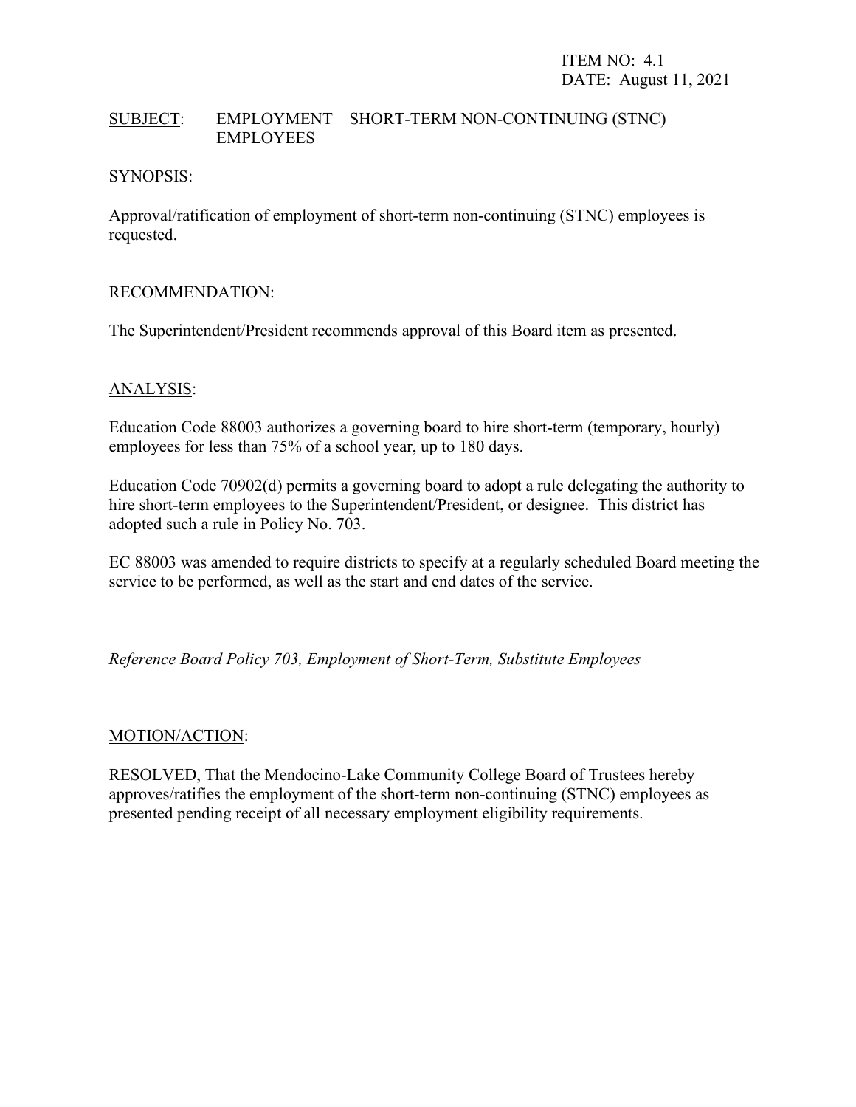# SUBJECT: EMPLOYMENT – SHORT-TERM NON-CONTINUING (STNC) EMPLOYEES

#### SYNOPSIS:

Approval/ratification of employment of short-term non-continuing (STNC) employees is requested.

#### RECOMMENDATION:

The Superintendent/President recommends approval of this Board item as presented.

# ANALYSIS:

Education Code 88003 authorizes a governing board to hire short-term (temporary, hourly) employees for less than 75% of a school year, up to 180 days.

Education Code 70902(d) permits a governing board to adopt a rule delegating the authority to hire short-term employees to the Superintendent/President, or designee. This district has adopted such a rule in Policy No. 703.

EC 88003 was amended to require districts to specify at a regularly scheduled Board meeting the service to be performed, as well as the start and end dates of the service.

*Reference Board Policy 703, Employment of Short-Term, Substitute Employees*

#### MOTION/ACTION:

RESOLVED, That the Mendocino-Lake Community College Board of Trustees hereby approves/ratifies the employment of the short-term non-continuing (STNC) employees as presented pending receipt of all necessary employment eligibility requirements.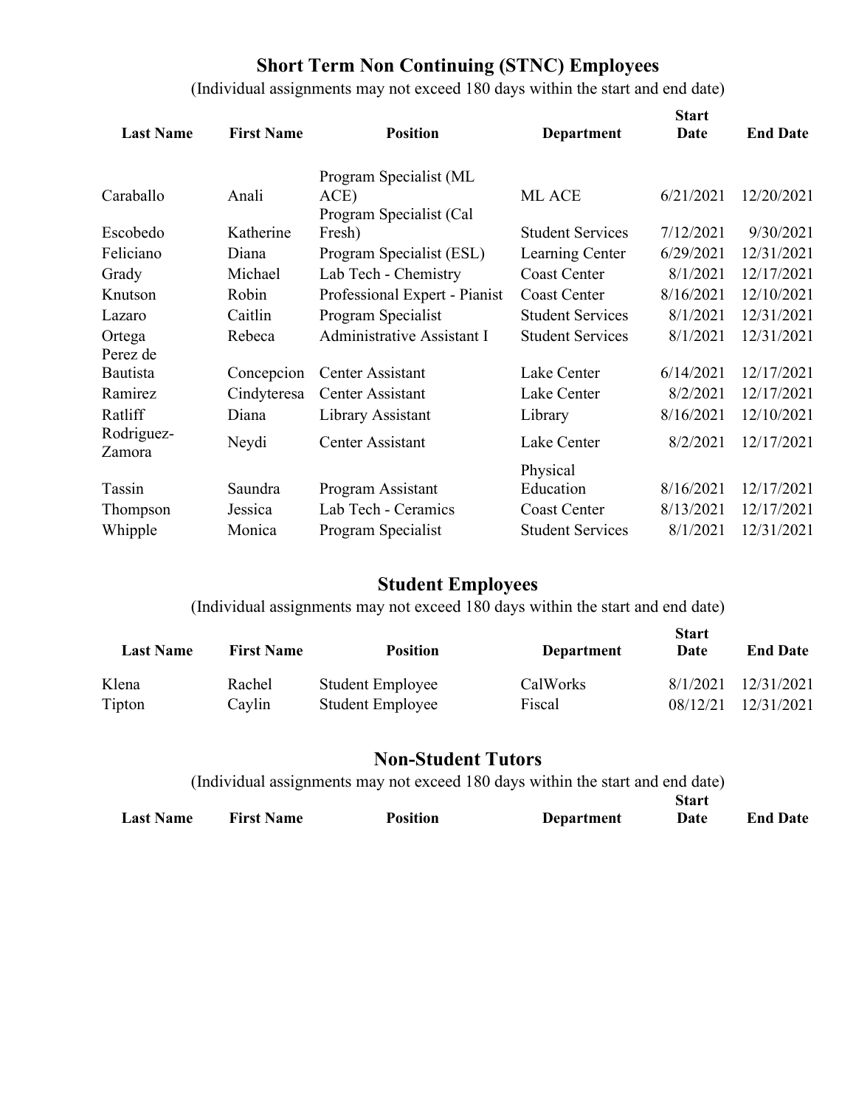# **Short Term Non Continuing (STNC) Employees**

(Individual assignments may not exceed 180 days within the start and end date)

| <b>Last Name</b>     | <b>First Name</b> | <b>Position</b>                | <b>Department</b>       | <b>Start</b><br>Date | <b>End Date</b> |
|----------------------|-------------------|--------------------------------|-------------------------|----------------------|-----------------|
| Caraballo            | Anali             | Program Specialist (ML<br>ACE) | ML ACE                  | 6/21/2021            | 12/20/2021      |
|                      |                   | Program Specialist (Cal        |                         |                      |                 |
| Escobedo             | Katherine         | Fresh)                         | <b>Student Services</b> | 7/12/2021            | 9/30/2021       |
| Feliciano            | Diana             | Program Specialist (ESL)       | Learning Center         | 6/29/2021            | 12/31/2021      |
| Grady                | Michael           | Lab Tech - Chemistry           | <b>Coast Center</b>     | 8/1/2021             | 12/17/2021      |
| Knutson              | Robin             | Professional Expert - Pianist  | <b>Coast Center</b>     | 8/16/2021            | 12/10/2021      |
| Lazaro               | Caitlin           | Program Specialist             | <b>Student Services</b> | 8/1/2021             | 12/31/2021      |
| Ortega<br>Perez de   | Rebeca            | Administrative Assistant I     | <b>Student Services</b> | 8/1/2021             | 12/31/2021      |
| Bautista             | Concepcion        | Center Assistant               | Lake Center             | 6/14/2021            | 12/17/2021      |
| Ramirez              | Cindyteresa       | Center Assistant               | Lake Center             | 8/2/2021             | 12/17/2021      |
| Ratliff              | Diana             | Library Assistant              | Library                 | 8/16/2021            | 12/10/2021      |
| Rodriguez-<br>Zamora | Neydi             | Center Assistant               | Lake Center             | 8/2/2021             | 12/17/2021      |
|                      |                   |                                | Physical                |                      |                 |
| Tassin               | Saundra           | Program Assistant              | Education               | 8/16/2021            | 12/17/2021      |
| Thompson             | Jessica           | Lab Tech - Ceramics            | <b>Coast Center</b>     | 8/13/2021            | 12/17/2021      |
| Whipple              | Monica            | Program Specialist             | <b>Student Services</b> | 8/1/2021             | 12/31/2021      |

# **Student Employees**

(Individual assignments may not exceed 180 days within the start and end date)

| <b>Last Name</b> | <b>First Name</b> | <b>Position</b>         | Department      | <b>Start</b><br>Date | <b>End Date</b> |
|------------------|-------------------|-------------------------|-----------------|----------------------|-----------------|
| Klena            | Rachel            | <b>Student Employee</b> | <b>CalWorks</b> | 8/1/2021             | 12/31/2021      |
| Tipton           | Caylin            | <b>Student Employee</b> | Fiscal          | 08/12/21             | 12/31/2021      |

# **Non-Student Tutors**

(Individual assignments may not exceed 180 days within the start and end date) **Last Name First Name Position Department Start Date End Date**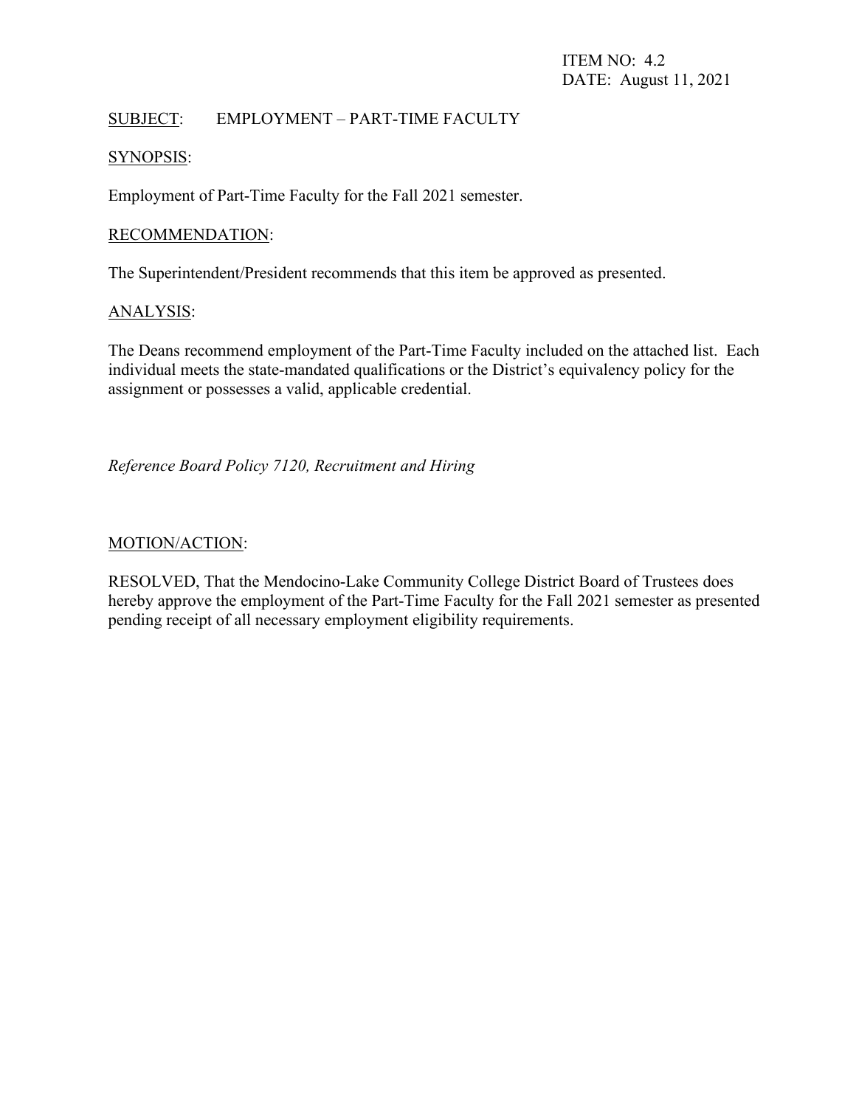# SUBJECT: EMPLOYMENT – PART-TIME FACULTY

#### SYNOPSIS:

Employment of Part-Time Faculty for the Fall 2021 semester.

#### RECOMMENDATION:

The Superintendent/President recommends that this item be approved as presented.

#### ANALYSIS:

The Deans recommend employment of the Part-Time Faculty included on the attached list. Each individual meets the state-mandated qualifications or the District's equivalency policy for the assignment or possesses a valid, applicable credential.

*Reference Board Policy 7120, Recruitment and Hiring*

#### MOTION/ACTION:

RESOLVED, That the Mendocino-Lake Community College District Board of Trustees does hereby approve the employment of the Part-Time Faculty for the Fall 2021 semester as presented pending receipt of all necessary employment eligibility requirements.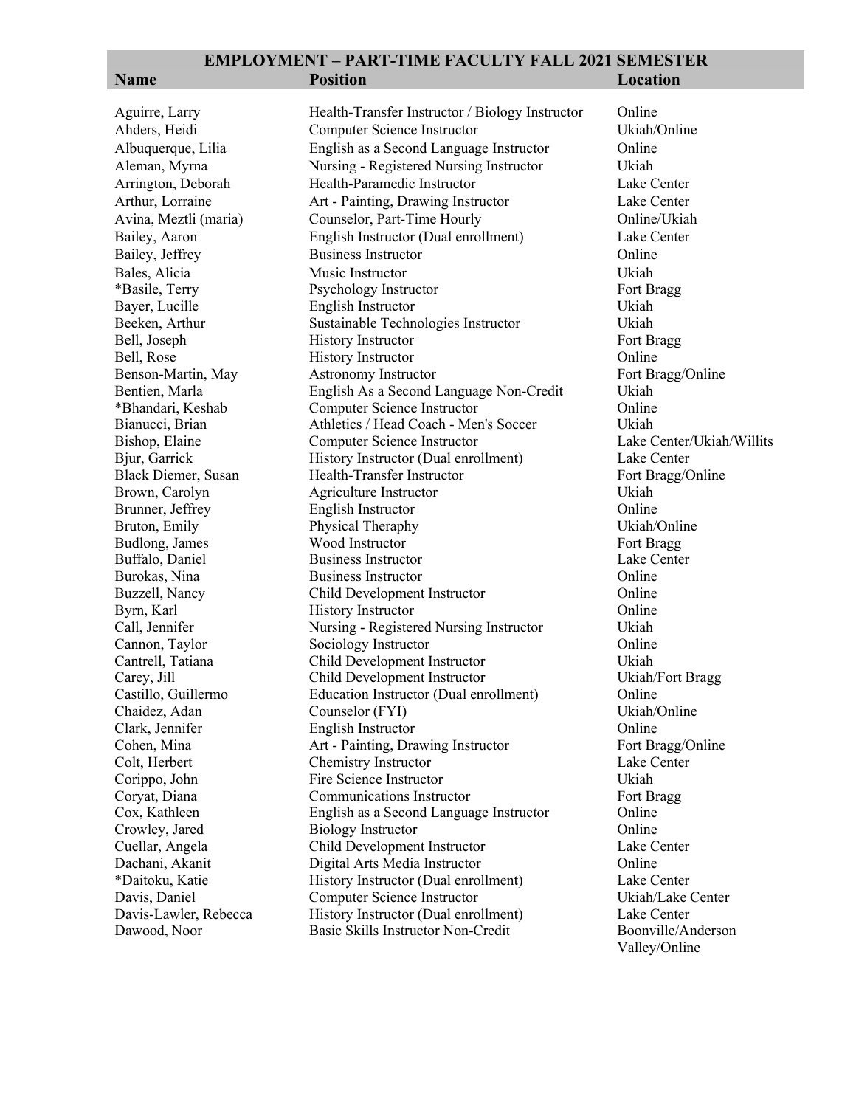|  | в<br>m | ı<br>٠ |
|--|--------|--------|
|  |        |        |

**EMPLOYMENT – PART-TIME FACULTY FALL 2021 SEMESTER Name Position Location** Aguirre, Larry **Health-Transfer Instructor / Biology Instructor** Online Ahders, Heidi Computer Science Instructor Ukiah/Online Albuquerque, Lilia English as a Second Language Instructor Online Aleman, Myrna Nursing - Registered Nursing Instructor Ukiah Arrington, Deborah Health-Paramedic Instructor Lake Center Arthur, Lorraine Art - Painting, Drawing Instructor Lake Center Avina, Meztli (maria) Counselor, Part-Time Hourly Online/Ukiah Bailey, Aaron English Instructor (Dual enrollment) Lake Center Bailey, Jeffrey Business Instructor Conline Bales, Alicia Music Instructor Ukiah \*Basile, Terry **Psychology Instructor** Fort Bragg Bayer, Lucille English Instructor Ukiah Beeken, Arthur Sustainable Technologies Instructor Ukiah<br>Bell, Joseph History Instructor Fort Bragg Bell, Joseph History Instructor Bell, Rose **History Instructor Colline Colline Colline** Benson-Martin, May Astronomy Instructor Fort Bragg/Online Bentien, Marla English As a Second Language Non-Credit Ukiah \*Bhandari, Keshab Computer Science Instructor Online Bianucci, Brian Athletics / Head Coach - Men's Soccer Ukiah Bishop, Elaine Computer Science Instructor Lake Center/Ukiah/Willits Bjur, Garrick **History Instructor (Dual enrollment)** Lake Center Black Diemer, Susan Health-Transfer Instructor Fort Bragg/Online Brown, Carolyn Agriculture Instructor Ukiah Brunner, Jeffrey English Instructor and Communication Communication Communication Communication Communication Online<br>Bruton, Emily Physical Theraphy China China China China China China China China China China China China C Bruton, Emily Physical Theraphy Budlong, James **Wood Instructor** Fort Bragg **Fort Bragg** Buffalo, Daniel Business Instructor Lake Center Burokas, Nina Business Instructor Online Buzzell, Nancy Child Development Instructor Online Byrn, Karl **History Instructor Colline** Online Call, Jennifer Nursing - Registered Nursing Instructor Ukiah Cannon, Taylor Sociology Instructor Online Cantrell, Tatiana Child Development Instructor Ukiah Carey, Jill Child Development Instructor Ukiah/Fort Bragg Castillo, Guillermo Education Instructor (Dual enrollment) Online Chaidez, Adan Counselor (FYI) Ukiah/Online Clark, Jennifer English Instructor Online Cohen, Mina **Art - Painting, Drawing Instructor** Fort Bragg/Online Colt, Herbert Chemistry Instructor Lake Center Corippo, John Fire Science Instructor Ukiah Coryat, Diana Communications Instructor Fort Bragg Cox, Kathleen English as a Second Language Instructor Online Crowley, Jared Biology Instructor Cuellar, Angela Child Development Instructor Lake Center Digital Arts Media Instructor **Online** 

Davis, Daniel Computer Science Instructor

\*Daitoku, Katie History Instructor (Dual enrollment) Lake Center Davis-Lawler, Rebecca History Instructor (Dual enrollment) Lake Center Dawood, Noor Basic Skills Instructor Non-Credit Boonville/Anderson Valley/Online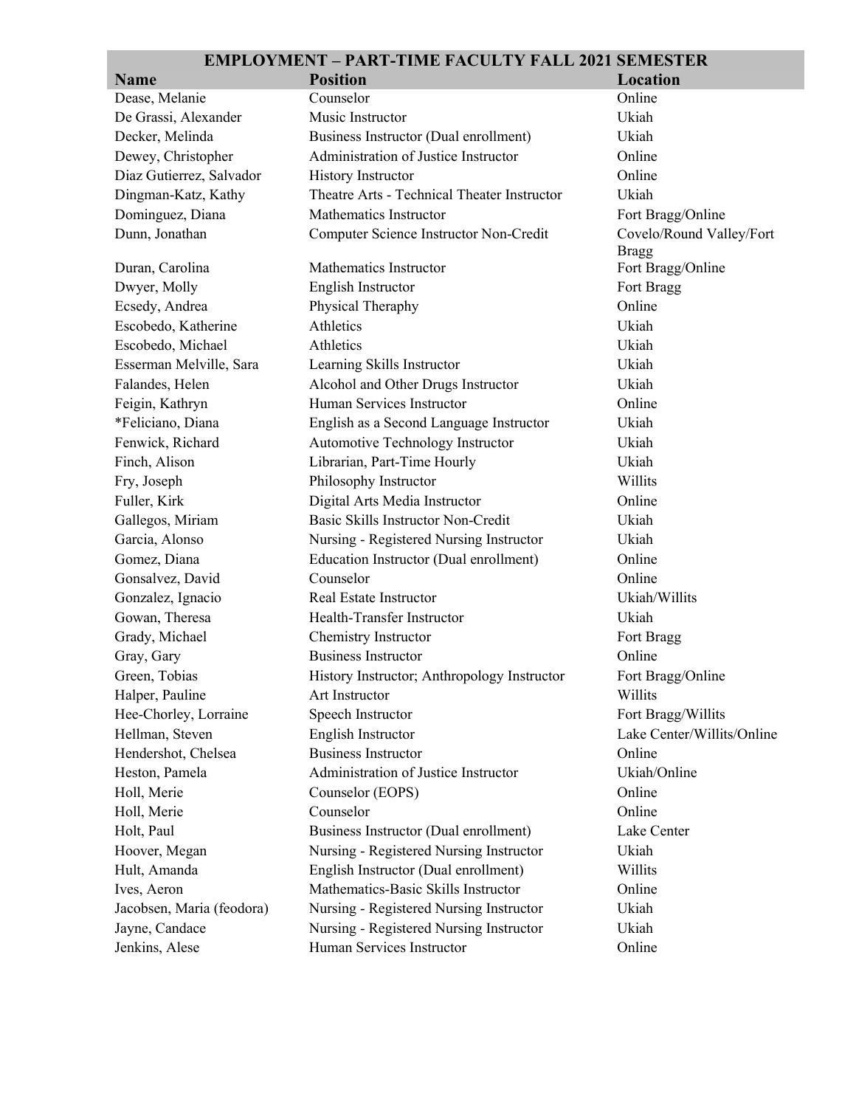**The State** 

| <b>Name</b>               | <b>Position</b>                             | Location                   |
|---------------------------|---------------------------------------------|----------------------------|
| Dease, Melanie            | Counselor                                   | Online                     |
| De Grassi, Alexander      | Music Instructor                            | Ukiah                      |
| Decker, Melinda           | Business Instructor (Dual enrollment)       | Ukiah                      |
| Dewey, Christopher        | Administration of Justice Instructor        | Online                     |
| Diaz Gutierrez, Salvador  | <b>History Instructor</b>                   | Online                     |
| Dingman-Katz, Kathy       | Theatre Arts - Technical Theater Instructor | Ukiah                      |
| Dominguez, Diana          | Mathematics Instructor                      | Fort Bragg/Online          |
| Dunn, Jonathan            | Computer Science Instructor Non-Credit      | Covelo/Round Valley/Fort   |
|                           |                                             | <b>Bragg</b>               |
| Duran, Carolina           | Mathematics Instructor                      | Fort Bragg/Online          |
| Dwyer, Molly              | English Instructor                          | Fort Bragg                 |
| Ecsedy, Andrea            | Physical Theraphy                           | Online                     |
| Escobedo, Katherine       | Athletics                                   | Ukiah                      |
| Escobedo, Michael         | Athletics                                   | Ukiah                      |
| Esserman Melville, Sara   | Learning Skills Instructor                  | Ukiah                      |
| Falandes, Helen           | Alcohol and Other Drugs Instructor          | Ukiah                      |
| Feigin, Kathryn           | Human Services Instructor                   | Online                     |
| *Feliciano, Diana         | English as a Second Language Instructor     | Ukiah                      |
| Fenwick, Richard          | Automotive Technology Instructor            | Ukiah                      |
| Finch, Alison             | Librarian, Part-Time Hourly                 | Ukiah                      |
| Fry, Joseph               | Philosophy Instructor                       | Willits                    |
| Fuller, Kirk              | Digital Arts Media Instructor               | Online                     |
| Gallegos, Miriam          | Basic Skills Instructor Non-Credit          | Ukiah                      |
| Garcia, Alonso            | Nursing - Registered Nursing Instructor     | Ukiah                      |
| Gomez, Diana              | Education Instructor (Dual enrollment)      | Online                     |
| Gonsalvez, David          | Counselor                                   | Online                     |
| Gonzalez, Ignacio         | Real Estate Instructor                      | Ukiah/Willits              |
| Gowan, Theresa            | Health-Transfer Instructor                  | Ukiah                      |
| Grady, Michael            | Chemistry Instructor                        | Fort Bragg                 |
| Gray, Gary                | <b>Business Instructor</b>                  | Online                     |
| Green, Tobias             | History Instructor; Anthropology Instructor | Fort Bragg/Online          |
| Halper, Pauline           | Art Instructor                              | Willits                    |
| Hee-Chorley, Lorraine     | Speech Instructor                           | Fort Bragg/Willits         |
| Hellman, Steven           | English Instructor                          | Lake Center/Willits/Online |
| Hendershot, Chelsea       | <b>Business Instructor</b>                  | Online                     |
| Heston, Pamela            | Administration of Justice Instructor        | Ukiah/Online               |
| Holl, Merie               | Counselor (EOPS)                            | Online                     |
| Holl, Merie               | Counselor                                   | Online                     |
| Holt, Paul                | Business Instructor (Dual enrollment)       | Lake Center                |
| Hoover, Megan             | Nursing - Registered Nursing Instructor     | Ukiah                      |
| Hult, Amanda              | English Instructor (Dual enrollment)        | Willits                    |
| Ives, Aeron               | Mathematics-Basic Skills Instructor         | Online                     |
| Jacobsen, Maria (feodora) | Nursing - Registered Nursing Instructor     | Ukiah                      |
| Jayne, Candace            | Nursing - Registered Nursing Instructor     | Ukiah                      |
| Jenkins, Alese            | Human Services Instructor                   | Online                     |
|                           |                                             |                            |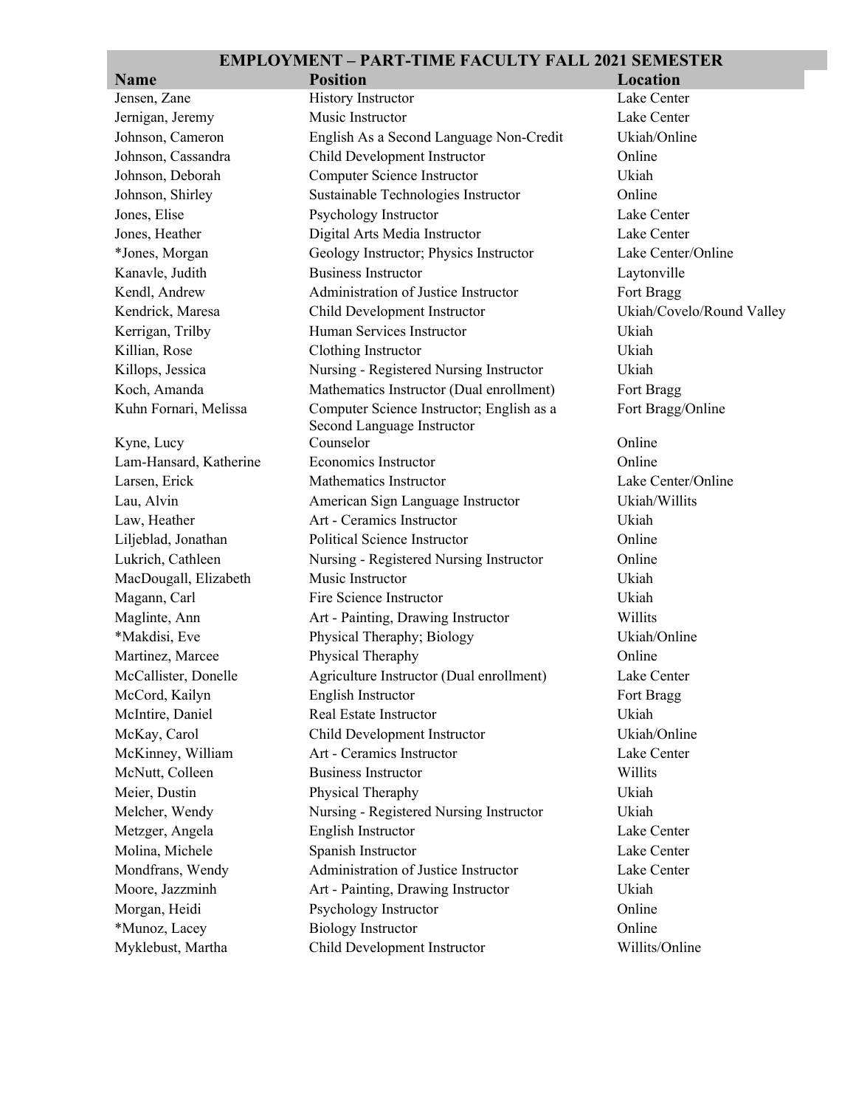| <b>Name</b>            | <b>Position</b>                                                         | Location                  |
|------------------------|-------------------------------------------------------------------------|---------------------------|
| Jensen, Zane           | <b>History Instructor</b>                                               | Lake Center               |
| Jernigan, Jeremy       | Music Instructor                                                        | Lake Center               |
| Johnson, Cameron       | English As a Second Language Non-Credit                                 | Ukiah/Online              |
| Johnson, Cassandra     | Child Development Instructor                                            | Online                    |
| Johnson, Deborah       | Computer Science Instructor                                             | Ukiah                     |
| Johnson, Shirley       | Sustainable Technologies Instructor                                     | Online                    |
| Jones, Elise           | Psychology Instructor                                                   | Lake Center               |
| Jones, Heather         | Digital Arts Media Instructor                                           | Lake Center               |
| *Jones, Morgan         | Geology Instructor; Physics Instructor                                  | Lake Center/Online        |
| Kanavle, Judith        | <b>Business Instructor</b>                                              | Laytonville               |
| Kendl, Andrew          | Administration of Justice Instructor                                    | Fort Bragg                |
| Kendrick, Maresa       | Child Development Instructor                                            | Ukiah/Covelo/Round Valley |
| Kerrigan, Trilby       | Human Services Instructor                                               | Ukiah                     |
| Killian, Rose          | Clothing Instructor                                                     | Ukiah                     |
| Killops, Jessica       | Nursing - Registered Nursing Instructor                                 | Ukiah                     |
| Koch, Amanda           | Mathematics Instructor (Dual enrollment)                                | Fort Bragg                |
| Kuhn Fornari, Melissa  | Computer Science Instructor; English as a<br>Second Language Instructor | Fort Bragg/Online         |
| Kyne, Lucy             | Counselor                                                               | Online                    |
| Lam-Hansard, Katherine | <b>Economics Instructor</b>                                             | Online                    |
| Larsen, Erick          | Mathematics Instructor                                                  | Lake Center/Online        |
| Lau, Alvin             | American Sign Language Instructor                                       | Ukiah/Willits             |
| Law, Heather           | Art - Ceramics Instructor                                               | Ukiah                     |
| Liljeblad, Jonathan    | Political Science Instructor                                            | Online                    |
| Lukrich, Cathleen      | Nursing - Registered Nursing Instructor                                 | Online                    |
| MacDougall, Elizabeth  | Music Instructor                                                        | Ukiah                     |
| Magann, Carl           | Fire Science Instructor                                                 | Ukiah                     |
| Maglinte, Ann          | Art - Painting, Drawing Instructor                                      | Willits                   |
| *Makdisi, Eve          | Physical Theraphy; Biology                                              | Ukiah/Online              |
| Martinez, Marcee       | Physical Theraphy                                                       | Online                    |
| McCallister, Donelle   | Agriculture Instructor (Dual enrollment)                                | Lake Center               |
| McCord, Kailyn         | English Instructor                                                      | Fort Bragg                |
| McIntire, Daniel       | Real Estate Instructor                                                  | Ukiah                     |
| McKay, Carol           | Child Development Instructor                                            | Ukiah/Online              |
| McKinney, William      | Art - Ceramics Instructor                                               | Lake Center               |
| McNutt, Colleen        | <b>Business Instructor</b>                                              | Willits                   |
| Meier, Dustin          | Physical Theraphy                                                       | Ukiah                     |
| Melcher, Wendy         | Nursing - Registered Nursing Instructor                                 | Ukiah                     |
| Metzger, Angela        | English Instructor                                                      | Lake Center               |
| Molina, Michele        | Spanish Instructor                                                      | Lake Center               |
| Mondfrans, Wendy       | Administration of Justice Instructor                                    | Lake Center               |
| Moore, Jazzminh        | Art - Painting, Drawing Instructor                                      | Ukiah                     |
| Morgan, Heidi          | Psychology Instructor                                                   | Online                    |
| *Munoz, Lacey          | <b>Biology Instructor</b>                                               | Online                    |
| Myklebust, Martha      | Child Development Instructor                                            | Willits/Online            |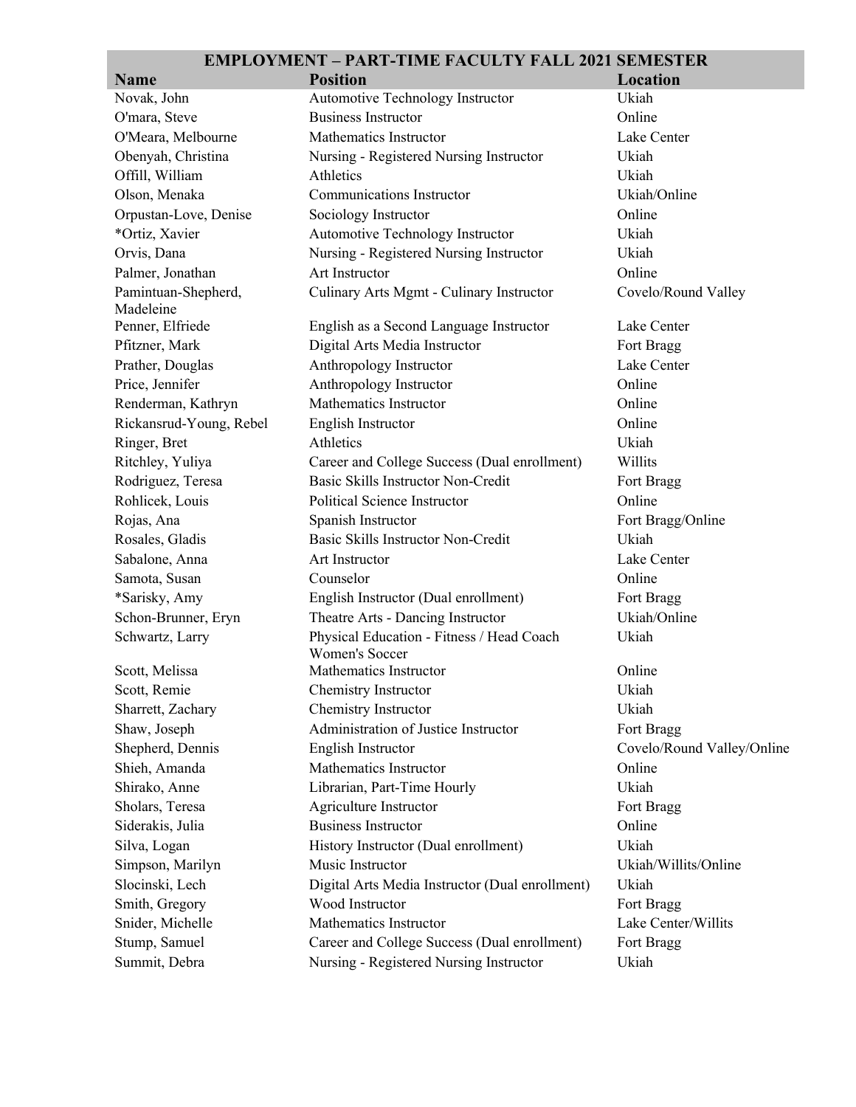| <b>Name</b>                      | <b>Position</b>                                             | Location                   |
|----------------------------------|-------------------------------------------------------------|----------------------------|
| Novak, John                      | Automotive Technology Instructor                            | Ukiah                      |
| O'mara, Steve                    | <b>Business Instructor</b>                                  | Online                     |
| O'Meara, Melbourne               | Mathematics Instructor                                      | Lake Center                |
| Obenyah, Christina               | Nursing - Registered Nursing Instructor                     | Ukiah                      |
| Offill, William                  | Athletics                                                   | Ukiah                      |
| Olson, Menaka                    | Communications Instructor                                   | Ukiah/Online               |
| Orpustan-Love, Denise            | Sociology Instructor                                        | Online                     |
| *Ortiz, Xavier                   | Automotive Technology Instructor                            | Ukiah                      |
| Orvis, Dana                      | Nursing - Registered Nursing Instructor                     | Ukiah                      |
| Palmer, Jonathan                 | Art Instructor                                              | Online                     |
| Pamintuan-Shepherd,<br>Madeleine | Culinary Arts Mgmt - Culinary Instructor                    | Covelo/Round Valley        |
| Penner, Elfriede                 | English as a Second Language Instructor                     | Lake Center                |
| Pfitzner, Mark                   | Digital Arts Media Instructor                               | Fort Bragg                 |
| Prather, Douglas                 | Anthropology Instructor                                     | Lake Center                |
| Price, Jennifer                  | Anthropology Instructor                                     | Online                     |
| Renderman, Kathryn               | Mathematics Instructor                                      | Online                     |
| Rickansrud-Young, Rebel          | English Instructor                                          | Online                     |
| Ringer, Bret                     | Athletics                                                   | Ukiah                      |
| Ritchley, Yuliya                 | Career and College Success (Dual enrollment)                | Willits                    |
| Rodriguez, Teresa                | Basic Skills Instructor Non-Credit                          | Fort Bragg                 |
| Rohlicek, Louis                  | Political Science Instructor                                | Online                     |
| Rojas, Ana                       | Spanish Instructor                                          | Fort Bragg/Online          |
| Rosales, Gladis                  | Basic Skills Instructor Non-Credit                          | Ukiah                      |
| Sabalone, Anna                   | Art Instructor                                              | Lake Center                |
| Samota, Susan                    | Counselor                                                   | Online                     |
| *Sarisky, Amy                    | English Instructor (Dual enrollment)                        | Fort Bragg                 |
| Schon-Brunner, Eryn              | Theatre Arts - Dancing Instructor                           | Ukiah/Online               |
| Schwartz, Larry                  | Physical Education - Fitness / Head Coach<br>Women's Soccer | Ukiah                      |
| Scott, Melissa                   | Mathematics Instructor                                      | Online                     |
| Scott, Remie                     | Chemistry Instructor                                        | Ukiah                      |
| Sharrett, Zachary                | Chemistry Instructor                                        | Ukiah                      |
| Shaw, Joseph                     | Administration of Justice Instructor                        | Fort Bragg                 |
| Shepherd, Dennis                 | English Instructor                                          | Covelo/Round Valley/Online |
| Shieh, Amanda                    | Mathematics Instructor                                      | Online                     |
| Shirako, Anne                    | Librarian, Part-Time Hourly                                 | Ukiah                      |
| Sholars, Teresa                  | Agriculture Instructor                                      | Fort Bragg                 |
| Siderakis, Julia                 | <b>Business Instructor</b>                                  | Online                     |
| Silva, Logan                     | History Instructor (Dual enrollment)                        | Ukiah                      |
| Simpson, Marilyn                 | Music Instructor                                            | Ukiah/Willits/Online       |
| Slocinski, Lech                  | Digital Arts Media Instructor (Dual enrollment)             | Ukiah                      |
| Smith, Gregory                   | Wood Instructor                                             | Fort Bragg                 |
| Snider, Michelle                 | Mathematics Instructor                                      | Lake Center/Willits        |
| Stump, Samuel                    | Career and College Success (Dual enrollment)                | Fort Bragg                 |
| Summit, Debra                    | Nursing - Registered Nursing Instructor                     | Ukiah                      |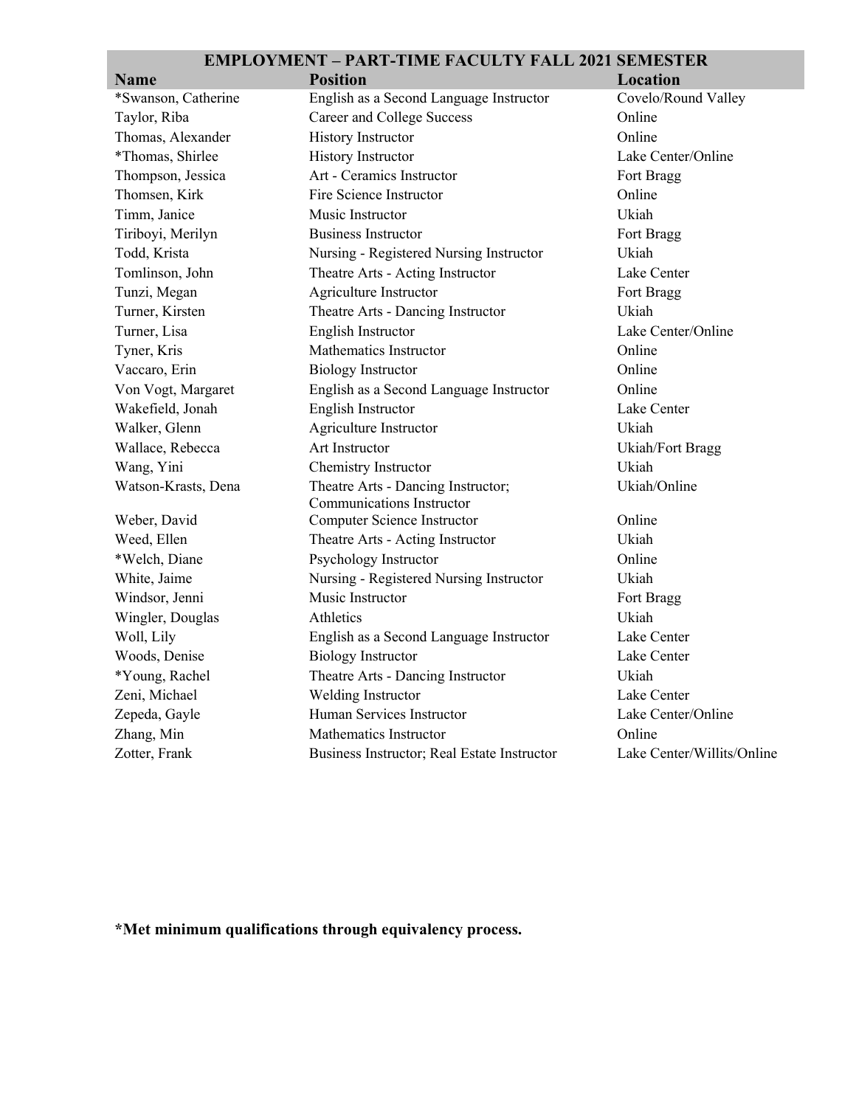| <b>Name</b>                    | <b>Position</b>                                             | <b>Location</b>            |
|--------------------------------|-------------------------------------------------------------|----------------------------|
| *Swanson, Catherine            | English as a Second Language Instructor                     | Covelo/Round Valley        |
| Taylor, Riba                   | <b>Career and College Success</b>                           | Online                     |
| Thomas, Alexander              | History Instructor                                          | Online                     |
| *Thomas, Shirlee               | History Instructor                                          | Lake Center/Online         |
| Thompson, Jessica              | Art - Ceramics Instructor                                   | Fort Bragg                 |
| Thomsen, Kirk                  | Fire Science Instructor                                     | Online                     |
| Timm, Janice                   | Music Instructor                                            | Ukiah                      |
| Tiriboyi, Merilyn              | Business Instructor                                         | Fort Bragg                 |
| Todd, Krista                   | Nursing - Registered Nursing Instructor                     | Ukiah                      |
| Tomlinson, John                | Theatre Arts - Acting Instructor                            | Lake Center                |
| Tunzi, Megan                   | Agriculture Instructor                                      | Fort Bragg                 |
| Turner, Kirsten                | Theatre Arts - Dancing Instructor                           | Ukiah                      |
| Turner, Lisa                   | English Instructor                                          | Lake Center/Online         |
| Tyner, Kris                    | Mathematics Instructor                                      | Online                     |
| Vaccaro, Erin                  | <b>Biology Instructor</b>                                   | Online                     |
| Von Vogt, Margaret             | English as a Second Language Instructor                     | Online                     |
| Wakefield, Jonah               | English Instructor                                          | Lake Center                |
| Walker, Glenn                  | Agriculture Instructor                                      | Ukiah                      |
| Wallace, Rebecca               | Art Instructor                                              | Ukiah/Fort Bragg           |
| Wang, Yini                     | Chemistry Instructor                                        | Ukiah                      |
| Watson-Krasts, Dena            | Theatre Arts - Dancing Instructor;                          | Ukiah/Online               |
|                                | Communications Instructor<br>Computer Science Instructor    | Online                     |
| Weber, David<br>Weed, Ellen    |                                                             | Ukiah                      |
| *Welch, Diane                  | Theatre Arts - Acting Instructor                            | Online                     |
|                                | Psychology Instructor                                       | Ukiah                      |
| White, Jaime<br>Windsor, Jenni | Nursing - Registered Nursing Instructor<br>Music Instructor |                            |
|                                | Athletics                                                   | Fort Bragg<br>Ukiah        |
| Wingler, Douglas               |                                                             |                            |
| Woll, Lily                     | English as a Second Language Instructor                     | Lake Center                |
| Woods, Denise                  | <b>Biology Instructor</b>                                   | Lake Center                |
| *Young, Rachel                 | Theatre Arts - Dancing Instructor                           | Ukiah                      |
| Zeni, Michael                  | Welding Instructor                                          | Lake Center                |
| Zepeda, Gayle                  | Human Services Instructor                                   | Lake Center/Online         |
| Zhang, Min                     | Mathematics Instructor                                      | Online                     |
| Zotter, Frank                  | Business Instructor; Real Estate Instructor                 | Lake Center/Willits/Online |

**\*Met minimum qualifications through equivalency process.**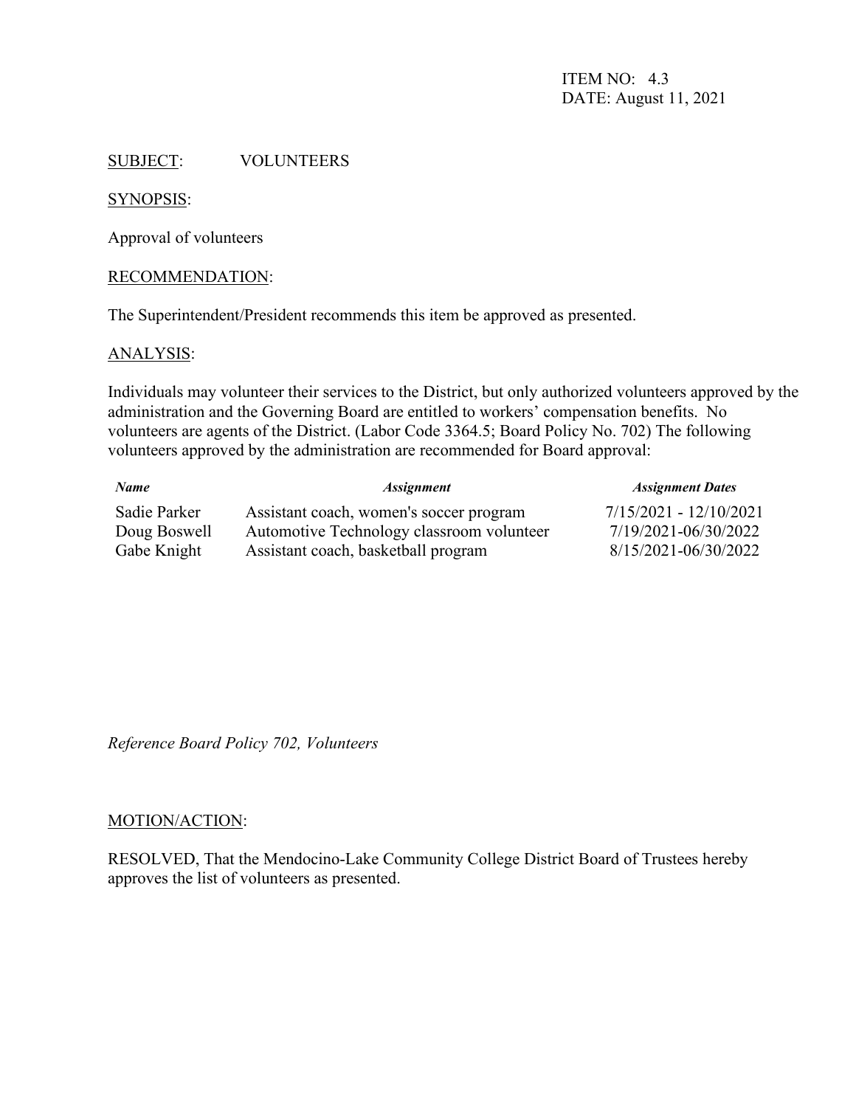ITEM NO: 4.3 DATE: August 11, 2021

#### SUBJECT: VOLUNTEERS

#### SYNOPSIS:

Approval of volunteers

#### RECOMMENDATION:

The Superintendent/President recommends this item be approved as presented.

#### ANALYSIS:

Individuals may volunteer their services to the District, but only authorized volunteers approved by the administration and the Governing Board are entitled to workers' compensation benefits. No volunteers are agents of the District. (Labor Code 3364.5; Board Policy No. 702) The following volunteers approved by the administration are recommended for Board approval:

| <b>Name</b>  | <i><b>Assignment</b></i>                  | <b>Assignment Dates</b>  |
|--------------|-------------------------------------------|--------------------------|
| Sadie Parker | Assistant coach, women's soccer program   | $7/15/2021 - 12/10/2021$ |
| Doug Boswell | Automotive Technology classroom volunteer | 7/19/2021-06/30/2022     |
| Gabe Knight  | Assistant coach, basketball program       | 8/15/2021-06/30/2022     |

*Reference Board Policy 702, Volunteers*

#### MOTION/ACTION:

RESOLVED, That the Mendocino-Lake Community College District Board of Trustees hereby approves the list of volunteers as presented.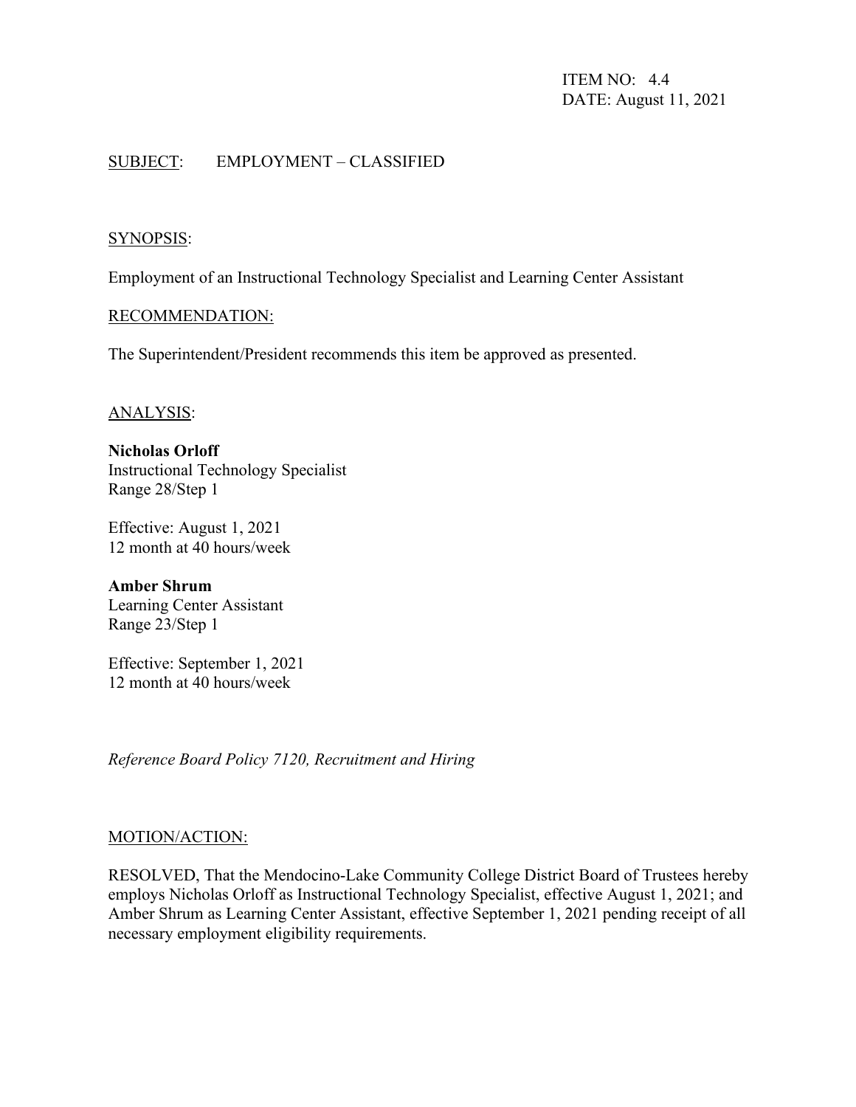ITEM NO: 4.4 DATE: August 11, 2021

# SUBJECT: EMPLOYMENT – CLASSIFIED

#### SYNOPSIS:

Employment of an Instructional Technology Specialist and Learning Center Assistant

#### RECOMMENDATION:

The Superintendent/President recommends this item be approved as presented.

#### ANALYSIS:

**Nicholas Orloff** Instructional Technology Specialist Range 28/Step 1

Effective: August 1, 2021 12 month at 40 hours/week

**Amber Shrum** Learning Center Assistant Range 23/Step 1

Effective: September 1, 2021 12 month at 40 hours/week

*Reference Board Policy 7120, Recruitment and Hiring*

#### MOTION/ACTION:

RESOLVED, That the Mendocino-Lake Community College District Board of Trustees hereby employs Nicholas Orloff as Instructional Technology Specialist, effective August 1, 2021; and Amber Shrum as Learning Center Assistant, effective September 1, 2021 pending receipt of all necessary employment eligibility requirements.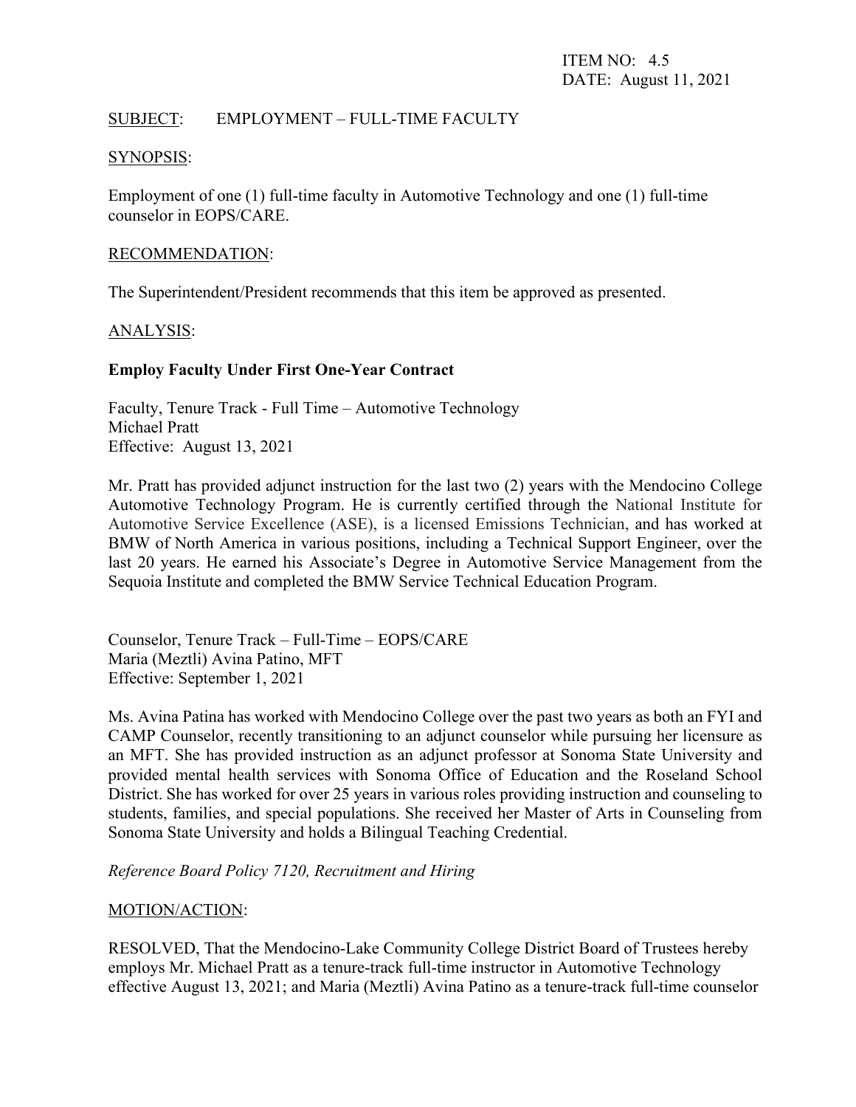## SUBJECT: EMPLOYMENT – FULL-TIME FACULTY

#### SYNOPSIS:

Employment of one (1) full-time faculty in Automotive Technology and one (1) full-time counselor in EOPS/CARE.

#### RECOMMENDATION:

The Superintendent/President recommends that this item be approved as presented.

#### ANALYSIS:

#### **Employ Faculty Under First One-Year Contract**

Faculty, Tenure Track - Full Time – Automotive Technology Michael Pratt Effective: August 13, 2021

Mr. Pratt has provided adjunct instruction for the last two (2) years with the Mendocino College Automotive Technology Program. He is currently certified through the National Institute for Automotive Service Excellence (ASE), is a licensed Emissions Technician, and has worked at BMW of North America in various positions, including a Technical Support Engineer, over the last 20 years. He earned his Associate's Degree in Automotive Service Management from the Sequoia Institute and completed the BMW Service Technical Education Program.

Counselor, Tenure Track – Full-Time – EOPS/CARE Maria (Meztli) Avina Patino, MFT Effective: September 1, 2021

Ms. Avina Patina has worked with Mendocino College over the past two years as both an FYI and CAMP Counselor, recently transitioning to an adjunct counselor while pursuing her licensure as an MFT. She has provided instruction as an adjunct professor at Sonoma State University and provided mental health services with Sonoma Office of Education and the Roseland School District. She has worked for over 25 years in various roles providing instruction and counseling to students, families, and special populations. She received her Master of Arts in Counseling from Sonoma State University and holds a Bilingual Teaching Credential.

*Reference Board Policy 7120, Recruitment and Hiring*

#### MOTION/ACTION:

RESOLVED, That the Mendocino-Lake Community College District Board of Trustees hereby employs Mr. Michael Pratt as a tenure-track full-time instructor in Automotive Technology effective August 13, 2021; and Maria (Meztli) Avina Patino as a tenure-track full-time counselor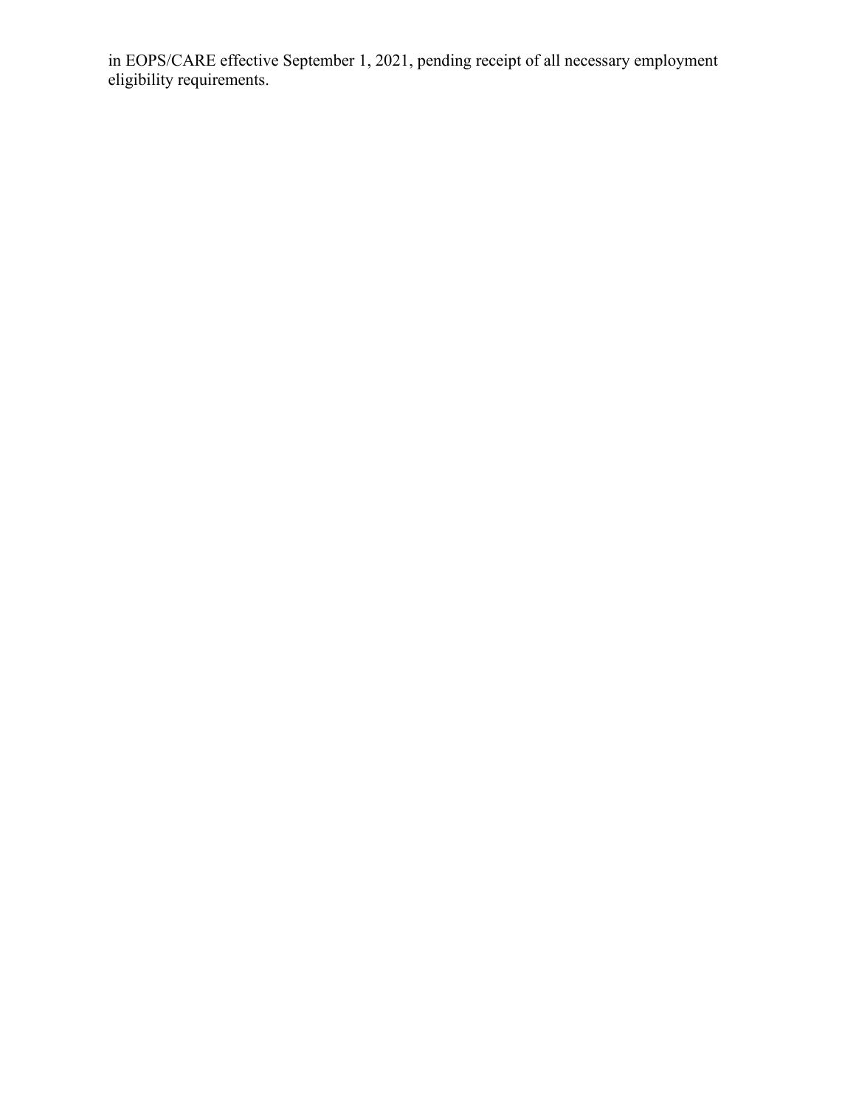in EOPS/CARE effective September 1, 2021, pending receipt of all necessary employment eligibility requirements.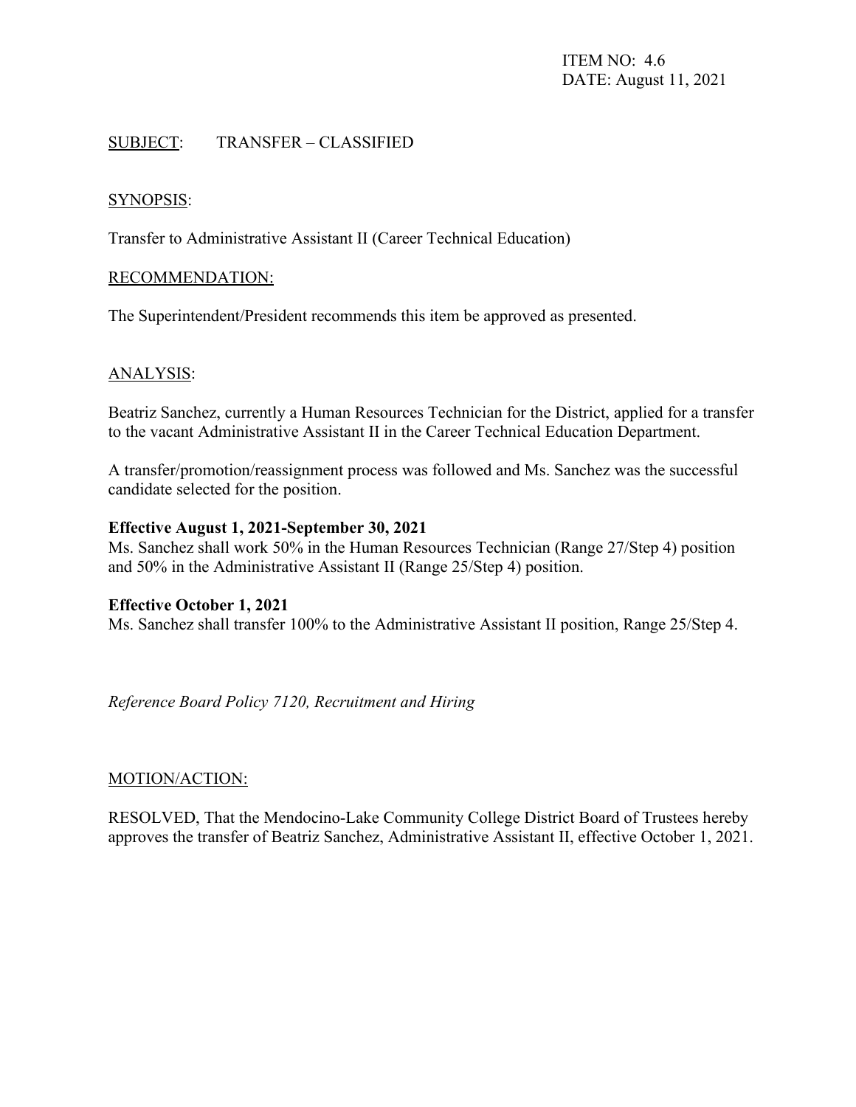# SUBJECT: TRANSFER – CLASSIFIED

#### SYNOPSIS:

Transfer to Administrative Assistant II (Career Technical Education)

#### RECOMMENDATION:

The Superintendent/President recommends this item be approved as presented.

#### ANALYSIS:

Beatriz Sanchez, currently a Human Resources Technician for the District, applied for a transfer to the vacant Administrative Assistant II in the Career Technical Education Department.

A transfer/promotion/reassignment process was followed and Ms. Sanchez was the successful candidate selected for the position.

#### **Effective August 1, 2021-September 30, 2021**

Ms. Sanchez shall work 50% in the Human Resources Technician (Range 27/Step 4) position and 50% in the Administrative Assistant II (Range 25/Step 4) position.

#### **Effective October 1, 2021**

Ms. Sanchez shall transfer 100% to the Administrative Assistant II position, Range 25/Step 4.

*Reference Board Policy 7120, Recruitment and Hiring*

#### MOTION/ACTION:

RESOLVED, That the Mendocino-Lake Community College District Board of Trustees hereby approves the transfer of Beatriz Sanchez, Administrative Assistant II, effective October 1, 2021.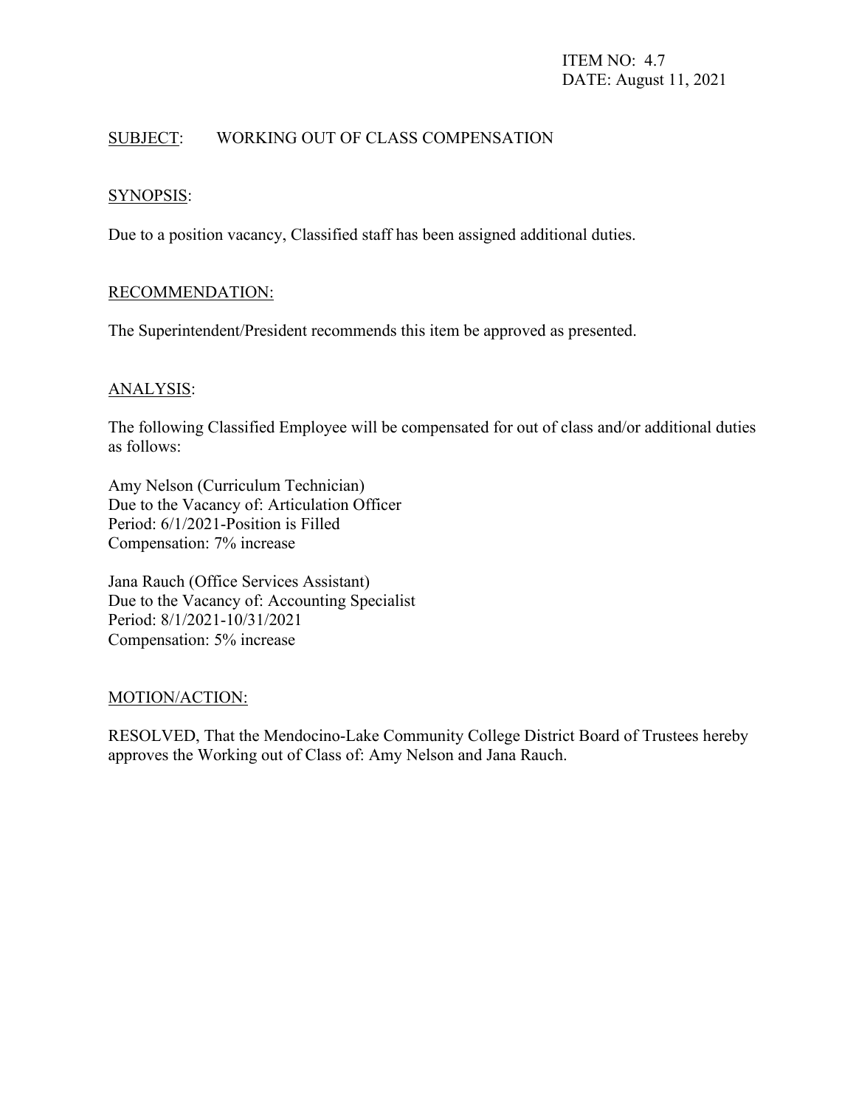# SUBJECT: WORKING OUT OF CLASS COMPENSATION

# SYNOPSIS:

Due to a position vacancy, Classified staff has been assigned additional duties.

# RECOMMENDATION:

The Superintendent/President recommends this item be approved as presented.

#### ANALYSIS:

The following Classified Employee will be compensated for out of class and/or additional duties as follows:

Amy Nelson (Curriculum Technician) Due to the Vacancy of: Articulation Officer Period: 6/1/2021-Position is Filled Compensation: 7% increase

Jana Rauch (Office Services Assistant) Due to the Vacancy of: Accounting Specialist Period: 8/1/2021-10/31/2021 Compensation: 5% increase

#### MOTION/ACTION:

RESOLVED, That the Mendocino-Lake Community College District Board of Trustees hereby approves the Working out of Class of: Amy Nelson and Jana Rauch.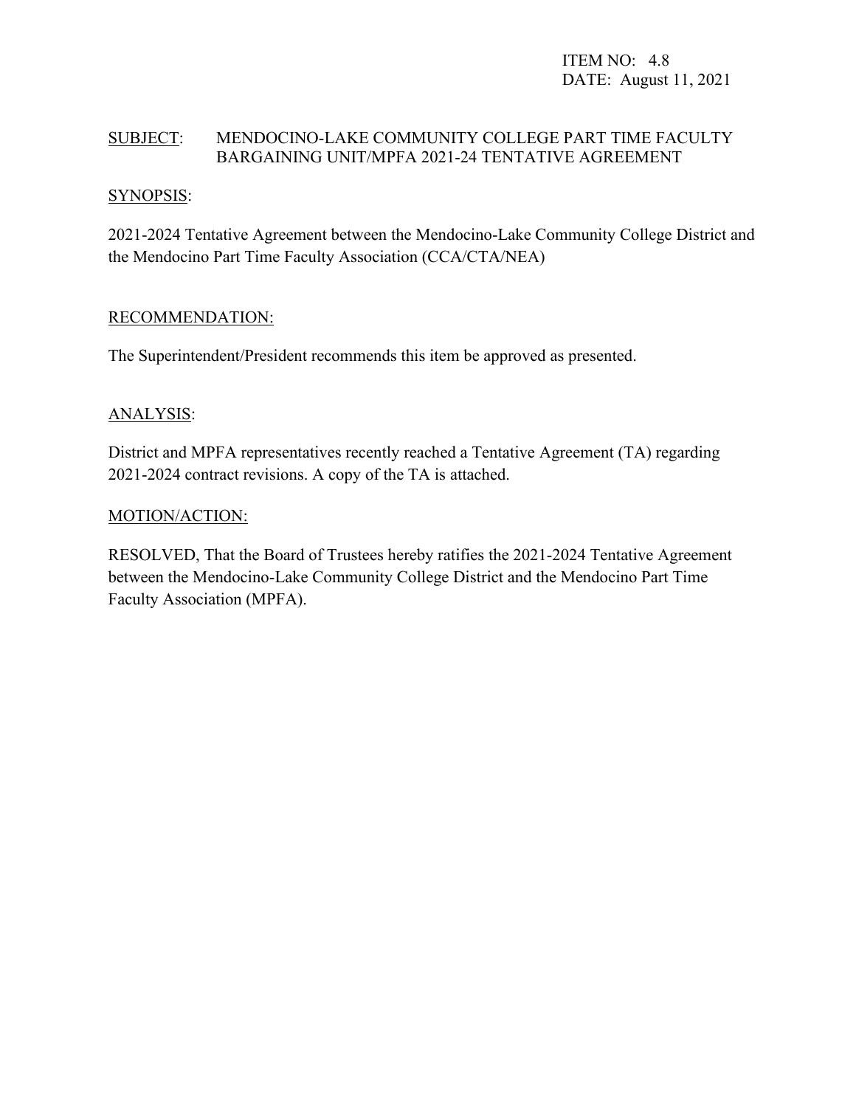ITEM NO: 4.8 DATE: August 11, 2021

# SUBJECT: MENDOCINO-LAKE COMMUNITY COLLEGE PART TIME FACULTY BARGAINING UNIT/MPFA 2021-24 TENTATIVE AGREEMENT

## SYNOPSIS:

2021-2024 Tentative Agreement between the Mendocino-Lake Community College District and the Mendocino Part Time Faculty Association (CCA/CTA/NEA)

#### RECOMMENDATION:

The Superintendent/President recommends this item be approved as presented.

# ANALYSIS:

District and MPFA representatives recently reached a Tentative Agreement (TA) regarding 2021-2024 contract revisions. A copy of the TA is attached.

#### MOTION/ACTION:

RESOLVED, That the Board of Trustees hereby ratifies the 2021-2024 Tentative Agreement between the Mendocino-Lake Community College District and the Mendocino Part Time Faculty Association (MPFA).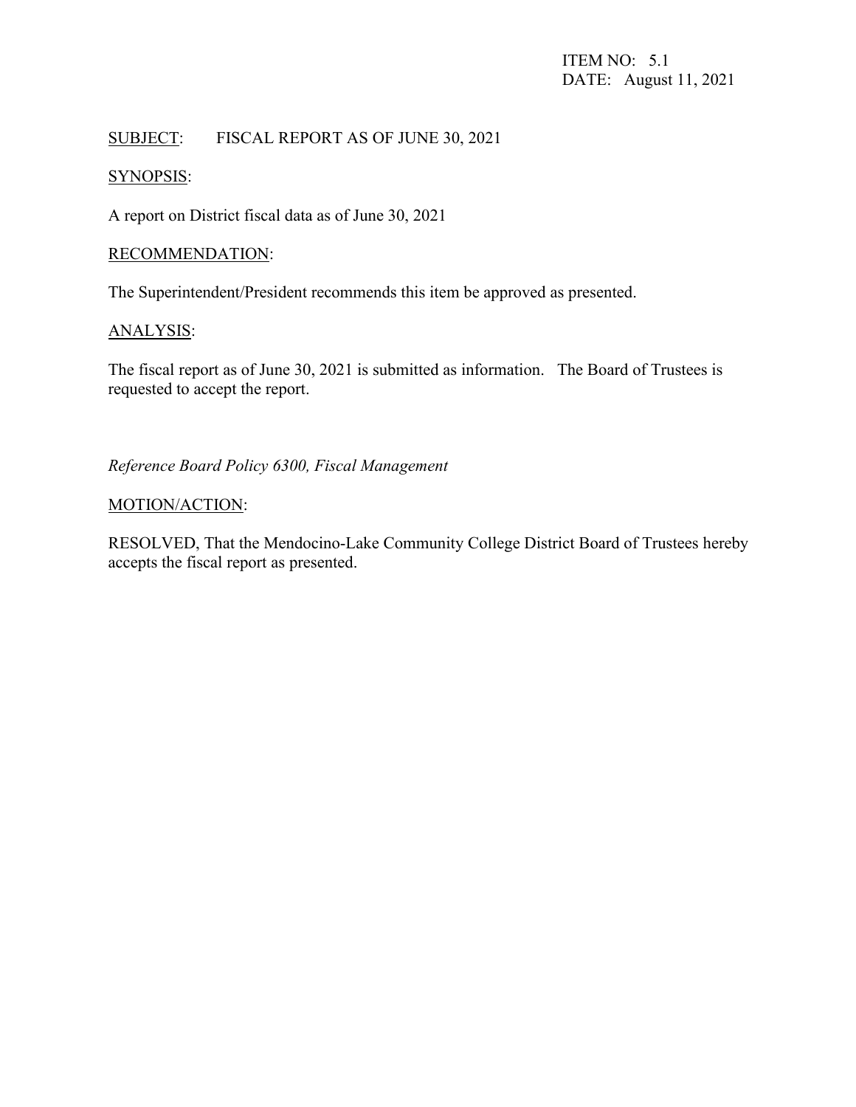# SUBJECT: FISCAL REPORT AS OF JUNE 30, 2021

# SYNOPSIS:

A report on District fiscal data as of June 30, 2021

## RECOMMENDATION:

The Superintendent/President recommends this item be approved as presented.

# ANALYSIS:

The fiscal report as of June 30, 2021 is submitted as information. The Board of Trustees is requested to accept the report.

*Reference Board Policy 6300, Fiscal Management*

# MOTION/ACTION:

RESOLVED, That the Mendocino-Lake Community College District Board of Trustees hereby accepts the fiscal report as presented.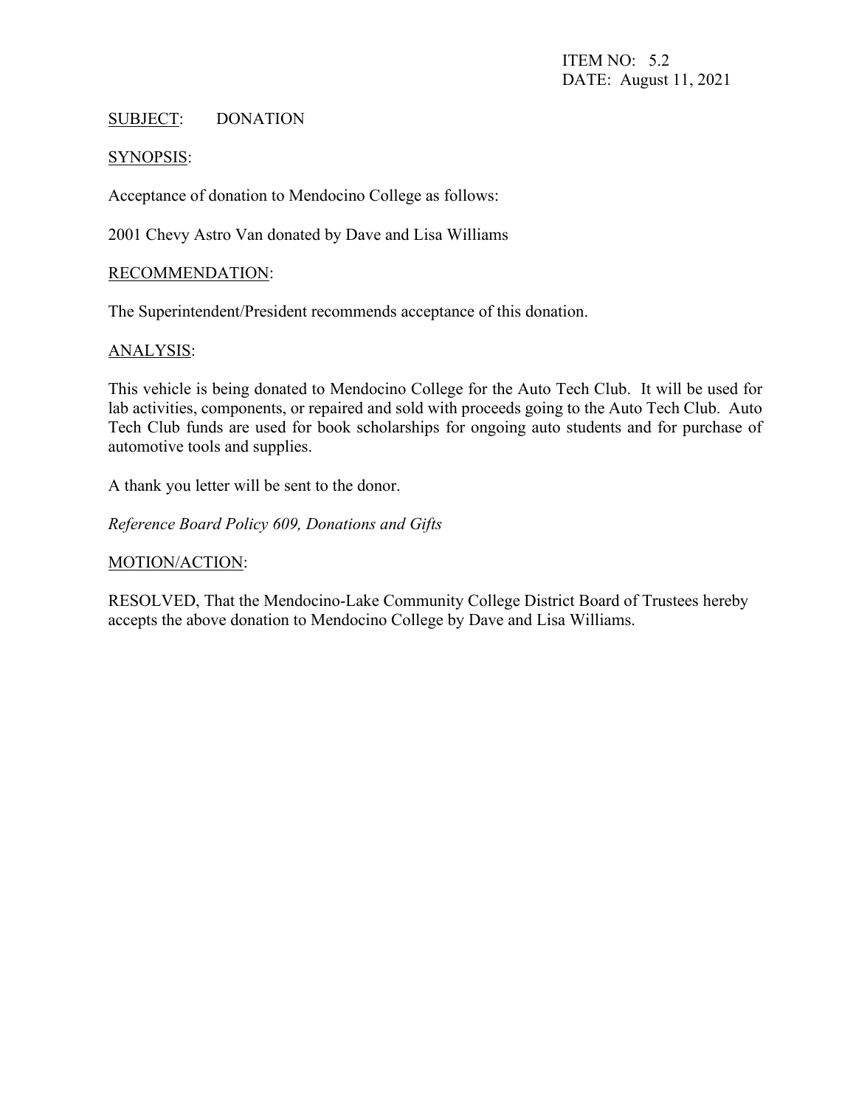#### SUBJECT: DONATION

#### SYNOPSIS:

Acceptance of donation to Mendocino College as follows:

2001 Chevy Astro Van donated by Dave and Lisa Williams

#### RECOMMENDATION:

The Superintendent/President recommends acceptance of this donation.

#### ANALYSIS:

This vehicle is being donated to Mendocino College for the Auto Tech Club. It will be used for lab activities, components, or repaired and sold with proceeds going to the Auto Tech Club. Auto Tech Club funds are used for book scholarships for ongoing auto students and for purchase of automotive tools and supplies.

A thank you letter will be sent to the donor.

*Reference Board Policy 609, Donations and Gifts*

#### MOTION/ACTION:

RESOLVED, That the Mendocino-Lake Community College District Board of Trustees hereby accepts the above donation to Mendocino College by Dave and Lisa Williams.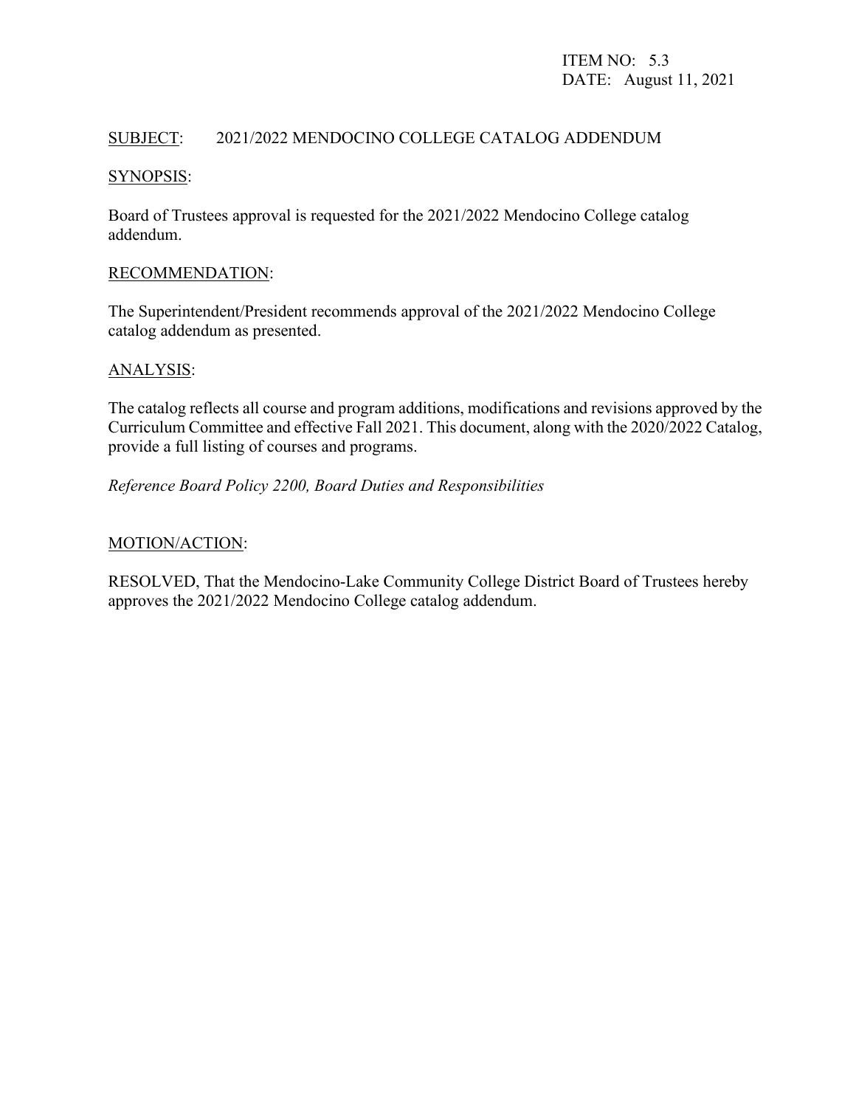# SUBJECT: 2021/2022 MENDOCINO COLLEGE CATALOG ADDENDUM

#### SYNOPSIS:

Board of Trustees approval is requested for the 2021/2022 Mendocino College catalog addendum.

#### RECOMMENDATION:

The Superintendent/President recommends approval of the 2021/2022 Mendocino College catalog addendum as presented.

#### ANALYSIS:

The catalog reflects all course and program additions, modifications and revisions approved by the Curriculum Committee and effective Fall 2021. This document, along with the 2020/2022 Catalog, provide a full listing of courses and programs.

#### *Reference Board Policy 2200, Board Duties and Responsibilities*

## MOTION/ACTION:

RESOLVED, That the Mendocino-Lake Community College District Board of Trustees hereby approves the 2021/2022 Mendocino College catalog addendum.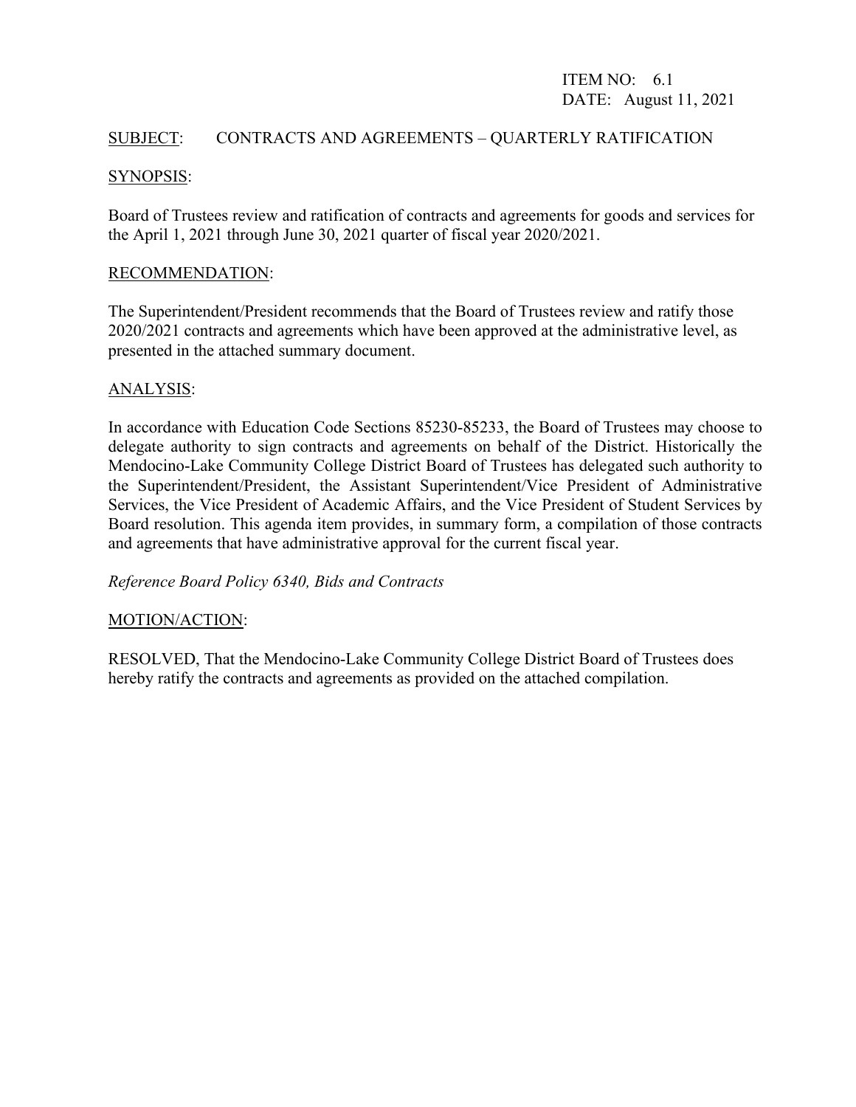# ITEM NO: 6.1 DATE: August 11, 2021

# SUBJECT: CONTRACTS AND AGREEMENTS – QUARTERLY RATIFICATION

## SYNOPSIS:

Board of Trustees review and ratification of contracts and agreements for goods and services for the April 1, 2021 through June 30, 2021 quarter of fiscal year 2020/2021.

#### RECOMMENDATION:

The Superintendent/President recommends that the Board of Trustees review and ratify those 2020/2021 contracts and agreements which have been approved at the administrative level, as presented in the attached summary document.

#### ANALYSIS:

In accordance with Education Code Sections 85230-85233, the Board of Trustees may choose to delegate authority to sign contracts and agreements on behalf of the District. Historically the Mendocino-Lake Community College District Board of Trustees has delegated such authority to the Superintendent/President, the Assistant Superintendent/Vice President of Administrative Services, the Vice President of Academic Affairs, and the Vice President of Student Services by Board resolution. This agenda item provides, in summary form, a compilation of those contracts and agreements that have administrative approval for the current fiscal year.

#### *Reference Board Policy 6340, Bids and Contracts*

#### MOTION/ACTION:

RESOLVED, That the Mendocino-Lake Community College District Board of Trustees does hereby ratify the contracts and agreements as provided on the attached compilation.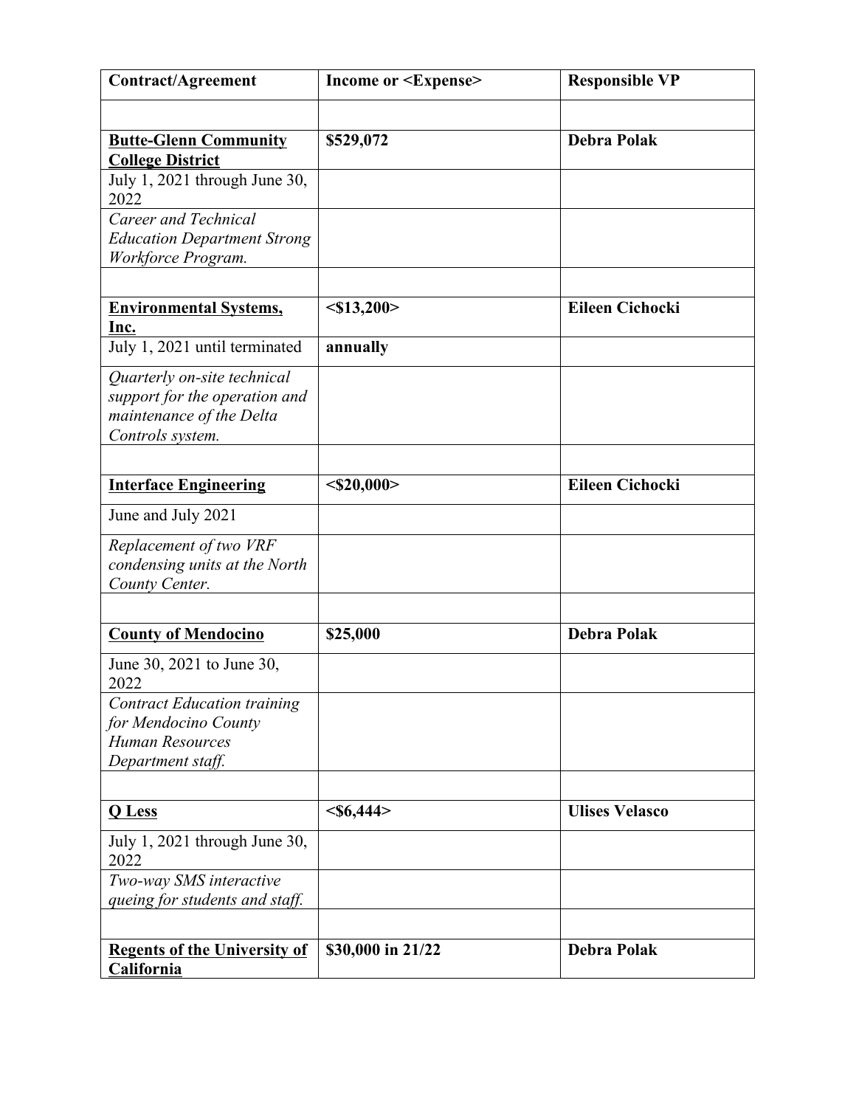| <b>Contract/Agreement</b>                                 | <b>Income or <expense></expense></b> | <b>Responsible VP</b>  |
|-----------------------------------------------------------|--------------------------------------|------------------------|
|                                                           |                                      |                        |
| <b>Butte-Glenn Community</b>                              | \$529,072                            | <b>Debra Polak</b>     |
| <b>College District</b>                                   |                                      |                        |
| July 1, 2021 through June 30,<br>2022                     |                                      |                        |
| Career and Technical                                      |                                      |                        |
| <b>Education Department Strong</b>                        |                                      |                        |
| Workforce Program.                                        |                                      |                        |
| <b>Environmental Systems,</b>                             | $<$ \$13,200>                        | <b>Eileen Cichocki</b> |
| Inc.                                                      |                                      |                        |
| July 1, 2021 until terminated                             | annually                             |                        |
| Quarterly on-site technical                               |                                      |                        |
| support for the operation and<br>maintenance of the Delta |                                      |                        |
| Controls system.                                          |                                      |                        |
|                                                           |                                      |                        |
| <b>Interface Engineering</b>                              | $<$ \$20,000>                        | <b>Eileen Cichocki</b> |
| June and July 2021                                        |                                      |                        |
| Replacement of two VRF                                    |                                      |                        |
| condensing units at the North<br>County Center.           |                                      |                        |
|                                                           |                                      |                        |
| <b>County of Mendocino</b>                                | \$25,000                             | <b>Debra Polak</b>     |
| June 30, 2021 to June 30,<br>2022                         |                                      |                        |
| <b>Contract Education training</b>                        |                                      |                        |
| for Mendocino County                                      |                                      |                        |
| <b>Human Resources</b><br>Department staff.               |                                      |                        |
|                                                           |                                      |                        |
| <b>Q</b> Less                                             | $<\frac{$44}{$                       | <b>Ulises Velasco</b>  |
| July 1, 2021 through June 30,<br>2022                     |                                      |                        |
| Two-way SMS interactive                                   |                                      |                        |
| queing for students and staff.                            |                                      |                        |
|                                                           |                                      |                        |
| <b>Regents of the University of</b>                       | \$30,000 in 21/22                    | <b>Debra Polak</b>     |
| <b>California</b>                                         |                                      |                        |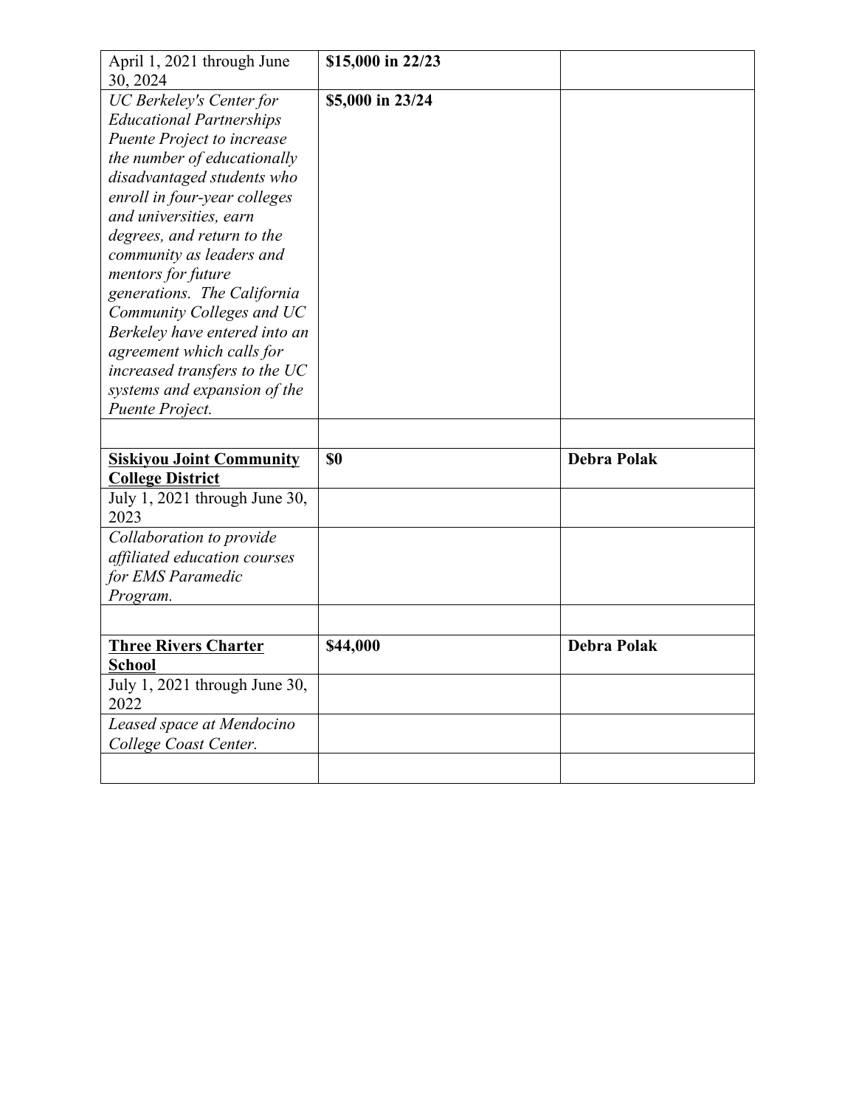| April 1, 2021 through June            | \$15,000 in 22/23 |                    |
|---------------------------------------|-------------------|--------------------|
| 30, 2024                              |                   |                    |
| <b>UC Berkeley's Center for</b>       | \$5,000 in 23/24  |                    |
| <b>Educational Partnerships</b>       |                   |                    |
| Puente Project to increase            |                   |                    |
| the number of educationally           |                   |                    |
| disadvantaged students who            |                   |                    |
| enroll in four-year colleges          |                   |                    |
| and universities, earn                |                   |                    |
| degrees, and return to the            |                   |                    |
| community as leaders and              |                   |                    |
| mentors for future                    |                   |                    |
| generations. The California           |                   |                    |
| Community Colleges and UC             |                   |                    |
| Berkeley have entered into an         |                   |                    |
| agreement which calls for             |                   |                    |
| increased transfers to the UC         |                   |                    |
| systems and expansion of the          |                   |                    |
| Puente Project.                       |                   |                    |
|                                       |                   |                    |
|                                       |                   |                    |
|                                       | <b>SO</b>         | <b>Debra Polak</b> |
| <b>Siskiyou Joint Community</b>       |                   |                    |
| <b>College District</b>               |                   |                    |
| July 1, 2021 through June 30,<br>2023 |                   |                    |
|                                       |                   |                    |
| Collaboration to provide              |                   |                    |
| affiliated education courses          |                   |                    |
| for EMS Paramedic                     |                   |                    |
| Program.                              |                   |                    |
|                                       |                   |                    |
| <b>Three Rivers Charter</b>           | \$44,000          | <b>Debra Polak</b> |
| <b>School</b>                         |                   |                    |
| July 1, 2021 through June 30,         |                   |                    |
| 2022                                  |                   |                    |
| Leased space at Mendocino             |                   |                    |
| College Coast Center.                 |                   |                    |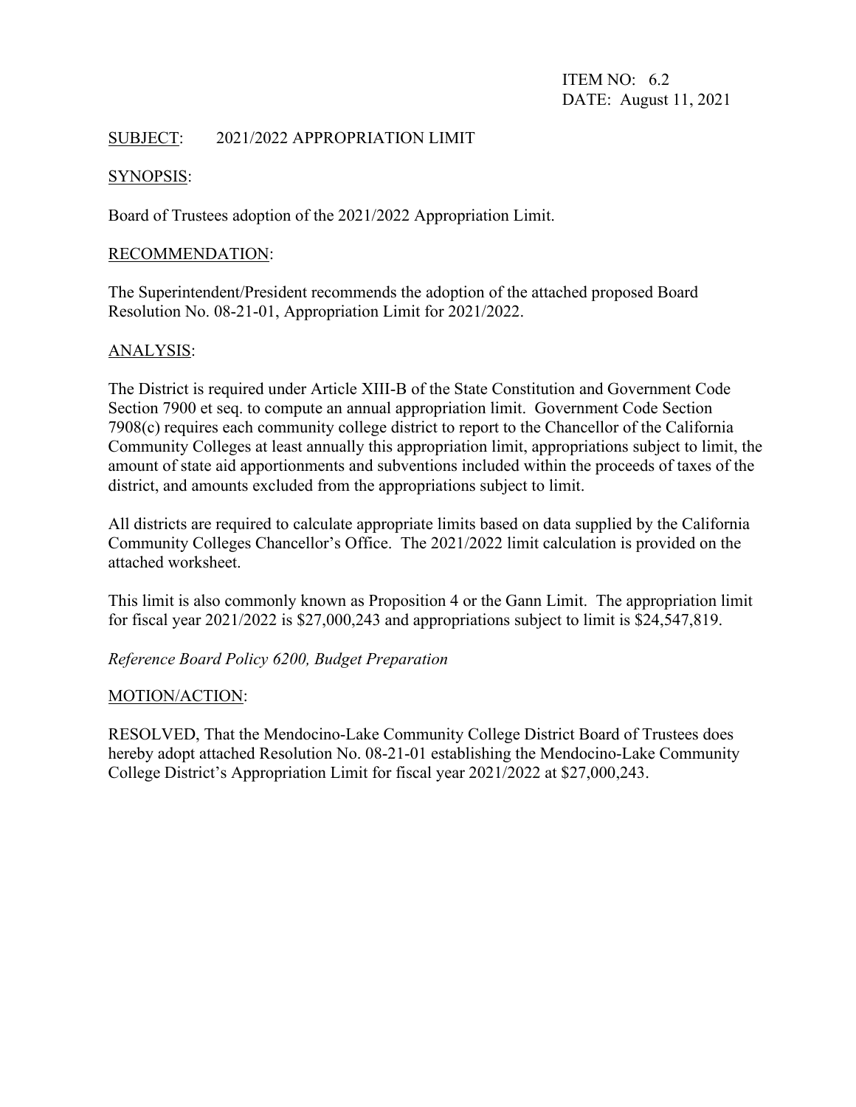ITEM NO: 6.2 DATE: August 11, 2021

# SUBJECT: 2021/2022 APPROPRIATION LIMIT

#### SYNOPSIS:

Board of Trustees adoption of the 2021/2022 Appropriation Limit.

#### RECOMMENDATION:

The Superintendent/President recommends the adoption of the attached proposed Board Resolution No. 08-21-01, Appropriation Limit for 2021/2022.

#### ANALYSIS:

The District is required under Article XIII-B of the State Constitution and Government Code Section 7900 et seq. to compute an annual appropriation limit. Government Code Section 7908(c) requires each community college district to report to the Chancellor of the California Community Colleges at least annually this appropriation limit, appropriations subject to limit, the amount of state aid apportionments and subventions included within the proceeds of taxes of the district, and amounts excluded from the appropriations subject to limit.

All districts are required to calculate appropriate limits based on data supplied by the California Community Colleges Chancellor's Office. The 2021/2022 limit calculation is provided on the attached worksheet.

This limit is also commonly known as Proposition 4 or the Gann Limit. The appropriation limit for fiscal year 2021/2022 is \$27,000,243 and appropriations subject to limit is \$24,547,819.

*Reference Board Policy 6200, Budget Preparation*

#### MOTION/ACTION:

RESOLVED, That the Mendocino-Lake Community College District Board of Trustees does hereby adopt attached Resolution No. 08-21-01 establishing the Mendocino-Lake Community College District's Appropriation Limit for fiscal year 2021/2022 at \$27,000,243.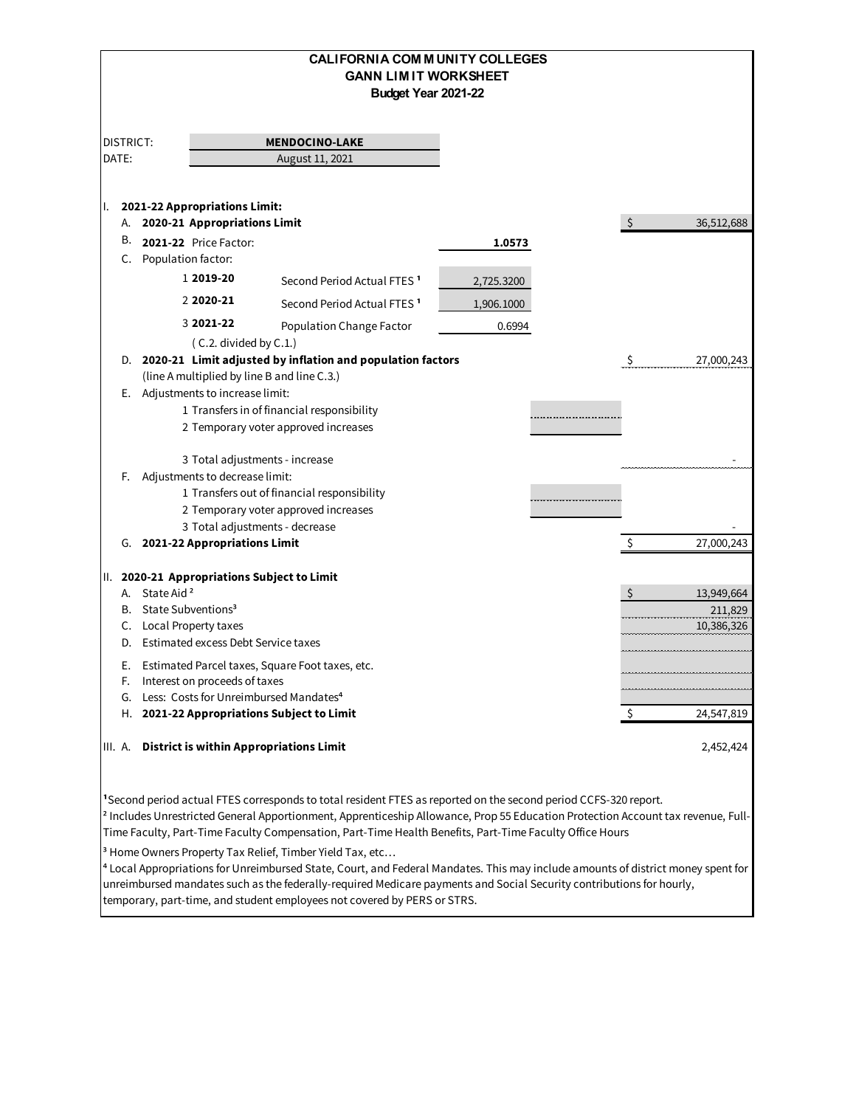|                                                |                         |                                                               | <b>CALIFORNIA COM MUNITY COLLEGES</b><br><b>GANN LIMIT WORKSHEET</b><br>Budget Year 2021-22                                                                                                                                                                                                                                                                                                                                                                                                                                                                                                                 |            |    |            |
|------------------------------------------------|-------------------------|---------------------------------------------------------------|-------------------------------------------------------------------------------------------------------------------------------------------------------------------------------------------------------------------------------------------------------------------------------------------------------------------------------------------------------------------------------------------------------------------------------------------------------------------------------------------------------------------------------------------------------------------------------------------------------------|------------|----|------------|
| DISTRICT:                                      |                         |                                                               | <b>MENDOCINO-LAKE</b>                                                                                                                                                                                                                                                                                                                                                                                                                                                                                                                                                                                       |            |    |            |
| DATE:                                          |                         |                                                               | August 11, 2021                                                                                                                                                                                                                                                                                                                                                                                                                                                                                                                                                                                             |            |    |            |
|                                                |                         |                                                               |                                                                                                                                                                                                                                                                                                                                                                                                                                                                                                                                                                                                             |            |    |            |
| ı.<br>А.                                       |                         | 2021-22 Appropriations Limit:<br>2020-21 Appropriations Limit |                                                                                                                                                                                                                                                                                                                                                                                                                                                                                                                                                                                                             |            | -S | 36,512,688 |
| В.                                             |                         | 2021-22 Price Factor:                                         |                                                                                                                                                                                                                                                                                                                                                                                                                                                                                                                                                                                                             | 1.0573     |    |            |
| C.                                             | Population factor:      |                                                               |                                                                                                                                                                                                                                                                                                                                                                                                                                                                                                                                                                                                             |            |    |            |
|                                                |                         | 1 2019-20                                                     | Second Period Actual FTES <sup>1</sup>                                                                                                                                                                                                                                                                                                                                                                                                                                                                                                                                                                      | 2,725.3200 |    |            |
|                                                |                         | 2 2020-21                                                     | Second Period Actual FTES <sup>1</sup>                                                                                                                                                                                                                                                                                                                                                                                                                                                                                                                                                                      | 1,906.1000 |    |            |
|                                                |                         | 3 2021-22                                                     | Population Change Factor                                                                                                                                                                                                                                                                                                                                                                                                                                                                                                                                                                                    | 0.6994     |    |            |
|                                                |                         | (C.2. divided by C.1.)                                        |                                                                                                                                                                                                                                                                                                                                                                                                                                                                                                                                                                                                             |            |    |            |
|                                                |                         |                                                               | D. 2020-21 Limit adjusted by inflation and population factors                                                                                                                                                                                                                                                                                                                                                                                                                                                                                                                                               |            | \$ | 27,000,243 |
|                                                |                         |                                                               | (line A multiplied by line B and line C.3.)                                                                                                                                                                                                                                                                                                                                                                                                                                                                                                                                                                 |            |    |            |
|                                                |                         | E. Adjustments to increase limit:                             |                                                                                                                                                                                                                                                                                                                                                                                                                                                                                                                                                                                                             |            |    |            |
|                                                |                         |                                                               | 1 Transfers in of financial responsibility                                                                                                                                                                                                                                                                                                                                                                                                                                                                                                                                                                  |            |    |            |
|                                                |                         |                                                               | 2 Temporary voter approved increases                                                                                                                                                                                                                                                                                                                                                                                                                                                                                                                                                                        |            |    |            |
|                                                |                         |                                                               | 3 Total adjustments - increase                                                                                                                                                                                                                                                                                                                                                                                                                                                                                                                                                                              |            |    |            |
| F.                                             |                         | Adjustments to decrease limit:                                |                                                                                                                                                                                                                                                                                                                                                                                                                                                                                                                                                                                                             |            |    |            |
|                                                |                         |                                                               | 1 Transfers out of financial responsibility                                                                                                                                                                                                                                                                                                                                                                                                                                                                                                                                                                 |            |    |            |
|                                                |                         |                                                               | 2 Temporary voter approved increases                                                                                                                                                                                                                                                                                                                                                                                                                                                                                                                                                                        |            |    |            |
|                                                |                         |                                                               | 3 Total adjustments - decrease                                                                                                                                                                                                                                                                                                                                                                                                                                                                                                                                                                              |            |    |            |
|                                                |                         | G. 2021-22 Appropriations Limit                               |                                                                                                                                                                                                                                                                                                                                                                                                                                                                                                                                                                                                             |            | Ŝ  | 27,000,243 |
|                                                |                         |                                                               |                                                                                                                                                                                                                                                                                                                                                                                                                                                                                                                                                                                                             |            |    |            |
| Ш.<br>А.                                       | State Aid <sup>2</sup>  |                                                               | 2020-21 Appropriations Subject to Limit                                                                                                                                                                                                                                                                                                                                                                                                                                                                                                                                                                     |            | Ś. | 13,949,664 |
| В.                                             |                         | State Subventions <sup>3</sup>                                |                                                                                                                                                                                                                                                                                                                                                                                                                                                                                                                                                                                                             |            |    | 211,829    |
|                                                | C. Local Property taxes |                                                               |                                                                                                                                                                                                                                                                                                                                                                                                                                                                                                                                                                                                             |            |    | 10,386,326 |
| D.                                             |                         | Estimated excess Debt Service taxes                           |                                                                                                                                                                                                                                                                                                                                                                                                                                                                                                                                                                                                             |            |    |            |
| Е.                                             |                         |                                                               | Estimated Parcel taxes, Square Foot taxes, etc.                                                                                                                                                                                                                                                                                                                                                                                                                                                                                                                                                             |            |    |            |
| F.                                             |                         | Interest on proceeds of taxes                                 |                                                                                                                                                                                                                                                                                                                                                                                                                                                                                                                                                                                                             |            |    |            |
| G.                                             |                         |                                                               | Less: Costs for Unreimbursed Mandates <sup>4</sup>                                                                                                                                                                                                                                                                                                                                                                                                                                                                                                                                                          |            |    |            |
|                                                |                         |                                                               | H. 2021-22 Appropriations Subject to Limit                                                                                                                                                                                                                                                                                                                                                                                                                                                                                                                                                                  |            | Ş  | 24,547,819 |
| <b>District is within Appropriations Limit</b> |                         |                                                               |                                                                                                                                                                                                                                                                                                                                                                                                                                                                                                                                                                                                             |            |    |            |
| III. A.                                        |                         |                                                               |                                                                                                                                                                                                                                                                                                                                                                                                                                                                                                                                                                                                             |            |    | 2,452,424  |
|                                                |                         |                                                               | <sup>1</sup> Second period actual FTES corresponds to total resident FTES as reported on the second period CCFS-320 report.<br><sup>2</sup> Includes Unrestricted General Apportionment, Apprenticeship Allowance, Prop 55 Education Protection Account tax revenue, Full-<br>Time Faculty, Part-Time Faculty Compensation, Part-Time Health Benefits, Part-Time Faculty Office Hours<br><sup>3</sup> Home Owners Property Tax Relief, Timber Yield Tax, etc<br><sup>4</sup> Local Appropriations for Unreimbursed State, Court, and Federal Mandates. This may include amounts of district money spent for |            |    |            |
|                                                |                         |                                                               | unreimbursed mandates such as the federally-required Medicare payments and Social Security contributions for hourly,                                                                                                                                                                                                                                                                                                                                                                                                                                                                                        |            |    |            |

temporary, part-time, and student employees not covered by PERS or STRS.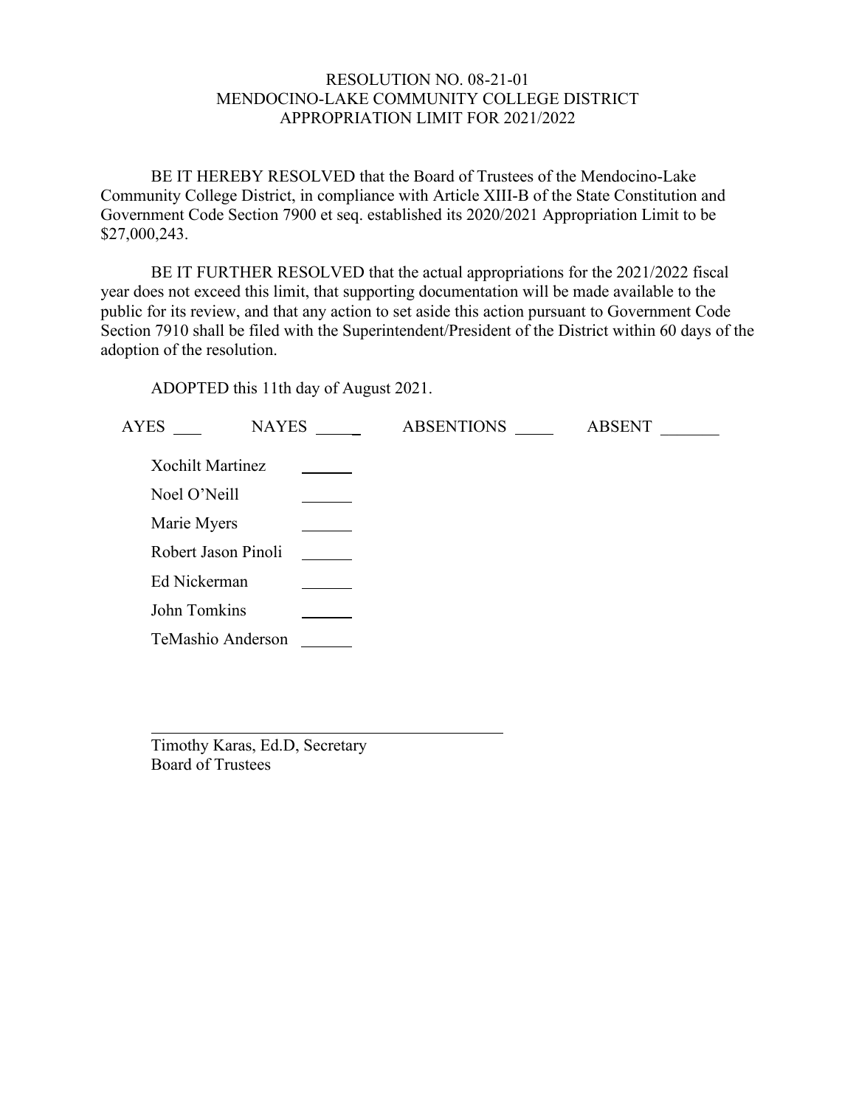# RESOLUTION NO. 08-21-01 MENDOCINO-LAKE COMMUNITY COLLEGE DISTRICT APPROPRIATION LIMIT FOR 2021/2022

BE IT HEREBY RESOLVED that the Board of Trustees of the Mendocino-Lake Community College District, in compliance with Article XIII-B of the State Constitution and Government Code Section 7900 et seq. established its 2020/2021 Appropriation Limit to be \$27,000,243.

BE IT FURTHER RESOLVED that the actual appropriations for the 2021/2022 fiscal year does not exceed this limit, that supporting documentation will be made available to the public for its review, and that any action to set aside this action pursuant to Government Code Section 7910 shall be filed with the Superintendent/President of the District within 60 days of the adoption of the resolution.

ADOPTED this 11th day of August 2021.

| <b>AYES</b>         | <b>NAYES</b> | <b>ABSENTIONS</b> | <b>ABSENT</b> |
|---------------------|--------------|-------------------|---------------|
| Xochilt Martinez    |              |                   |               |
| Noel O'Neill        |              |                   |               |
| Marie Myers         |              |                   |               |
| Robert Jason Pinoli |              |                   |               |
| Ed Nickerman        |              |                   |               |
| John Tomkins        |              |                   |               |
| TeMashio Anderson   |              |                   |               |
|                     |              |                   |               |

Timothy Karas, Ed.D, Secretary Board of Trustees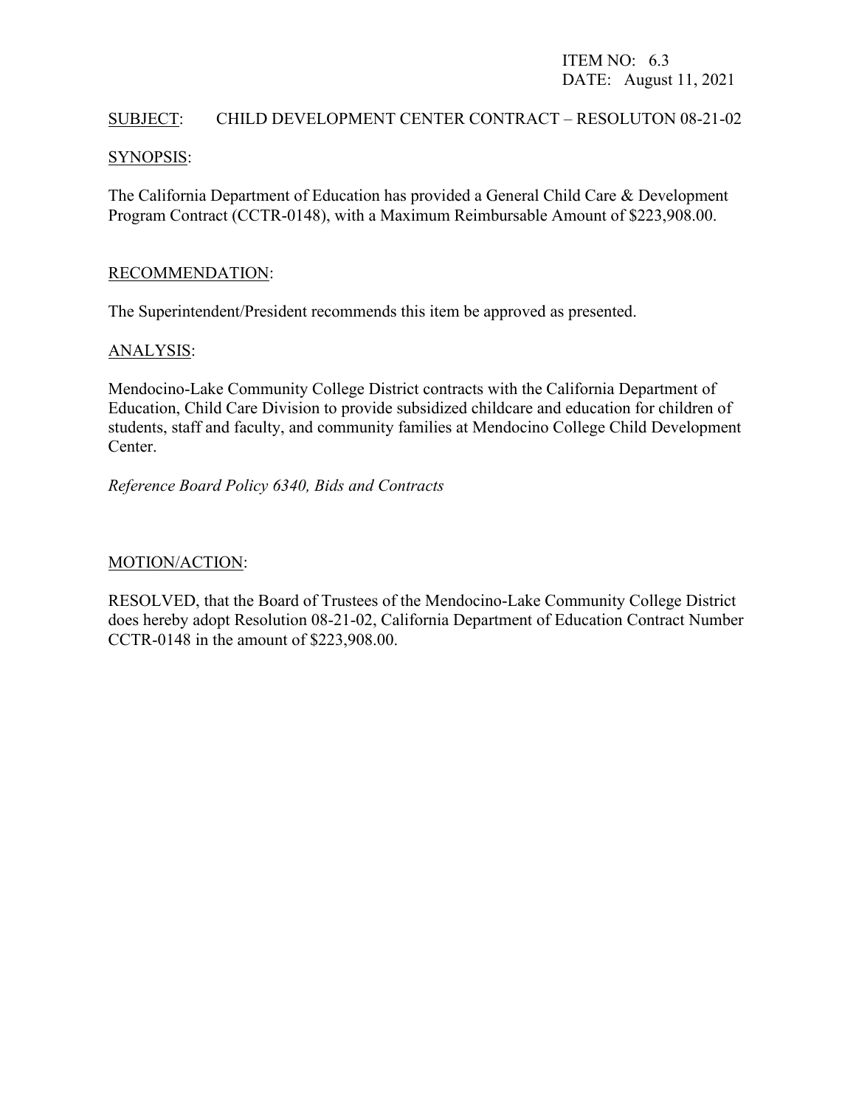# ITEM NO: 6.3 DATE: August 11, 2021

#### SUBJECT: CHILD DEVELOPMENT CENTER CONTRACT – RESOLUTON 08-21-02

#### SYNOPSIS:

The California Department of Education has provided a General Child Care & Development Program Contract (CCTR-0148), with a Maximum Reimbursable Amount of \$223,908.00.

#### RECOMMENDATION:

The Superintendent/President recommends this item be approved as presented.

#### ANALYSIS:

Mendocino-Lake Community College District contracts with the California Department of Education, Child Care Division to provide subsidized childcare and education for children of students, staff and faculty, and community families at Mendocino College Child Development Center.

*Reference Board Policy 6340, Bids and Contracts*

#### MOTION/ACTION:

RESOLVED, that the Board of Trustees of the Mendocino-Lake Community College District does hereby adopt Resolution 08-21-02, California Department of Education Contract Number CCTR-0148 in the amount of \$223,908.00.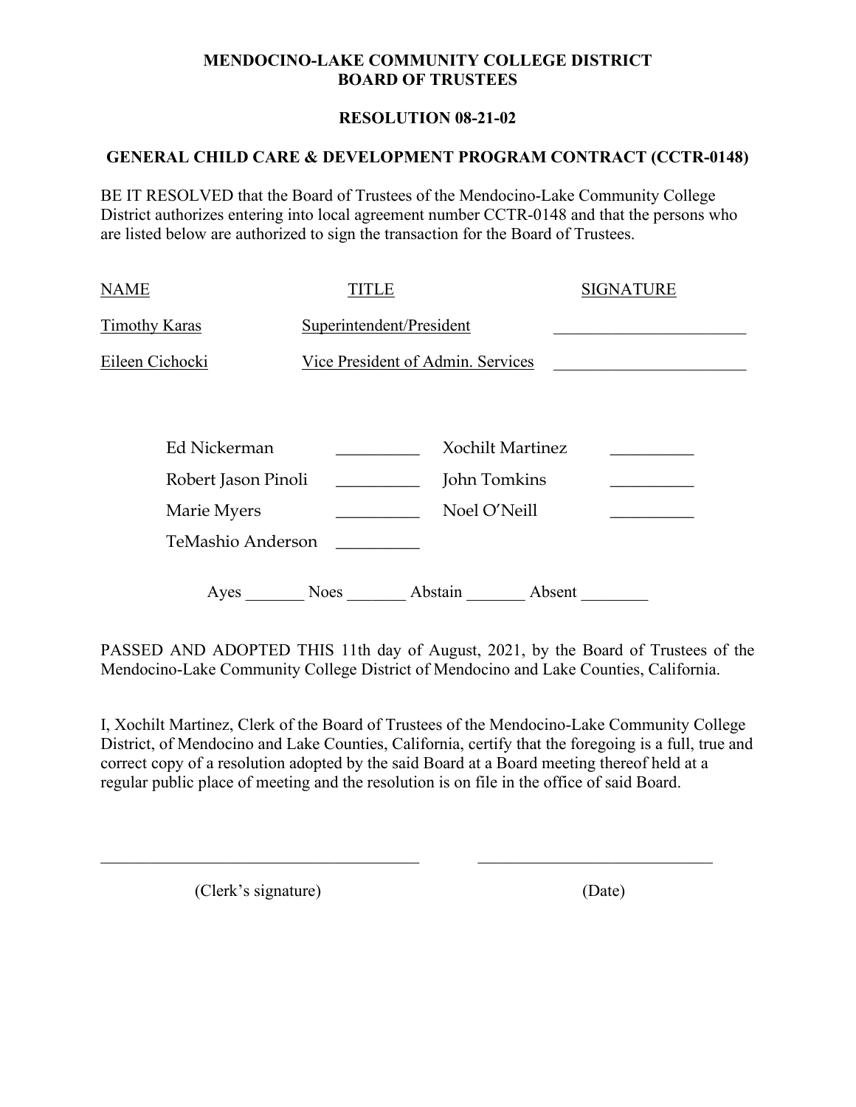# **MENDOCINO-LAKE COMMUNITY COLLEGE DISTRICT BOARD OF TRUSTEES**

# **RESOLUTION 08-21-02**

# **GENERAL CHILD CARE & DEVELOPMENT PROGRAM CONTRACT (CCTR-0148)**

BE IT RESOLVED that the Board of Trustees of the Mendocino-Lake Community College District authorizes entering into local agreement number CCTR-0148 and that the persons who are listed below are authorized to sign the transaction for the Board of Trustees.

| <b>NAME</b>          | TITLE                    |                                   |        | <b>SIGNATURE</b> |  |
|----------------------|--------------------------|-----------------------------------|--------|------------------|--|
| <b>Timothy Karas</b> | Superintendent/President |                                   |        |                  |  |
| Eileen Cichocki      |                          | Vice President of Admin. Services |        |                  |  |
| Ed Nickerman         |                          | <b>Xochilt Martinez</b>           |        |                  |  |
| Robert Jason Pinoli  |                          | John Tomkins                      |        |                  |  |
| Marie Myers          |                          | Noel O'Neill                      |        |                  |  |
| TeMashio Anderson    |                          |                                   |        |                  |  |
| Ayes                 | Noes                     | Abstain                           | Absent |                  |  |

PASSED AND ADOPTED THIS 11th day of August, 2021, by the Board of Trustees of the Mendocino-Lake Community College District of Mendocino and Lake Counties, California.

I, Xochilt Martinez, Clerk of the Board of Trustees of the Mendocino-Lake Community College District, of Mendocino and Lake Counties, California, certify that the foregoing is a full, true and correct copy of a resolution adopted by the said Board at a Board meeting thereof held at a regular public place of meeting and the resolution is on file in the office of said Board.

 $\mathcal{L}_\text{max}$  , and the contribution of the contribution of the contribution of the contribution of the contribution of the contribution of the contribution of the contribution of the contribution of the contribution of t

(Clerk's signature) (Date)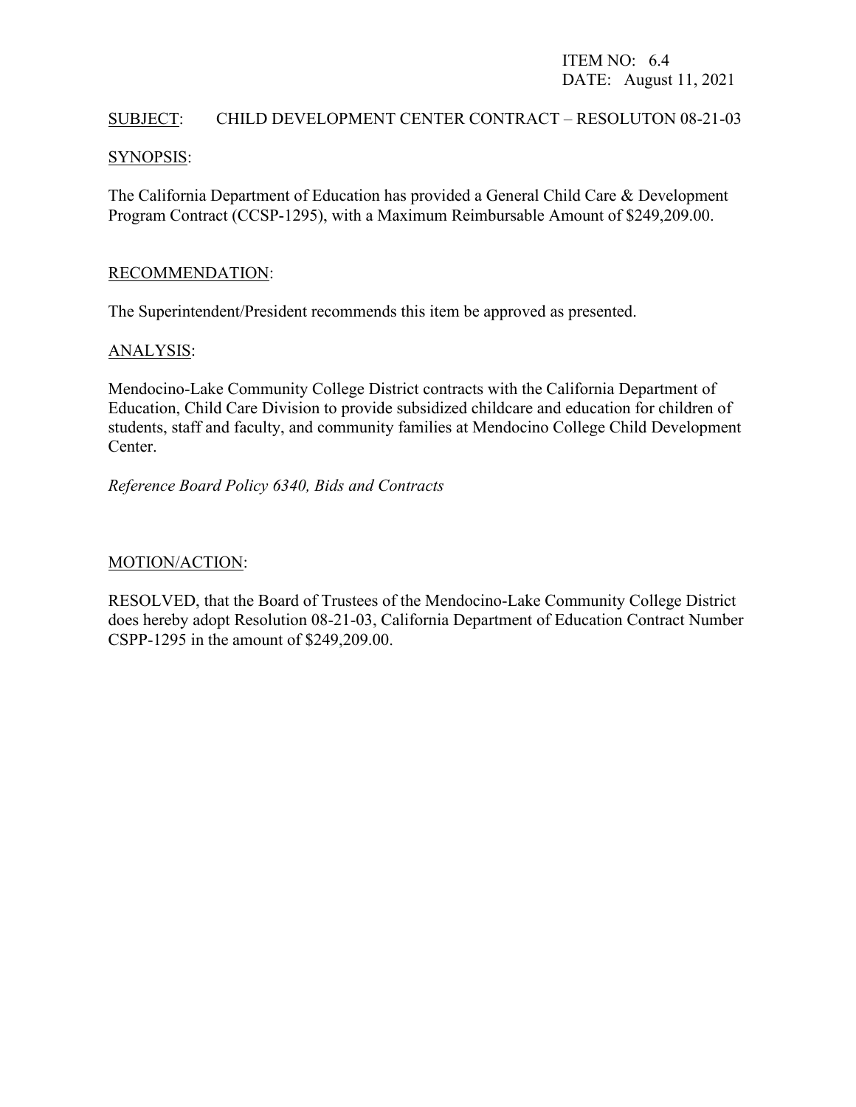# ITEM NO: 6.4 DATE: August 11, 2021

## SUBJECT: CHILD DEVELOPMENT CENTER CONTRACT – RESOLUTON 08-21-03

#### SYNOPSIS:

The California Department of Education has provided a General Child Care & Development Program Contract (CCSP-1295), with a Maximum Reimbursable Amount of \$249,209.00.

#### RECOMMENDATION:

The Superintendent/President recommends this item be approved as presented.

#### ANALYSIS:

Mendocino-Lake Community College District contracts with the California Department of Education, Child Care Division to provide subsidized childcare and education for children of students, staff and faculty, and community families at Mendocino College Child Development Center.

*Reference Board Policy 6340, Bids and Contracts*

#### MOTION/ACTION:

RESOLVED, that the Board of Trustees of the Mendocino-Lake Community College District does hereby adopt Resolution 08-21-03, California Department of Education Contract Number CSPP-1295 in the amount of \$249,209.00.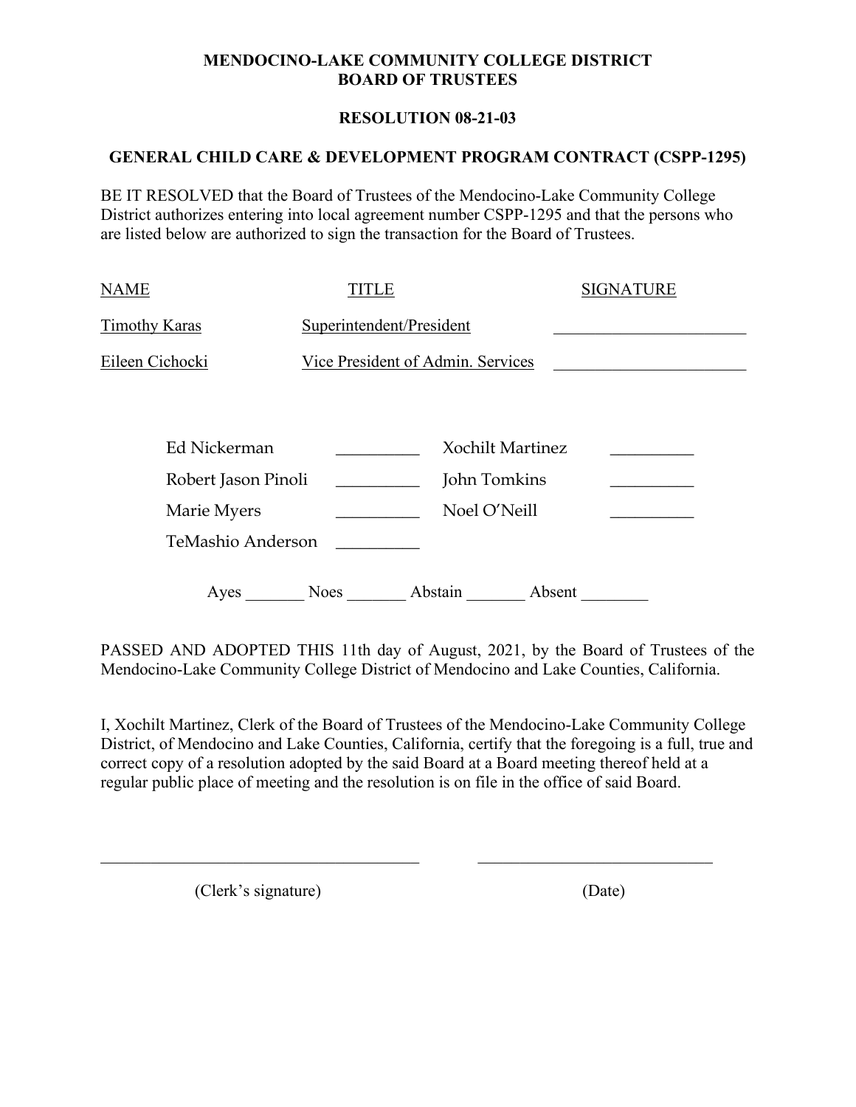# **MENDOCINO-LAKE COMMUNITY COLLEGE DISTRICT BOARD OF TRUSTEES**

# **RESOLUTION 08-21-03**

## **GENERAL CHILD CARE & DEVELOPMENT PROGRAM CONTRACT (CSPP-1295)**

BE IT RESOLVED that the Board of Trustees of the Mendocino-Lake Community College District authorizes entering into local agreement number CSPP-1295 and that the persons who are listed below are authorized to sign the transaction for the Board of Trustees.

| <b>NAME</b>          | TITLE                    |                                   |        | <b>SIGNATURE</b> |
|----------------------|--------------------------|-----------------------------------|--------|------------------|
| <b>Timothy Karas</b> | Superintendent/President |                                   |        |                  |
| Eileen Cichocki      |                          | Vice President of Admin. Services |        |                  |
|                      |                          |                                   |        |                  |
| Ed Nickerman         |                          | <b>Xochilt Martinez</b>           |        |                  |
| Robert Jason Pinoli  |                          | John Tomkins                      |        |                  |
| Marie Myers          |                          | Noel O'Neill                      |        |                  |
| TeMashio Anderson    |                          |                                   |        |                  |
| Ayes                 | Noes                     | Abstain                           | Absent |                  |

PASSED AND ADOPTED THIS 11th day of August, 2021, by the Board of Trustees of the Mendocino-Lake Community College District of Mendocino and Lake Counties, California.

I, Xochilt Martinez, Clerk of the Board of Trustees of the Mendocino-Lake Community College District, of Mendocino and Lake Counties, California, certify that the foregoing is a full, true and correct copy of a resolution adopted by the said Board at a Board meeting thereof held at a regular public place of meeting and the resolution is on file in the office of said Board.

 $\mathcal{L}_\text{max}$  , and the contribution of the contribution of the contribution of the contribution of the contribution of the contribution of the contribution of the contribution of the contribution of the contribution of t

(Clerk's signature) (Date)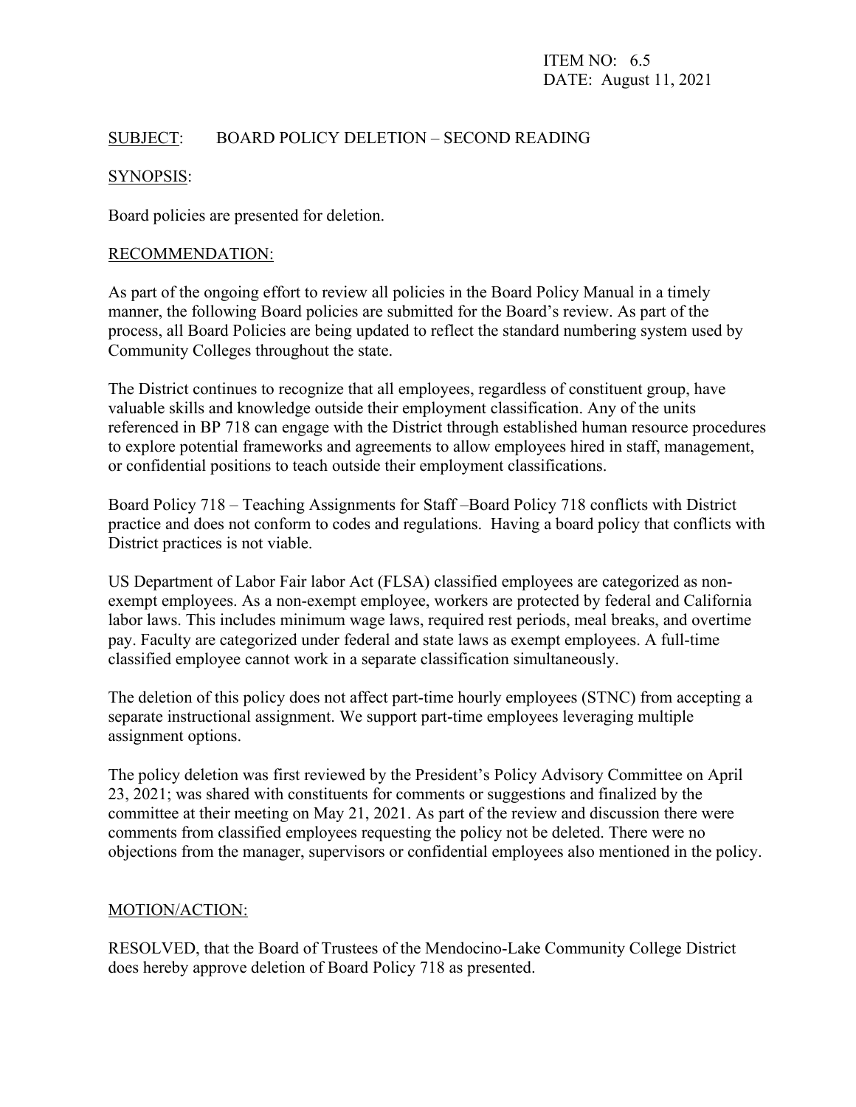# SUBJECT: BOARD POLICY DELETION – SECOND READING

# SYNOPSIS:

Board policies are presented for deletion.

#### RECOMMENDATION:

As part of the ongoing effort to review all policies in the Board Policy Manual in a timely manner, the following Board policies are submitted for the Board's review. As part of the process, all Board Policies are being updated to reflect the standard numbering system used by Community Colleges throughout the state.

The District continues to recognize that all employees, regardless of constituent group, have valuable skills and knowledge outside their employment classification. Any of the units referenced in BP 718 can engage with the District through established human resource procedures to explore potential frameworks and agreements to allow employees hired in staff, management, or confidential positions to teach outside their employment classifications.

Board Policy 718 – Teaching Assignments for Staff –Board Policy 718 conflicts with District practice and does not conform to codes and regulations. Having a board policy that conflicts with District practices is not viable.

US Department of Labor Fair labor Act (FLSA) classified employees are categorized as nonexempt employees. As a non-exempt employee, workers are protected by federal and California labor laws. This includes minimum wage laws, required rest periods, meal breaks, and overtime pay. Faculty are categorized under federal and state laws as exempt employees. A full-time classified employee cannot work in a separate classification simultaneously.

The deletion of this policy does not affect part-time hourly employees (STNC) from accepting a separate instructional assignment. We support part-time employees leveraging multiple assignment options.

The policy deletion was first reviewed by the President's Policy Advisory Committee on April 23, 2021; was shared with constituents for comments or suggestions and finalized by the committee at their meeting on May 21, 2021. As part of the review and discussion there were comments from classified employees requesting the policy not be deleted. There were no objections from the manager, supervisors or confidential employees also mentioned in the policy.

#### MOTION/ACTION:

RESOLVED, that the Board of Trustees of the Mendocino-Lake Community College District does hereby approve deletion of Board Policy 718 as presented.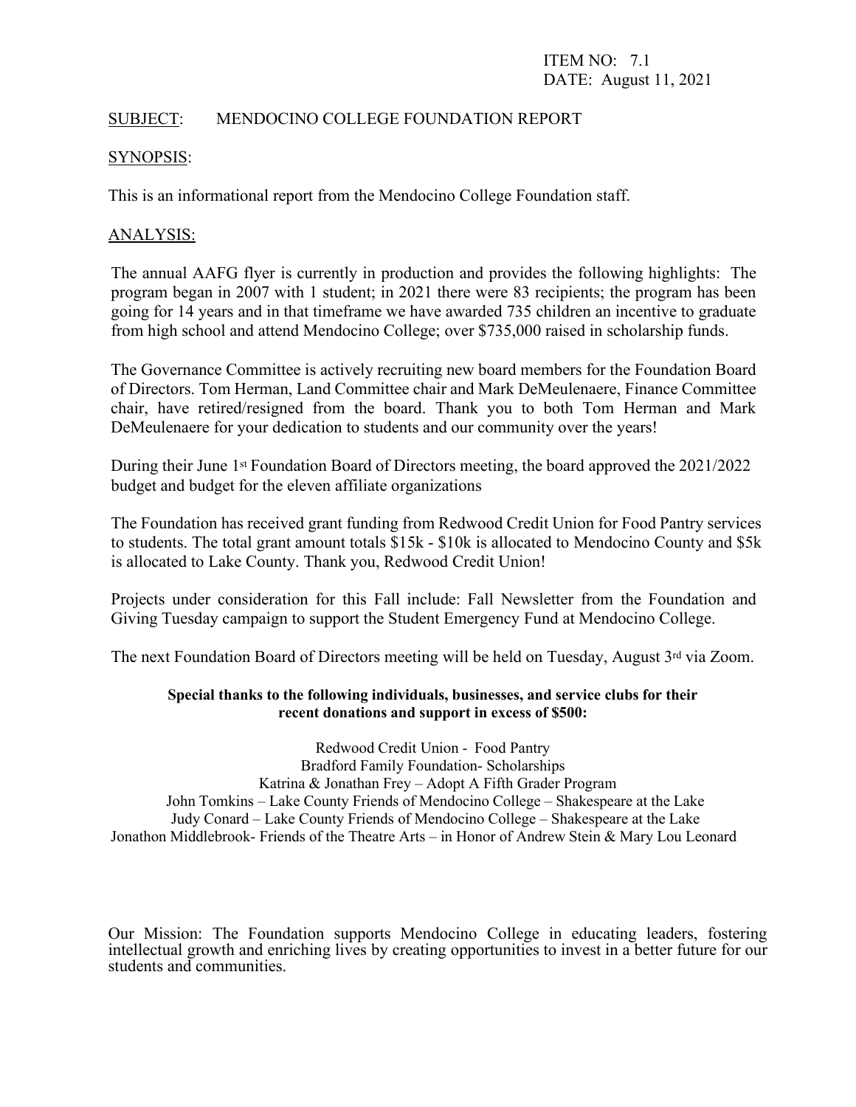# SUBJECT: MENDOCINO COLLEGE FOUNDATION REPORT

#### SYNOPSIS:

This is an informational report from the Mendocino College Foundation staff.

#### ANALYSIS:

The annual AAFG flyer is currently in production and provides the following highlights: The program began in 2007 with 1 student; in 2021 there were 83 recipients; the program has been going for 14 years and in that timeframe we have awarded 735 children an incentive to graduate from high school and attend Mendocino College; over \$735,000 raised in scholarship funds.

The Governance Committee is actively recruiting new board members for the Foundation Board of Directors. Tom Herman, Land Committee chair and Mark DeMeulenaere, Finance Committee chair, have retired/resigned from the board. Thank you to both Tom Herman and Mark DeMeulenaere for your dedication to students and our community over the years!

During their June 1st Foundation Board of Directors meeting, the board approved the 2021/2022 budget and budget for the eleven affiliate organizations

The Foundation has received grant funding from Redwood Credit Union for Food Pantry services to students. The total grant amount totals \$15k - \$10k is allocated to Mendocino County and \$5k is allocated to Lake County. Thank you, Redwood Credit Union!

Projects under consideration for this Fall include: Fall Newsletter from the Foundation and Giving Tuesday campaign to support the Student Emergency Fund at Mendocino College.

The next Foundation Board of Directors meeting will be held on Tuesday, August 3<sup>rd</sup> via Zoom.

#### **Special thanks to the following individuals, businesses, and service clubs for their recent donations and support in excess of \$500:**

Redwood Credit Union - Food Pantry Bradford Family Foundation- Scholarships Katrina & Jonathan Frey – Adopt A Fifth Grader Program John Tomkins – Lake County Friends of Mendocino College – Shakespeare at the Lake Judy Conard – Lake County Friends of Mendocino College – Shakespeare at the Lake Jonathon Middlebrook- Friends of the Theatre Arts – in Honor of Andrew Stein & Mary Lou Leonard

Our Mission: The Foundation supports Mendocino College in educating leaders, fostering intellectual growth and enriching lives by creating opportunities to invest in a better future for our students and communities.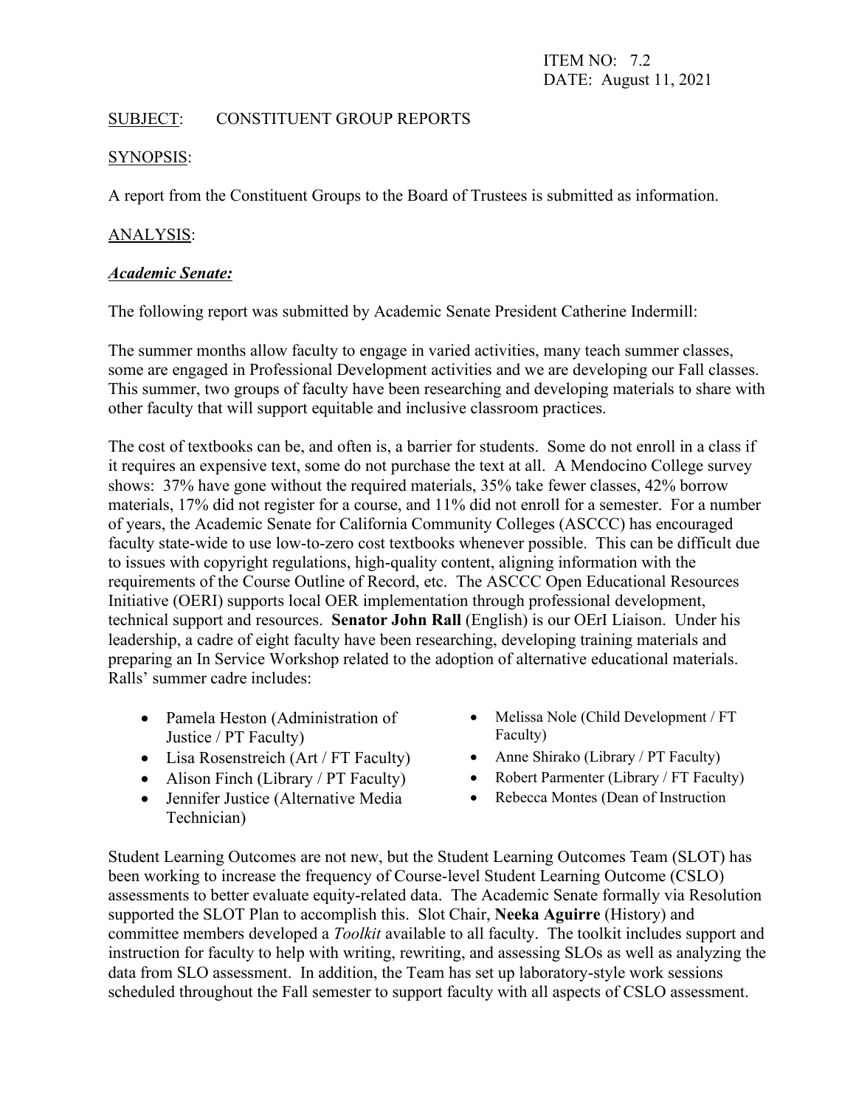ITEM NO: 7.2 DATE: August 11, 2021

# SUBJECT: CONSTITUENT GROUP REPORTS

#### SYNOPSIS:

A report from the Constituent Groups to the Board of Trustees is submitted as information.

# ANALYSIS:

#### *Academic Senate:*

The following report was submitted by Academic Senate President Catherine Indermill:

The summer months allow faculty to engage in varied activities, many teach summer classes, some are engaged in Professional Development activities and we are developing our Fall classes. This summer, two groups of faculty have been researching and developing materials to share with other faculty that will support equitable and inclusive classroom practices.

The cost of textbooks can be, and often is, a barrier for students. Some do not enroll in a class if it requires an expensive text, some do not purchase the text at all. A Mendocino College survey shows: 37% have gone without the required materials, 35% take fewer classes, 42% borrow materials, 17% did not register for a course, and 11% did not enroll for a semester. For a number of years, the Academic Senate for California Community Colleges (ASCCC) has encouraged faculty state-wide to use low-to-zero cost textbooks whenever possible. This can be difficult due to issues with copyright regulations, high-quality content, aligning information with the requirements of the Course Outline of Record, etc. The ASCCC Open Educational Resources Initiative (OERI) supports local OER implementation through professional development, technical support and resources. **Senator John Rall** (English) is our OErI Liaison. Under his leadership, a cadre of eight faculty have been researching, developing training materials and preparing an In Service Workshop related to the adoption of alternative educational materials. Ralls' summer cadre includes:

- Pamela Heston (Administration of Justice / PT Faculty)
- Lisa Rosenstreich (Art / FT Faculty) Anne Shirako (Library / PT Faculty)
- 
- Jennifer Justice (Alternative Media Technician)
- Melissa Nole (Child Development / FT Faculty)
- 
- Alison Finch (Library / PT Faculty) Robert Parmenter (Library / FT Faculty)
	- Rebecca Montes (Dean of Instruction

Student Learning Outcomes are not new, but the Student Learning Outcomes Team (SLOT) has been working to increase the frequency of Course-level Student Learning Outcome (CSLO) assessments to better evaluate equity-related data. The Academic Senate formally via Resolution supported the SLOT Plan to accomplish this. Slot Chair, **Neeka Aguirre** (History) and committee members developed a *Toolkit* available to all faculty. The toolkit includes support and instruction for faculty to help with writing, rewriting, and assessing SLOs as well as analyzing the data from SLO assessment. In addition, the Team has set up laboratory-style work sessions scheduled throughout the Fall semester to support faculty with all aspects of CSLO assessment.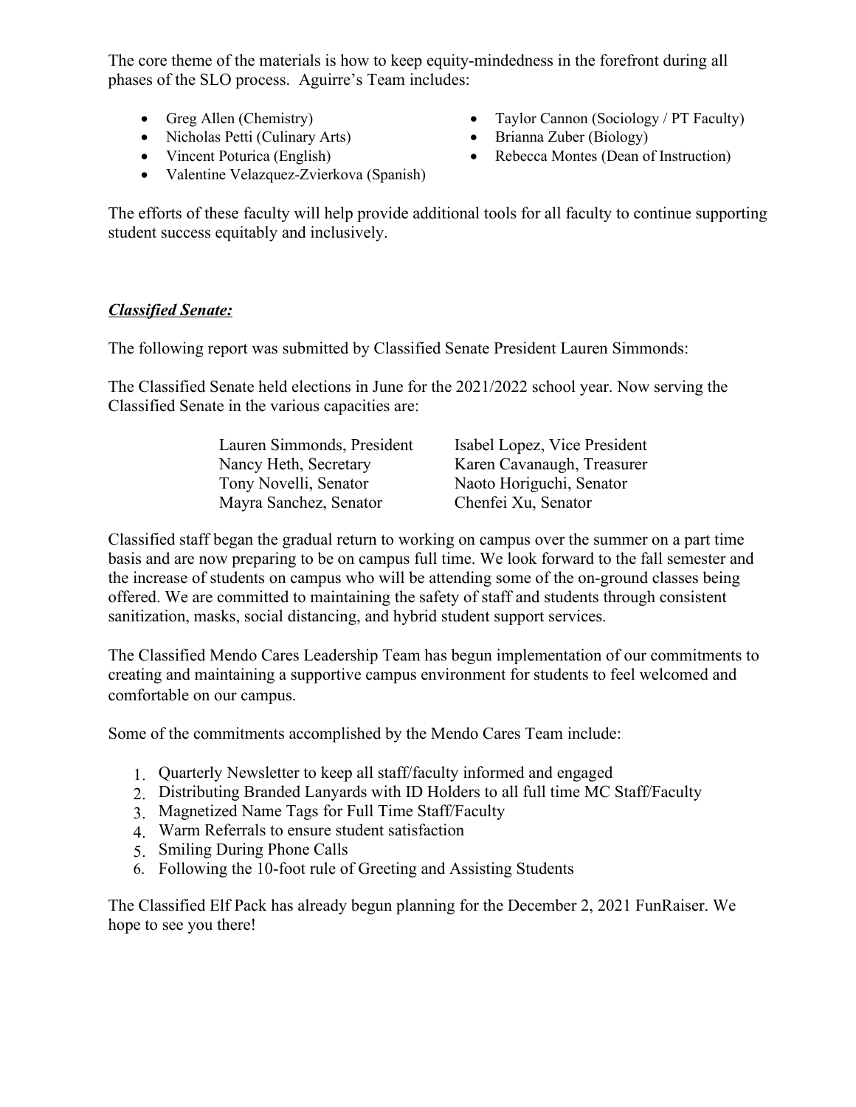The core theme of the materials is how to keep equity-mindedness in the forefront during all phases of the SLO process. Aguirre's Team includes:

- 
- Nicholas Petti (Culinary Arts) Brianna Zuber (Biology)
- 
- Valentine Velazquez-Zvierkova (Spanish)
- Greg Allen (Chemistry) Taylor Cannon (Sociology / PT Faculty)
	-
- Vincent Poturica (English) Rebecca Montes (Dean of Instruction)

The efforts of these faculty will help provide additional tools for all faculty to continue supporting student success equitably and inclusively.

# *Classified Senate:*

The following report was submitted by Classified Senate President Lauren Simmonds:

The Classified Senate held elections in June for the 2021/2022 school year. Now serving the Classified Senate in the various capacities are:

| Lauren Simmonds, President | Isabel Lopez, Vice President |
|----------------------------|------------------------------|
| Nancy Heth, Secretary      | Karen Cavanaugh, Treasurer   |
| Tony Novelli, Senator      | Naoto Horiguchi, Senator     |
| Mayra Sanchez, Senator     | Chenfei Xu, Senator          |

Classified staff began the gradual return to working on campus over the summer on a part time basis and are now preparing to be on campus full time. We look forward to the fall semester and the increase of students on campus who will be attending some of the on-ground classes being offered. We are committed to maintaining the safety of staff and students through consistent sanitization, masks, social distancing, and hybrid student support services.

The Classified Mendo Cares Leadership Team has begun implementation of our commitments to creating and maintaining a supportive campus environment for students to feel welcomed and comfortable on our campus.

Some of the commitments accomplished by the Mendo Cares Team include:

- 1. Quarterly Newsletter to keep all staff/faculty informed and engaged
- 2. Distributing Branded Lanyards with ID Holders to all full time MC Staff/Faculty
- 3. Magnetized Name Tags for Full Time Staff/Faculty
- 4. Warm Referrals to ensure student satisfaction
- 5. Smiling During Phone Calls
- 6. Following the 10-foot rule of Greeting and Assisting Students

The Classified Elf Pack has already begun planning for the December 2, 2021 FunRaiser. We hope to see you there!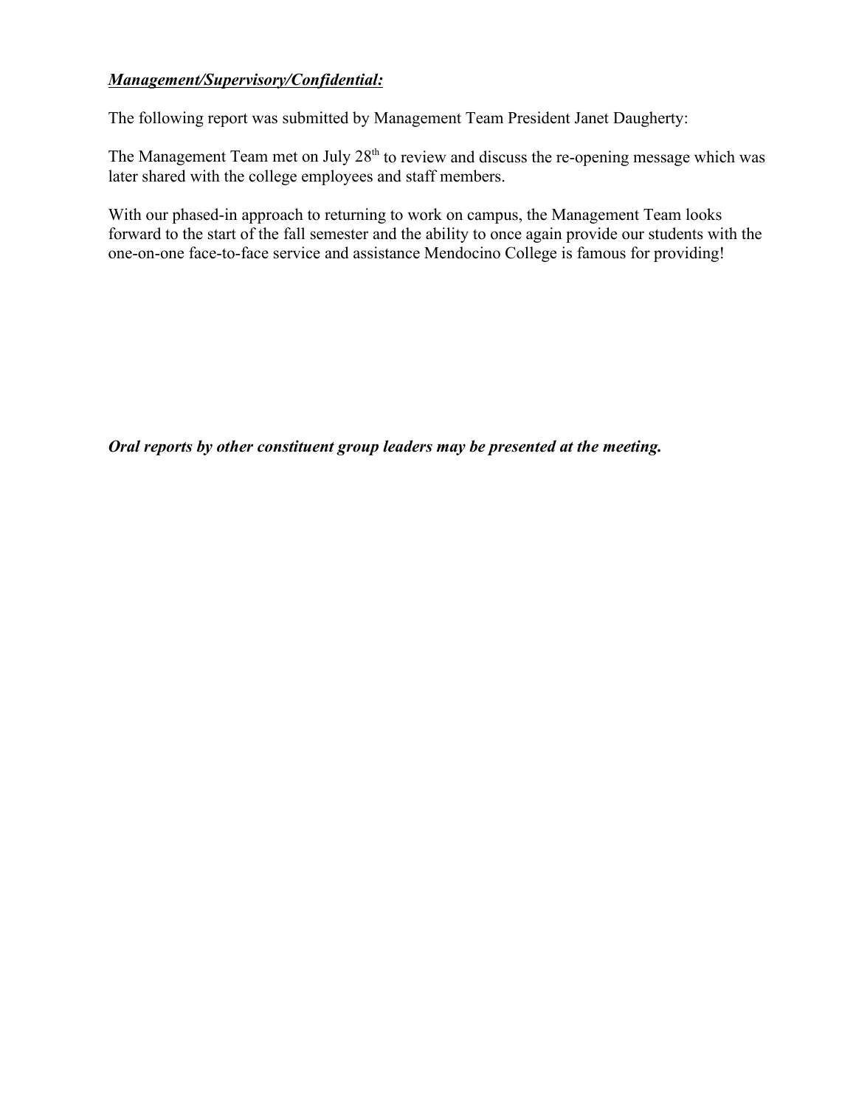# *Management/Supervisory/Confidential:*

The following report was submitted by Management Team President Janet Daugherty:

The Management Team met on July  $28<sup>th</sup>$  to review and discuss the re-opening message which was later shared with the college employees and staff members.

With our phased-in approach to returning to work on campus, the Management Team looks forward to the start of the fall semester and the ability to once again provide our students with the one-on-one face-to-face service and assistance Mendocino College is famous for providing!

*Oral reports by other constituent group leaders may be presented at the meeting.*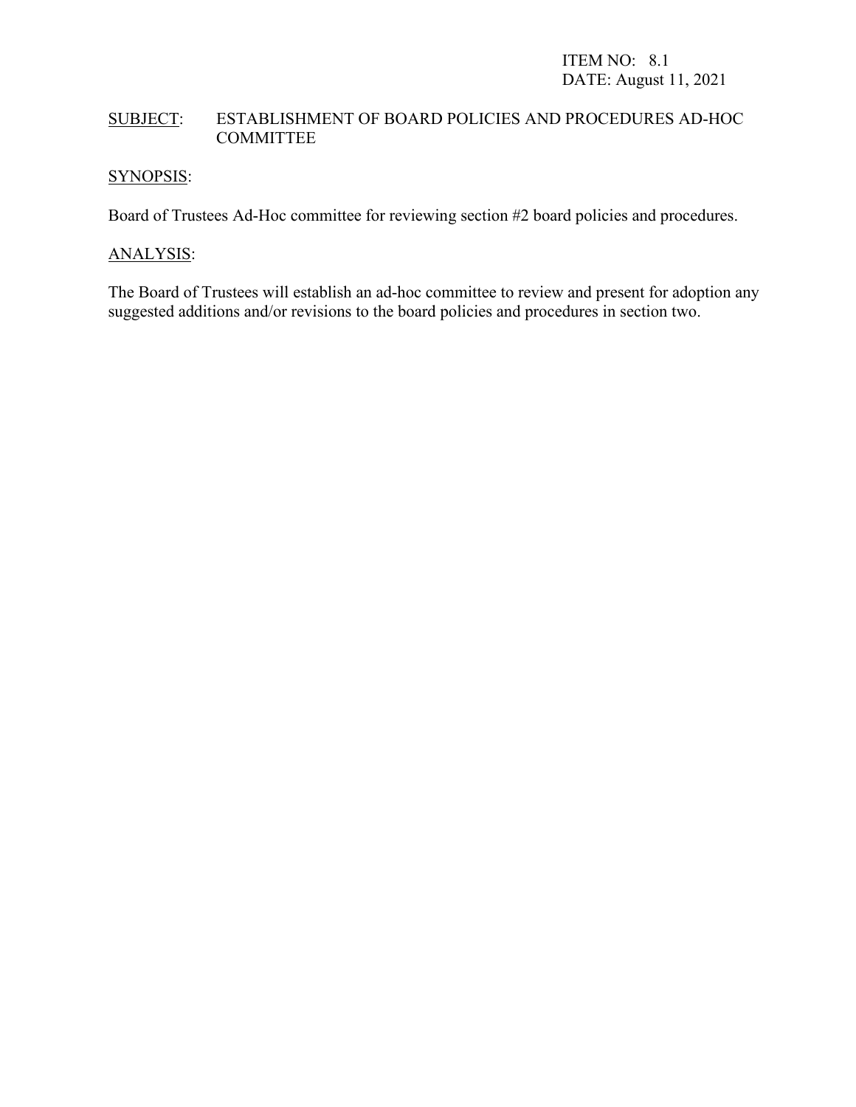# SUBJECT: ESTABLISHMENT OF BOARD POLICIES AND PROCEDURES AD-HOC COMMITTEE

# SYNOPSIS:

Board of Trustees Ad-Hoc committee for reviewing section #2 board policies and procedures.

# ANALYSIS:

The Board of Trustees will establish an ad-hoc committee to review and present for adoption any suggested additions and/or revisions to the board policies and procedures in section two.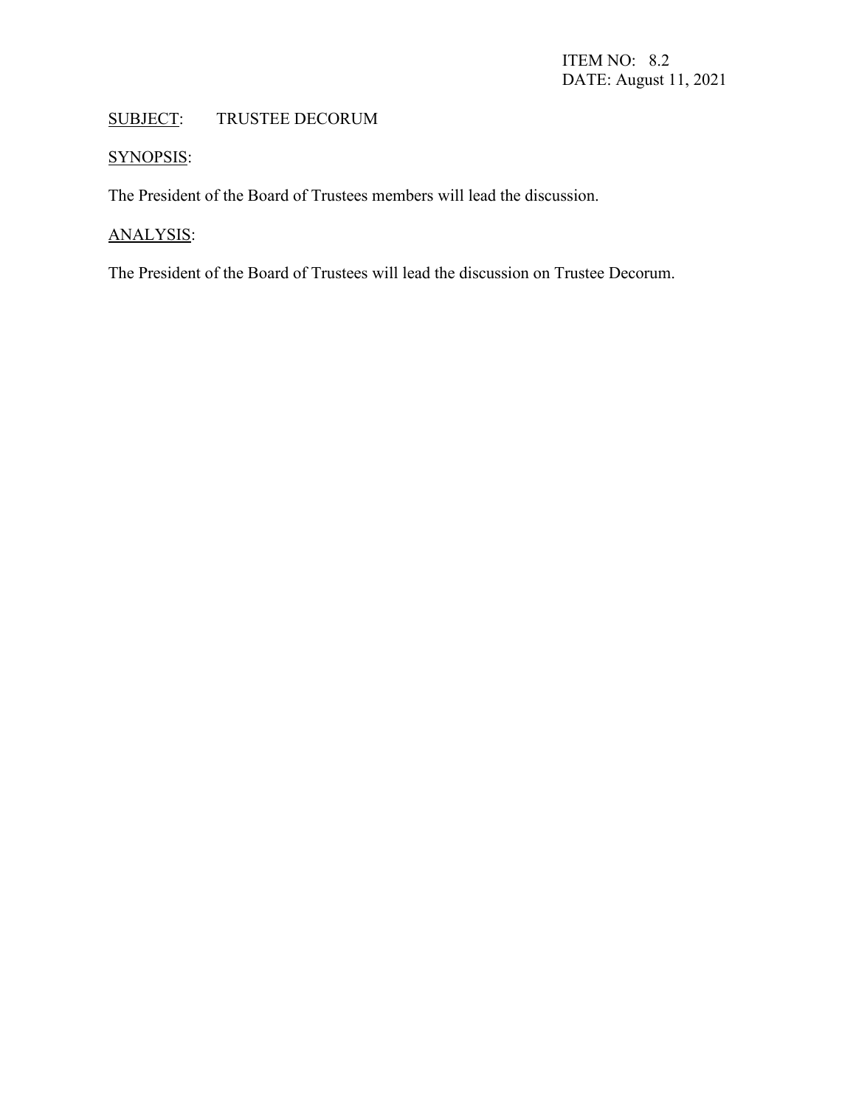# SUBJECT: TRUSTEE DECORUM

# SYNOPSIS:

The President of the Board of Trustees members will lead the discussion.

# ANALYSIS:

The President of the Board of Trustees will lead the discussion on Trustee Decorum.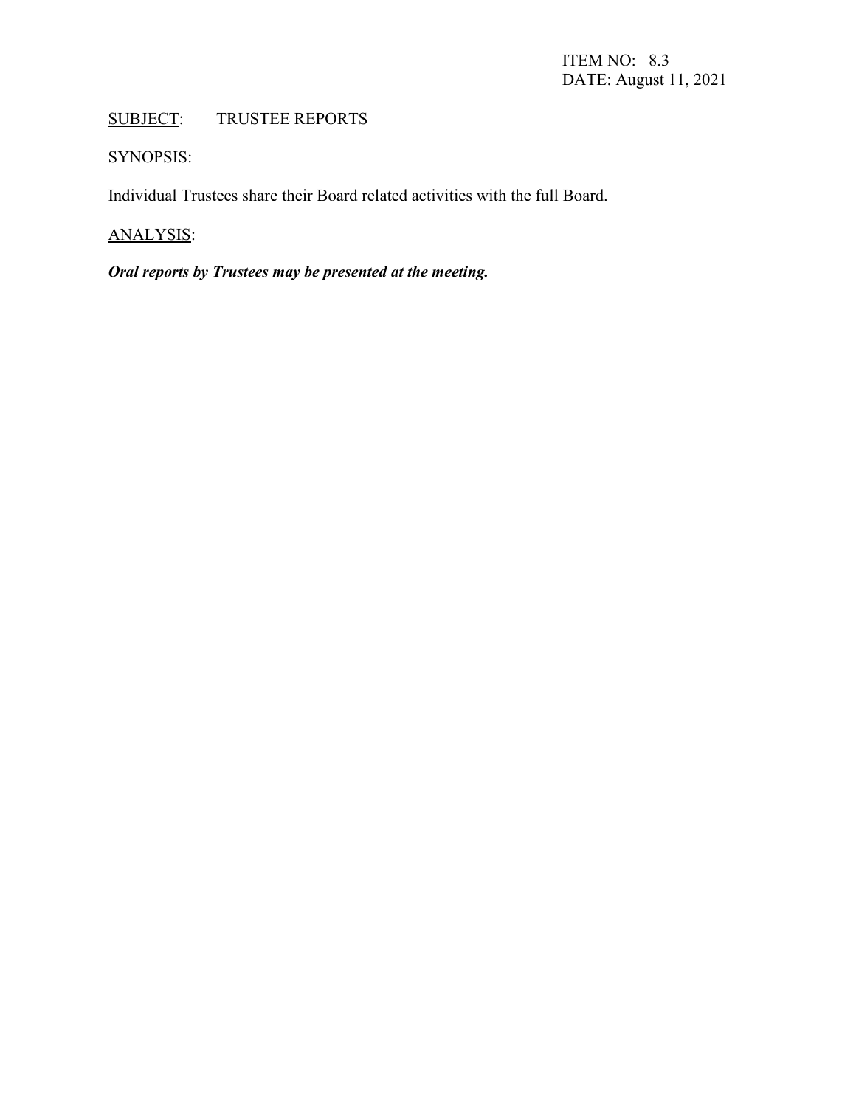# SUBJECT: TRUSTEE REPORTS

# SYNOPSIS:

Individual Trustees share their Board related activities with the full Board.

# ANALYSIS:

# *Oral reports by Trustees may be presented at the meeting.*